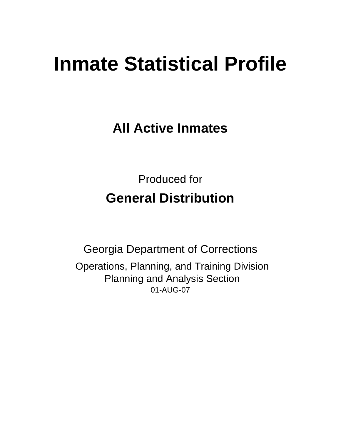# **Inmate Statistical Profile**

**All Active Inmates**

Produced for **General Distribution**

01-AUG-07 Georgia Department of Corrections Operations, Planning, and Training Division Planning and Analysis Section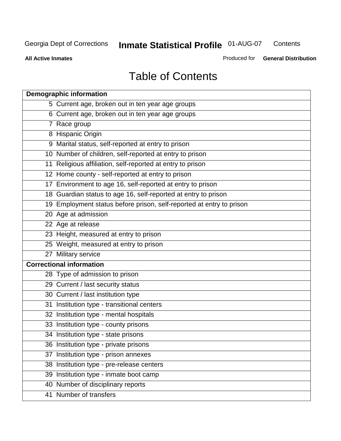**Contents** 

**All Active Inmates**

Produced for **General Distribution**

# Table of Contents

| <b>Demographic information</b>                                       |
|----------------------------------------------------------------------|
| 5 Current age, broken out in ten year age groups                     |
| 6 Current age, broken out in ten year age groups                     |
| 7 Race group                                                         |
| 8 Hispanic Origin                                                    |
| 9 Marital status, self-reported at entry to prison                   |
| 10 Number of children, self-reported at entry to prison              |
| 11 Religious affiliation, self-reported at entry to prison           |
| 12 Home county - self-reported at entry to prison                    |
| 17 Environment to age 16, self-reported at entry to prison           |
| 18 Guardian status to age 16, self-reported at entry to prison       |
| 19 Employment status before prison, self-reported at entry to prison |
| 20 Age at admission                                                  |
| 22 Age at release                                                    |
| 23 Height, measured at entry to prison                               |
| 25 Weight, measured at entry to prison                               |
| 27 Military service                                                  |
| <b>Correctional information</b>                                      |
| 28 Type of admission to prison                                       |
| 29 Current / last security status                                    |
| 30 Current / last institution type                                   |
| 31 Institution type - transitional centers                           |
| 32 Institution type - mental hospitals                               |
| 33 Institution type - county prisons                                 |
| 34 Institution type - state prisons                                  |
| 36 Institution type - private prisons                                |
| 37 Institution type - prison annexes                                 |
| 38 Institution type - pre-release centers                            |
| 39 Institution type - inmate boot camp                               |
| 40 Number of disciplinary reports                                    |
| 41 Number of transfers                                               |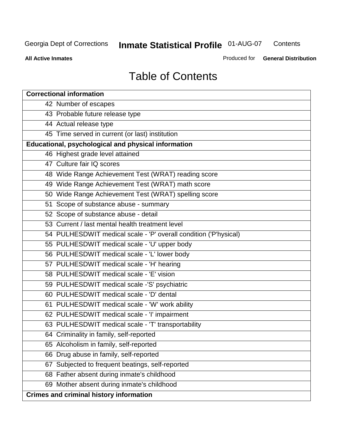**Contents** 

**All Active Inmates**

Produced for **General Distribution**

# Table of Contents

| <b>Correctional information</b>                                  |
|------------------------------------------------------------------|
| 42 Number of escapes                                             |
| 43 Probable future release type                                  |
| 44 Actual release type                                           |
| 45 Time served in current (or last) institution                  |
| Educational, psychological and physical information              |
| 46 Highest grade level attained                                  |
| 47 Culture fair IQ scores                                        |
| 48 Wide Range Achievement Test (WRAT) reading score              |
| 49 Wide Range Achievement Test (WRAT) math score                 |
| 50 Wide Range Achievement Test (WRAT) spelling score             |
| 51 Scope of substance abuse - summary                            |
| 52 Scope of substance abuse - detail                             |
| 53 Current / last mental health treatment level                  |
| 54 PULHESDWIT medical scale - 'P' overall condition ('P'hysical) |
| 55 PULHESDWIT medical scale - 'U' upper body                     |
| 56 PULHESDWIT medical scale - 'L' lower body                     |
| 57 PULHESDWIT medical scale - 'H' hearing                        |
| 58 PULHESDWIT medical scale - 'E' vision                         |
| 59 PULHESDWIT medical scale -'S' psychiatric                     |
| 60 PULHESDWIT medical scale - 'D' dental                         |
| 61 PULHESDWIT medical scale - 'W' work ability                   |
| 62 PULHESDWIT medical scale - 'I' impairment                     |
| 63 PULHESDWIT medical scale - 'T' transportability               |
| 64 Criminality in family, self-reported                          |
| 65 Alcoholism in family, self-reported                           |
| 66 Drug abuse in family, self-reported                           |
| Subjected to frequent beatings, self-reported<br>67              |
| 68 Father absent during inmate's childhood                       |
| 69 Mother absent during inmate's childhood                       |
| <b>Crimes and criminal history information</b>                   |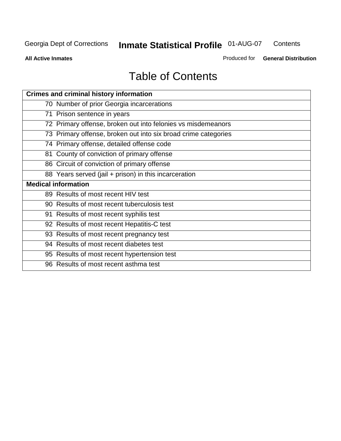**Contents** 

**All Active Inmates**

Produced for **General Distribution**

# Table of Contents

| <b>Crimes and criminal history information</b>                 |
|----------------------------------------------------------------|
| 70 Number of prior Georgia incarcerations                      |
| 71 Prison sentence in years                                    |
| 72 Primary offense, broken out into felonies vs misdemeanors   |
| 73 Primary offense, broken out into six broad crime categories |
| 74 Primary offense, detailed offense code                      |
| 81 County of conviction of primary offense                     |
| 86 Circuit of conviction of primary offense                    |
| 88 Years served (jail + prison) in this incarceration          |
| <b>Medical information</b>                                     |
|                                                                |
| 89 Results of most recent HIV test                             |
| 90 Results of most recent tuberculosis test                    |
| 91 Results of most recent syphilis test                        |
| 92 Results of most recent Hepatitis-C test                     |
| 93 Results of most recent pregnancy test                       |
| 94 Results of most recent diabetes test                        |
| 95 Results of most recent hypertension test                    |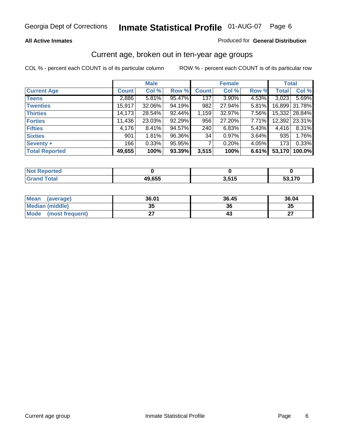### **All Active Inmates**

### Produced for **General Distribution**

### Current age, broken out in ten-year age groups

|                       |              | <b>Male</b> |        |              | <b>Female</b> |          | <b>Total</b> |               |
|-----------------------|--------------|-------------|--------|--------------|---------------|----------|--------------|---------------|
| <b>Current Age</b>    | <b>Count</b> | Col %       | Row %  | <b>Count</b> | Col %         | Row %    | <b>Total</b> | Col %         |
| <b>Teens</b>          | 2,886        | 5.81%       | 95.47% | 137          | $3.90\%$      | 4.53%    | 3,023        | 5.69%         |
| <b>Twenties</b>       | 15,917       | 32.06%      | 94.19% | 982          | 27.94%        | $5.81\%$ |              | 16,899 31.78% |
| <b>Thirties</b>       | 14,173       | 28.54%      | 92.44% | 1,159        | 32.97%        | 7.56%    |              | 15,332 28.84% |
| <b>Forties</b>        | 11,436       | 23.03%      | 92.29% | 956          | 27.20%        | 7.71%    |              | 12,392 23.31% |
| <b>Fifties</b>        | 4,176        | 8.41%       | 94.57% | 240          | 6.83%         | 5.43%    | 4,416        | 8.31%         |
| <b>Sixties</b>        | 901          | 1.81%       | 96.36% | 34           | 0.97%         | 3.64%    | 935          | 1.76%         |
| Seventy +             | 166          | 0.33%       | 95.95% | 7            | 0.20%         | 4.05%    | 173          | 0.33%         |
| <b>Total Reported</b> | 49,655       | 100%        | 93.39% | 3,515        | 100%          | 6.61%    | 53,170       | 100.0%        |

| $N$ nt<br><b>Enorted</b><br>xeno |              |                      |       |
|----------------------------------|--------------|----------------------|-------|
| <b>Total</b>                     | 49,655<br>4ч | <b>LEAR</b><br>J.JIJ | 4 7 A |

| <b>Mean</b><br>(average) | 36.01     | 36.45 | 36.04     |
|--------------------------|-----------|-------|-----------|
| Median (middle)          | 25<br>JJ. | 36    | 35        |
| Mode<br>(most frequent)  |           |       | ^7<br>. . |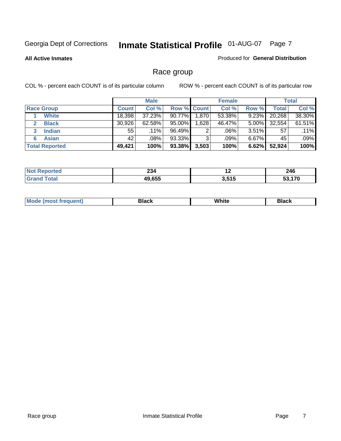### **All Active Inmates**

### Produced for **General Distribution**

# Race group

|                       |              | <b>Male</b> |             |       | <b>Female</b> |          |              | <b>Total</b> |
|-----------------------|--------------|-------------|-------------|-------|---------------|----------|--------------|--------------|
| <b>Race Group</b>     | <b>Count</b> | Col %       | Row % Count |       | Col %         | Row %    | <b>Total</b> | Col %        |
| <b>White</b>          | 18,398       | 37.23%      | 90.77%      | 1,870 | 53.38%        | 9.23%    | 20,268       | 38.30%       |
| <b>Black</b>          | 30.926       | $62.58\%$   | 95.00%      | 1,628 | 46.47%        | $5.00\%$ | 32,554       | 61.51%       |
| <b>Indian</b><br>3    | 55           | $.11\%$     | 96.49%      | 2     | .06%          | $3.51\%$ | 57           | .11%         |
| <b>Asian</b>          | 42           | .08%        | 93.33%      | 3     | .09%          | $6.67\%$ | 45           | .09%         |
| <b>Total Reported</b> | 49,421       | 100%        | 93.38%      | 3,503 | 100%          | 6.62%    | 52,924       | 100%         |

| nn.<br>ZJ4 | $\sim$           | 246           |
|------------|------------------|---------------|
| 10 G55     | 2 E1E<br>J.J I J | $\rightarrow$ |

|  | $Mc$ | Black | White<br>$ -$ | 21904<br>DIACK |
|--|------|-------|---------------|----------------|
|--|------|-------|---------------|----------------|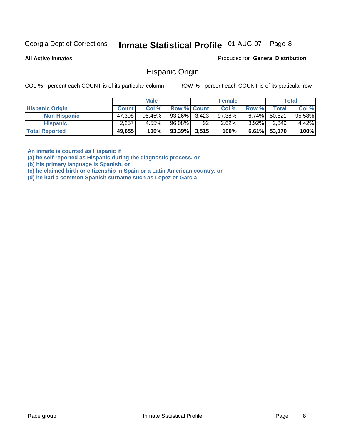**All Active Inmates**

Produced for **General Distribution**

### Hispanic Origin

COL % - percent each COUNT is of its particular column ROW % - percent each COUNT is of its particular row

|                        |              | <b>Male</b> |                    |    | <b>Female</b> |          |        | <b>Total</b> |
|------------------------|--------------|-------------|--------------------|----|---------------|----------|--------|--------------|
| <b>Hispanic Origin</b> | <b>Count</b> | Col %       | <b>Row % Count</b> |    | Col %         | Row %    | Total  | Col %        |
| <b>Non Hispanic</b>    | 47,398       | $95.45\%$   | $93.26\%$ 3,423    |    | $97.38\%$     | $6.74\%$ | 50.821 | 95.58%       |
| <b>Hispanic</b>        | 2.257        | 4.55%       | 96.08%             | 92 | 2.62%         | $3.92\%$ | 2,349  | 4.42%        |
| <b>Total Reported</b>  | 49,655       | 100%        | $93.39\%$ 3,515    |    | 100%          | $6.61\%$ | 53,170 | 100%         |

**An inmate is counted as Hispanic if** 

**(a) he self-reported as Hispanic during the diagnostic process, or** 

**(b) his primary language is Spanish, or** 

**(c) he claimed birth or citizenship in Spain or a Latin American country, or** 

**(d) he had a common Spanish surname such as Lopez or Garcia**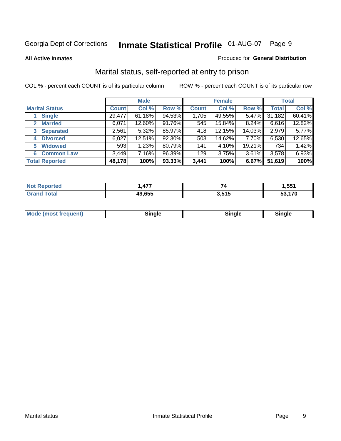### **All Active Inmates**

### Produced for **General Distribution**

# Marital status, self-reported at entry to prison

|                                  | <b>Male</b>  |           |        | <b>Female</b> |        |          | <b>Total</b> |        |
|----------------------------------|--------------|-----------|--------|---------------|--------|----------|--------------|--------|
| <b>Marital Status</b>            | <b>Count</b> | Col %     | Row %  | <b>Count</b>  | Col %  | Row %    | <b>Total</b> | Col %  |
| <b>Single</b>                    | 29,477       | $61.18\%$ | 94.53% | 1,705         | 49.55% | $5.47\%$ | 31,182       | 60.41% |
| <b>Married</b><br>$\mathbf{2}^-$ | 6,071        | 12.60%    | 91.76% | 545           | 15.84% | 8.24%    | 6,616        | 12.82% |
| <b>Separated</b><br>3            | 2,561        | 5.32%     | 85.97% | 418           | 12.15% | 14.03%   | 2,979        | 5.77%  |
| <b>Divorced</b><br>4             | 6,027        | 12.51%    | 92.30% | 503           | 14.62% | 7.70%    | 6,530        | 12.65% |
| <b>Widowed</b><br>5              | 593          | 1.23%     | 80.79% | 141           | 4.10%  | 19.21%   | 734          | 1.42%  |
| <b>Common Law</b><br>6.          | 3,449        | 7.16%     | 96.39% | 129           | 3.75%  | 3.61%    | 3,578        | 6.93%  |
| <b>Total Reported</b>            | 48,178       | 100%      | 93.33% | 3,441         | 100%   | 6.67%    | 51,619       | 100%   |

| ィフフ<br>л<br> |            | .551          |
|--------------|------------|---------------|
| 19.655       | <b>EAE</b> | $\rightarrow$ |
| 71 U         | J.J I J    | п.            |

| <b>Mode (most frequent)</b><br>Sinale<br>≒ınale |
|-------------------------------------------------|
|-------------------------------------------------|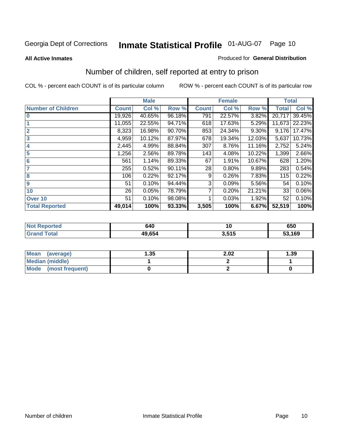### **All Active Inmates**

### Produced for **General Distribution**

# Number of children, self reported at entry to prison

|                           |              | <b>Male</b> |        |              | <b>Female</b> |          | <b>Total</b> |        |
|---------------------------|--------------|-------------|--------|--------------|---------------|----------|--------------|--------|
| <b>Number of Children</b> | <b>Count</b> | Col %       | Row %  | <b>Count</b> | Col %         | Row %    | <b>Total</b> | Col %  |
| $\bf{0}$                  | 19,926       | 40.65%      | 96.18% | 791          | 22.57%        | 3.82%    | 20,717       | 39.45% |
|                           | 11,055       | 22.55%      | 94.71% | 618          | 17.63%        | 5.29%    | 11,673       | 22.23% |
| $\overline{2}$            | 8,323        | 16.98%      | 90.70% | 853          | 24.34%        | $9.30\%$ | 9,176        | 17.47% |
| 3                         | 4,959        | 10.12%      | 87.97% | 678          | 19.34%        | 12.03%   | 5,637        | 10.73% |
| 4                         | 2,445        | 4.99%       | 88.84% | 307          | 8.76%         | 11.16%   | 2,752        | 5.24%  |
| 5                         | 1,256        | 2.56%       | 89.78% | 143          | 4.08%         | 10.22%   | 1,399        | 2.66%  |
| $6\phantom{a}$            | 561          | 1.14%       | 89.33% | 67           | 1.91%         | 10.67%   | 628          | 1.20%  |
| 7                         | 255          | 0.52%       | 90.11% | 28           | 0.80%         | 9.89%    | 283          | 0.54%  |
| 8                         | 106          | 0.22%       | 92.17% | 9            | 0.26%         | 7.83%    | 115          | 0.22%  |
| 9                         | 51           | 0.10%       | 94.44% | 3            | 0.09%         | 5.56%    | 54           | 0.10%  |
| 10                        | 26           | 0.05%       | 78.79% | 7            | 0.20%         | 21.21%   | 33           | 0.06%  |
| Over 10                   | 51           | 0.10%       | 98.08% |              | 0.03%         | 1.92%    | 52           | 0.10%  |
| <b>Total Reported</b>     | 49,014       | 100%        | 93.33% | 3,505        | 100%          | 6.67%    | 52,519       | 100%   |

| 7 2 1 O | 640                | $\sim$     | 650  |
|---------|--------------------|------------|------|
|         | $\overline{10.05}$ | <b>EAF</b> | ,169 |
|         | . ئەك              | .          | u.   |

| <b>Mean</b><br>(average) | .35 | 2.02 | .39 |
|--------------------------|-----|------|-----|
| <b>Median (middle)</b>   |     |      |     |
| Mode<br>(most frequent)  |     |      |     |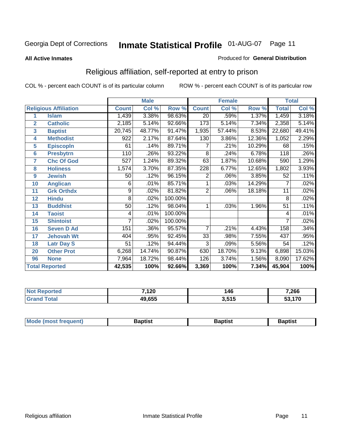### **All Active Inmates**

### Produced for **General Distribution**

# Religious affiliation, self-reported at entry to prison

|                       |                              |              | <b>Male</b> |         |                 | <b>Female</b> |        | <b>Total</b>    |        |  |
|-----------------------|------------------------------|--------------|-------------|---------|-----------------|---------------|--------|-----------------|--------|--|
|                       | <b>Religious Affiliation</b> | <b>Count</b> | Col %       | Row %   | <b>Count</b>    | Col %         | Row %  | <b>Total</b>    | Col %  |  |
| 1                     | <b>Islam</b>                 | 1,439        | 3.38%       | 98.63%  | $\overline{20}$ | .59%          | 1.37%  | 1,459           | 3.18%  |  |
| $\overline{2}$        | <b>Catholic</b>              | 2,185        | 5.14%       | 92.66%  | 173             | 5.14%         | 7.34%  | 2,358           | 5.14%  |  |
| $\mathbf{3}$          | <b>Baptist</b>               | 20,745       | 48.77%      | 91.47%  | 1,935           | 57.44%        | 8.53%  | 22,680          | 49.41% |  |
| 4                     | <b>Methodist</b>             | 922          | 2.17%       | 87.64%  | 130             | 3.86%         | 12.36% | 1,052           | 2.29%  |  |
| 5                     | <b>EpiscopIn</b>             | 61           | .14%        | 89.71%  | 7               | .21%          | 10.29% | 68              | .15%   |  |
| $6\phantom{a}$        | <b>Presbytrn</b>             | 110          | .26%        | 93.22%  | 8               | .24%          | 6.78%  | 118             | .26%   |  |
| 7                     | <b>Chc Of God</b>            | 527          | 1.24%       | 89.32%  | 63              | 1.87%         | 10.68% | 590             | 1.29%  |  |
| 8                     | <b>Holiness</b>              | 1,574        | 3.70%       | 87.35%  | 228             | 6.77%         | 12.65% | 1,802           | 3.93%  |  |
| $\boldsymbol{9}$      | <b>Jewish</b>                | 50           | .12%        | 96.15%  | 2               | .06%          | 3.85%  | 52              | .11%   |  |
| 10                    | <b>Anglican</b>              | 6            | .01%        | 85.71%  |                 | .03%          | 14.29% | 7               | .02%   |  |
| 11                    | <b>Grk Orthdx</b>            | 9            | .02%        | 81.82%  | 2               | .06%          | 18.18% | 11              | .02%   |  |
| 12                    | <b>Hindu</b>                 | 8            | .02%        | 100.00% |                 |               |        | 8               | .02%   |  |
| 13                    | <b>Buddhist</b>              | 50           | .12%        | 98.04%  | 1               | .03%          | 1.96%  | $\overline{51}$ | .11%   |  |
| 14                    | <b>Taoist</b>                | 4            | .01%        | 100.00% |                 |               |        | 4               | .01%   |  |
| 15                    | <b>Shintoist</b>             |              | .02%        | 100.00% |                 |               |        |                 | .02%   |  |
| 16                    | <b>Seven D Ad</b>            | 151          | .36%        | 95.57%  | 7               | .21%          | 4.43%  | 158             | .34%   |  |
| 17                    | <b>Jehovah Wt</b>            | 404          | .95%        | 92.45%  | $\overline{33}$ | .98%          | 7.55%  | 437             | .95%   |  |
| 18                    | <b>Latr Day S</b>            | 51           | .12%        | 94.44%  | $\overline{3}$  | .09%          | 5.56%  | 54              | .12%   |  |
| 20                    | <b>Other Prot</b>            | 6,268        | 14.74%      | 90.87%  | 630             | 18.70%        | 9.13%  | 6,898           | 15.03% |  |
| 96                    | <b>None</b>                  | 7,964        | 18.72%      | 98.44%  | 126             | 3.74%         | 1.56%  | 8,090           | 17.62% |  |
| <b>Total Reported</b> |                              | 42,535       | 100%        | 92.66%  | 3,369           | 100%          | 7.34%  | 45,904          | 100%   |  |

| med | 7,120  | 146   | 7,266 |
|-----|--------|-------|-------|
|     | 49,655 | 3,515 | .170  |

| <b>Mode</b><br>frequent)<br>umost | 3aptist | 3aptist | <b>Baptist</b> |
|-----------------------------------|---------|---------|----------------|
|                                   |         |         |                |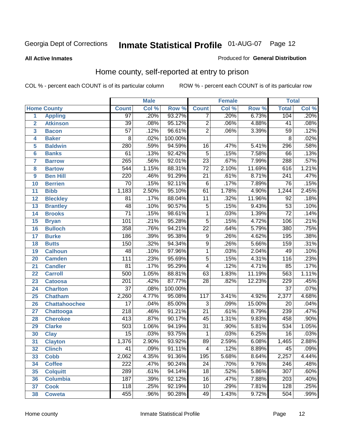### **All Active Inmates**

### Produced for **General Distribution**

# Home county, self-reported at entry to prison

|                 |                      |                  | <b>Male</b> |         | <b>Female</b>   |       |        | <b>Total</b>     |                            |
|-----------------|----------------------|------------------|-------------|---------|-----------------|-------|--------|------------------|----------------------------|
|                 | <b>Home County</b>   | <b>Count</b>     | Col %       | Row %   | <b>Count</b>    | Col % | Row %  | <b>Total</b>     | $\overline{\text{Col }^9}$ |
| 1               | <b>Appling</b>       | $\overline{97}$  | .20%        | 93.27%  | 7               | .20%  | 6.73%  | 104              | .20%                       |
| $\overline{2}$  | <b>Atkinson</b>      | $\overline{39}$  | .08%        | 95.12%  | $\overline{2}$  | .06%  | 4.88%  | $\overline{41}$  | .08%                       |
| 3               | <b>Bacon</b>         | $\overline{57}$  | .12%        | 96.61%  | $\overline{2}$  | .06%  | 3.39%  | $\overline{59}$  | .12%                       |
| 4               | <b>Baker</b>         | $\overline{8}$   | .02%        | 100.00% |                 |       |        | $\overline{8}$   | .02%                       |
| 5               | <b>Baldwin</b>       | 280              | .59%        | 94.59%  | 16              | .47%  | 5.41%  | 296              | .58%                       |
| $6\phantom{a}$  | <b>Banks</b>         | $\overline{61}$  | .13%        | 92.42%  | $\overline{5}$  | .15%  | 7.58%  | 66               | .13%                       |
| $\overline{7}$  | <b>Barrow</b>        | 265              | .56%        | 92.01%  | $\overline{23}$ | .67%  | 7.99%  | 288              | .57%                       |
| 8               | <b>Bartow</b>        | 544              | 1.15%       | 88.31%  | $\overline{72}$ | 2.10% | 11.69% | 616              | 1.21%                      |
| 9               | <b>Ben Hill</b>      | $\overline{220}$ | .46%        | 91.29%  | $\overline{21}$ | .61%  | 8.71%  | 241              | .47%                       |
| 10              | <b>Berrien</b>       | $\overline{70}$  | .15%        | 92.11%  | $\overline{6}$  | .17%  | 7.89%  | $\overline{76}$  | .15%                       |
| 11              | <b>Bibb</b>          | 1,183            | 2.50%       | 95.10%  | 61              | 1.78% | 4.90%  | 1,244            | 2.45%                      |
| 12              | <b>Bleckley</b>      | $\overline{81}$  | .17%        | 88.04%  | $\overline{11}$ | .32%  | 11.96% | $\overline{92}$  | .18%                       |
| $\overline{13}$ | <b>Brantley</b>      | $\overline{48}$  | .10%        | 90.57%  | $\overline{5}$  | .15%  | 9.43%  | $\overline{53}$  | .10%                       |
| $\overline{14}$ | <b>Brooks</b>        | $\overline{71}$  | .15%        | 98.61%  | $\overline{1}$  | .03%  | 1.39%  | $\overline{72}$  | .14%                       |
| 15              | <b>Bryan</b>         | 101              | .21%        | 95.28%  | $\overline{5}$  | .15%  | 4.72%  | 106              | .21%                       |
| 16              | <b>Bulloch</b>       | 358              | .76%        | 94.21%  | $\overline{22}$ | .64%  | 5.79%  | 380              | .75%                       |
| $\overline{17}$ | <b>Burke</b>         | 186              | .39%        | 95.38%  | $\overline{9}$  | .26%  | 4.62%  | 195              | .38%                       |
| 18              | <b>Butts</b>         | 150              | .32%        | 94.34%  | $\overline{9}$  | .26%  | 5.66%  | 159              | .31%                       |
| 19              | <b>Calhoun</b>       | 48               | .10%        | 97.96%  | $\overline{1}$  | .03%  | 2.04%  | 49               | .10%                       |
| 20              | <b>Camden</b>        | $\overline{111}$ | .23%        | 95.69%  | $\overline{5}$  | .15%  | 4.31%  | 116              | .23%                       |
| 21              | <b>Candler</b>       | $\overline{81}$  | .17%        | 95.29%  | 4               | .12%  | 4.71%  | 85               | .17%                       |
| $\overline{22}$ | <b>Carroll</b>       | 500              | 1.05%       | 88.81%  | 63              | 1.83% | 11.19% | 563              | 1.11%                      |
| 23              | <b>Catoosa</b>       | $\overline{201}$ | .42%        | 87.77%  | $\overline{28}$ | .82%  | 12.23% | 229              | .45%                       |
| 24              | <b>Charlton</b>      | $\overline{37}$  | .08%        | 100.00% |                 |       |        | $\overline{37}$  | .07%                       |
| 25              | <b>Chatham</b>       | 2,260            | 4.77%       | 95.08%  | 117             | 3.41% | 4.92%  | 2,377            | 4.68%                      |
| 26              | <b>Chattahoochee</b> | $\overline{17}$  | .04%        | 85.00%  | 3               | .09%  | 15.00% | $\overline{20}$  | .04%                       |
| 27              | <b>Chattooga</b>     | $\overline{218}$ | .46%        | 91.21%  | $\overline{21}$ | .61%  | 8.79%  | 239              | .47%                       |
| 28              | <b>Cherokee</b>      | $\overline{413}$ | .87%        | 90.17%  | $\overline{45}$ | 1.31% | 9.83%  | 458              | .90%                       |
| 29              | <b>Clarke</b>        | $\overline{503}$ | 1.06%       | 94.19%  | $\overline{31}$ | .90%  | 5.81%  | $\overline{534}$ | 1.05%                      |
| 30              | <b>Clay</b>          | $\overline{15}$  | .03%        | 93.75%  | $\mathbf{1}$    | .03%  | 6.25%  | $\overline{16}$  | .03%                       |
| $\overline{31}$ | <b>Clayton</b>       | 1,376            | 2.90%       | 93.92%  | 89              | 2.59% | 6.08%  | 1,465            | 2.88%                      |
| 32              | <b>Clinch</b>        | 41               | .09%        | 91.11%  | 4               | .12%  | 8.89%  | 45               | .09%                       |
| 33              | <b>Cobb</b>          | 2,062            | 4.35%       | 91.36%  | 195             | 5.68% | 8.64%  | 2,257            | 4.44%                      |
| 34              | <b>Coffee</b>        | $\overline{222}$ | .47%        | 90.24%  | $\overline{24}$ | .70%  | 9.76%  | 246              | .48%                       |
| 35              | <b>Colquitt</b>      | 289              | .61%        | 94.14%  | $\overline{18}$ | .52%  | 5.86%  | $\overline{307}$ | .60%                       |
| 36              | <b>Columbia</b>      | 187              | .39%        | 92.12%  | 16              | .47%  | 7.88%  | 203              | .40%                       |
| 37              | <b>Cook</b>          | 118              | .25%        | 92.19%  | 10              | .29%  | 7.81%  | 128              | .25%                       |
| 38              | <b>Coweta</b>        | 455              | .96%        | 90.28%  | 49              | 1.43% | 9.72%  | 504              | .99%                       |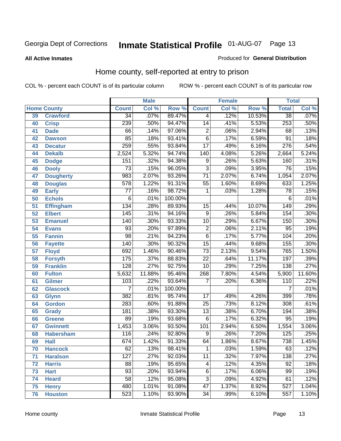### **All Active Inmates**

### Produced for **General Distribution**

# Home county, self-reported at entry to prison

|                 |                    | <b>Male</b>      |        | <b>Female</b>    |                  |       | <b>Total</b> |                  |        |
|-----------------|--------------------|------------------|--------|------------------|------------------|-------|--------------|------------------|--------|
|                 | <b>Home County</b> | <b>Count</b>     | Col %  | Row <sup>%</sup> | <b>Count</b>     | Col % | Row %        | <b>Total</b>     | Col %  |
| 39              | <b>Crawford</b>    | $\overline{34}$  | .07%   | 89.47%           | 4                | .12%  | 10.53%       | $\overline{38}$  | .07%   |
| 40              | <b>Crisp</b>       | 239              | .50%   | 94.47%           | $\overline{14}$  | .41%  | 5.53%        | 253              | .50%   |
| 41              | <b>Dade</b>        | 66               | .14%   | 97.06%           | $\overline{2}$   | .06%  | 2.94%        | 68               | .13%   |
| 42              | <b>Dawson</b>      | 85               | .18%   | 93.41%           | $\overline{6}$   | .17%  | 6.59%        | $\overline{91}$  | .18%   |
| 43              | <b>Decatur</b>     | 259              | .55%   | 93.84%           | $\overline{17}$  | .49%  | 6.16%        | 276              | .54%   |
| 44              | <b>Dekalb</b>      | 2,524            | 5.32%  | 94.74%           | $\overline{140}$ | 4.08% | 5.26%        | 2,664            | 5.24%  |
| 45              | <b>Dodge</b>       | 151              | .32%   | 94.38%           | 9                | .26%  | 5.63%        | 160              | .31%   |
| 46              | <b>Dooly</b>       | $\overline{73}$  | .15%   | 96.05%           | $\overline{3}$   | .09%  | 3.95%        | $\overline{76}$  | .15%   |
| 47              | <b>Dougherty</b>   | 983              | 2.07%  | 93.26%           | $\overline{71}$  | 2.07% | 6.74%        | 1,054            | 2.07%  |
| 48              | <b>Douglas</b>     | $\overline{578}$ | 1.22%  | 91.31%           | $\overline{55}$  | 1.60% | 8.69%        | 633              | 1.25%  |
| 49              | <b>Early</b>       | $\overline{77}$  | .16%   | 98.72%           | 1                | .03%  | 1.28%        | $\overline{78}$  | .15%   |
| 50              | <b>Echols</b>      | 6                | .01%   | 100.00%          |                  |       |              | 6                | .01%   |
| $\overline{51}$ | <b>Effingham</b>   | 134              | .28%   | 89.93%           | 15               | .44%  | 10.07%       | 149              | .29%   |
| 52              | <b>Elbert</b>      | 145              | .31%   | 94.16%           | 9                | .26%  | 5.84%        | 154              | .30%   |
| 53              | <b>Emanuel</b>     | 140              | .30%   | 93.33%           | $\overline{10}$  | .29%  | 6.67%        | 150              | .30%   |
| 54              | <b>Evans</b>       | 93               | .20%   | 97.89%           | $\overline{2}$   | .06%  | 2.11%        | $\overline{95}$  | .19%   |
| 55              | <b>Fannin</b>      | $\overline{98}$  | .21%   | 94.23%           | $\overline{6}$   | .17%  | 5.77%        | 104              | .20%   |
| 56              | <b>Fayette</b>     | 140              | .30%   | 90.32%           | $\overline{15}$  | .44%  | 9.68%        | 155              | .30%   |
| 57              | <b>Floyd</b>       | 692              | 1.46%  | 90.46%           | $\overline{73}$  | 2.13% | 9.54%        | 765              | 1.50%  |
| 58              | <b>Forsyth</b>     | 175              | .37%   | 88.83%           | $\overline{22}$  | .64%  | 11.17%       | 197              | .39%   |
| 59              | <b>Franklin</b>    | 128              | .27%   | 92.75%           | $\overline{10}$  | .29%  | 7.25%        | 138              | .27%   |
| 60              | <b>Fulton</b>      | 5,632            | 11.88% | 95.46%           | 268              | 7.80% | 4.54%        | 5,900            | 11.60% |
| 61              | Gilmer             | $\overline{103}$ | .22%   | 93.64%           | 7                | .20%  | 6.36%        | 110              | .22%   |
| 62              | <b>Glascock</b>    | $\overline{7}$   | .01%   | 100.00%          |                  |       |              | $\overline{7}$   | .01%   |
| 63              | <b>Glynn</b>       | 382              | .81%   | 95.74%           | 17               | .49%  | 4.26%        | 399              | .78%   |
| 64              | <b>Gordon</b>      | 283              | .60%   | 91.88%           | $\overline{25}$  | .73%  | 8.12%        | 308              | .61%   |
| 65              | <b>Grady</b>       | 181              | .38%   | 93.30%           | $\overline{13}$  | .38%  | 6.70%        | 194              | .38%   |
| 66              | <b>Greene</b>      | $\overline{89}$  | .19%   | 93.68%           | 6                | .17%  | 6.32%        | $\overline{95}$  | .19%   |
| 67              | <b>Gwinnett</b>    | 1,453            | 3.06%  | 93.50%           | 101              | 2.94% | 6.50%        | 1,554            | 3.06%  |
| 68              | <b>Habersham</b>   | 116              | .24%   | 92.80%           | 9                | .26%  | 7.20%        | $\overline{125}$ | .25%   |
| 69              | <b>Hall</b>        | 674              | 1.42%  | 91.33%           | 64               | 1.86% | 8.67%        | 738              | 1.45%  |
| 70              | <b>Hancock</b>     | 62               | .13%   | 98.41%           | 1                | .03%  | 1.59%        | 63               | .12%   |
| 71              | <b>Haralson</b>    | 127              | .27%   | 92.03%           | $\overline{11}$  | .32%  | 7.97%        | 138              | .27%   |
| 72              | <b>Harris</b>      | $\overline{88}$  | .19%   | 95.65%           | 4                | .12%  | 4.35%        | $\overline{92}$  | .18%   |
| 73              | <b>Hart</b>        | $\overline{93}$  | .20%   | 93.94%           | $\overline{6}$   | .17%  | 6.06%        | 99               | .19%   |
| 74              | <b>Heard</b>       | $\overline{58}$  | .12%   | 95.08%           | $\overline{3}$   | .09%  | 4.92%        | 61               | .12%   |
| 75              | <b>Henry</b>       | 480              | 1.01%  | 91.08%           | $\overline{47}$  | 1.37% | 8.92%        | 527              | 1.04%  |
| 76              | <b>Houston</b>     | $\overline{523}$ | 1.10%  | 93.90%           | $\overline{34}$  | .99%  | 6.10%        | $\overline{557}$ | 1.10%  |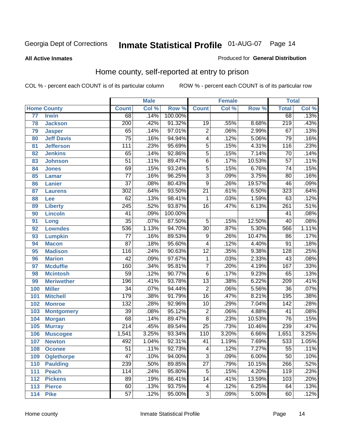### **All Active Inmates**

### Produced for **General Distribution**

# Home county, self-reported at entry to prison

|     |                    |                  | <b>Male</b> |         |                           | <b>Female</b> |        | <b>Total</b>     |       |
|-----|--------------------|------------------|-------------|---------|---------------------------|---------------|--------|------------------|-------|
|     | <b>Home County</b> | <b>Count</b>     | Col %       | Row %   | <b>Count</b>              | Col %         | Row %  | <b>Total</b>     | Col % |
| 77  | <b>Irwin</b>       | 68               | .14%        | 100.00% |                           |               |        | 68               | .13%  |
| 78  | <b>Jackson</b>     | $\overline{200}$ | .42%        | 91.32%  | 19                        | .55%          | 8.68%  | $\overline{219}$ | .43%  |
| 79  | <b>Jasper</b>      | 65               | .14%        | 97.01%  | $\overline{2}$            | .06%          | 2.99%  | 67               | .13%  |
| 80  | <b>Jeff Davis</b>  | $\overline{75}$  | .16%        | 94.94%  | 4                         | .12%          | 5.06%  | $\overline{79}$  | .16%  |
| 81  | <b>Jefferson</b>   | $\overline{111}$ | .23%        | 95.69%  | $\overline{5}$            | .15%          | 4.31%  | 116              | .23%  |
| 82  | <b>Jenkins</b>     | 65               | .14%        | 92.86%  | $\overline{5}$            | .15%          | 7.14%  | $\overline{70}$  | .14%  |
| 83  | <b>Johnson</b>     | $\overline{51}$  | .11%        | 89.47%  | $\overline{6}$            | .17%          | 10.53% | $\overline{57}$  | .11%  |
| 84  | <b>Jones</b>       | 69               | .15%        | 93.24%  | $\overline{5}$            | .15%          | 6.76%  | $\overline{74}$  | .15%  |
| 85  | <b>Lamar</b>       | $\overline{77}$  | .16%        | 96.25%  | $\overline{\overline{3}}$ | .09%          | 3.75%  | $\overline{80}$  | .16%  |
| 86  | <b>Lanier</b>      | $\overline{37}$  | .08%        | 80.43%  | 9                         | .26%          | 19.57% | 46               | .09%  |
| 87  | <b>Laurens</b>     | 302              | .64%        | 93.50%  | $\overline{21}$           | .61%          | 6.50%  | 323              | .64%  |
| 88  | <b>Lee</b>         | 62               | .13%        | 98.41%  | 1                         | .03%          | 1.59%  | 63               | .12%  |
| 89  | <b>Liberty</b>     | $\overline{245}$ | .52%        | 93.87%  | $\overline{16}$           | .47%          | 6.13%  | $\overline{261}$ | .51%  |
| 90  | <b>Lincoln</b>     | 41               | .09%        | 100.00% |                           |               |        | 41               | .08%  |
| 91  | Long               | $\overline{35}$  | .07%        | 87.50%  | $\overline{5}$            | .15%          | 12.50% | $\overline{40}$  | .08%  |
| 92  | <b>Lowndes</b>     | 536              | 1.13%       | 94.70%  | $\overline{30}$           | .87%          | 5.30%  | 566              | 1.11% |
| 93  | <b>Lumpkin</b>     | $\overline{77}$  | .16%        | 89.53%  | $\overline{9}$            | .26%          | 10.47% | 86               | .17%  |
| 94  | <b>Macon</b>       | $\overline{87}$  | .18%        | 95.60%  | 4                         | .12%          | 4.40%  | $\overline{91}$  | .18%  |
| 95  | <b>Madison</b>     | $\overline{116}$ | .24%        | 90.63%  | $\overline{12}$           | .35%          | 9.38%  | 128              | .25%  |
| 96  | <b>Marion</b>      | $\overline{42}$  | .09%        | 97.67%  | 1                         | .03%          | 2.33%  | $\overline{43}$  | .08%  |
| 97  | <b>Mcduffie</b>    | 160              | .34%        | 95.81%  | $\overline{7}$            | .20%          | 4.19%  | 167              | .33%  |
| 98  | <b>Mcintosh</b>    | $\overline{59}$  | .12%        | 90.77%  | $\overline{6}$            | .17%          | 9.23%  | 65               | .13%  |
| 99  | <b>Meriwether</b>  | 196              | .41%        | 93.78%  | $\overline{13}$           | .38%          | 6.22%  | $\overline{209}$ | .41%  |
| 100 | <b>Miller</b>      | $\overline{34}$  | .07%        | 94.44%  | $\overline{2}$            | .06%          | 5.56%  | $\overline{36}$  | .07%  |
| 101 | <b>Mitchell</b>    | 179              | .38%        | 91.79%  | $\overline{16}$           | .47%          | 8.21%  | 195              | .38%  |
| 102 | <b>Monroe</b>      | 132              | .28%        | 92.96%  | $\overline{10}$           | .29%          | 7.04%  | $\overline{142}$ | .28%  |
| 103 | <b>Montgomery</b>  | $\overline{39}$  | .08%        | 95.12%  | $\overline{2}$            | .06%          | 4.88%  | 41               | .08%  |
| 104 | <b>Morgan</b>      | 68               | .14%        | 89.47%  | $\overline{8}$            | .23%          | 10.53% | $\overline{76}$  | .15%  |
| 105 | <b>Murray</b>      | $\overline{214}$ | .45%        | 89.54%  | $\overline{25}$           | .73%          | 10.46% | 239              | .47%  |
| 106 | <b>Muscogee</b>    | 1,541            | 3.25%       | 93.34%  | $\overline{110}$          | 3.20%         | 6.66%  | 1,651            | 3.25% |
| 107 | <b>Newton</b>      | 492              | 1.04%       | 92.31%  | 41                        | 1.19%         | 7.69%  | 533              | 1.05% |
| 108 | <b>Oconee</b>      | 51               | .11%        | 92.73%  | 4                         | .12%          | 7.27%  | 55               | .11%  |
| 109 | <b>Oglethorpe</b>  | $\overline{47}$  | .10%        | 94.00%  | $\overline{3}$            | .09%          | 6.00%  | $\overline{50}$  | .10%  |
| 110 | <b>Paulding</b>    | 239              | .50%        | 89.85%  | $\overline{27}$           | .79%          | 10.15% | 266              | .52%  |
| 111 | <b>Peach</b>       | 114              | .24%        | 95.80%  | $\overline{5}$            | .15%          | 4.20%  | 119              | .23%  |
| 112 | <b>Pickens</b>     | 89               | .19%        | 86.41%  | $\overline{14}$           | .41%          | 13.59% | 103              | .20%  |
| 113 | <b>Pierce</b>      | $\overline{60}$  | .13%        | 93.75%  | 4                         | .12%          | 6.25%  | 64               | .13%  |
| 114 | <b>Pike</b>        | $\overline{57}$  | .12%        | 95.00%  | $\overline{3}$            | .09%          | 5.00%  | 60               | .12%  |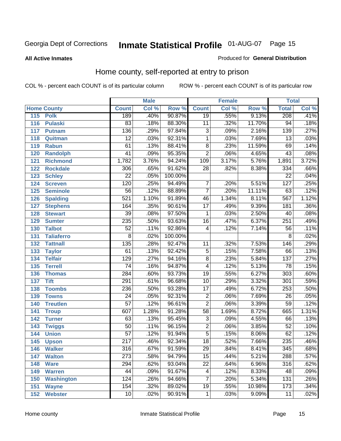### **All Active Inmates**

### Produced for **General Distribution**

# Home county, self-reported at entry to prison

|     |                    |                  | <b>Male</b> |         |                         | <b>Female</b> |        | <b>Total</b>     |                            |
|-----|--------------------|------------------|-------------|---------|-------------------------|---------------|--------|------------------|----------------------------|
|     | <b>Home County</b> | <b>Count</b>     | Col %       | Row %   | <b>Count</b>            | Col %         | Row %  | <b>Total</b>     | $\overline{\text{Col }^9}$ |
| 115 | <b>Polk</b>        | 189              | .40%        | 90.87%  | $\overline{19}$         | .55%          | 9.13%  | 208              | .41%                       |
| 116 | <b>Pulaski</b>     | 83               | .18%        | 88.30%  | 11                      | .32%          | 11.70% | $\overline{94}$  | .18%                       |
| 117 | <b>Putnam</b>      | 136              | .29%        | 97.84%  | $\overline{3}$          | .09%          | 2.16%  | 139              | .27%                       |
| 118 | Quitman            | $\overline{12}$  | .03%        | 92.31%  | $\overline{1}$          | .03%          | 7.69%  | $\overline{13}$  | .03%                       |
| 119 | <b>Rabun</b>       | 61               | .13%        | 88.41%  | $\overline{8}$          | .23%          | 11.59% | 69               | .14%                       |
| 120 | <b>Randolph</b>    | $\overline{41}$  | .09%        | 95.35%  | $\overline{2}$          | .06%          | 4.65%  | 43               | .08%                       |
| 121 | <b>Richmond</b>    | 1,782            | 3.76%       | 94.24%  | $\overline{109}$        | 3.17%         | 5.76%  | 1,891            | 3.72%                      |
| 122 | <b>Rockdale</b>    | 306              | .65%        | 91.62%  | $\overline{28}$         | .82%          | 8.38%  | $\frac{1}{334}$  | .66%                       |
| 123 | <b>Schley</b>      | $\overline{22}$  | .05%        | 100.00% |                         |               |        | $\overline{22}$  | .04%                       |
| 124 | <b>Screven</b>     | 120              | .25%        | 94.49%  | 7                       | .20%          | 5.51%  | $\overline{127}$ | .25%                       |
| 125 | <b>Seminole</b>    | $\overline{56}$  | .12%        | 88.89%  | $\overline{7}$          | .20%          | 11.11% | 63               | .12%                       |
| 126 | <b>Spalding</b>    | 521              | 1.10%       | 91.89%  | 46                      | 1.34%         | 8.11%  | 567              | 1.12%                      |
| 127 | <b>Stephens</b>    | 164              | .35%        | 90.61%  | $\overline{17}$         | .49%          | 9.39%  | 181              | .36%                       |
| 128 | <b>Stewart</b>     | $\overline{39}$  | .08%        | 97.50%  | 1                       | .03%          | 2.50%  | $\overline{40}$  | .08%                       |
| 129 | <b>Sumter</b>      | 235              | .50%        | 93.63%  | $\overline{16}$         | .47%          | 6.37%  | 251              | .49%                       |
| 130 | <b>Talbot</b>      | $\overline{52}$  | .11%        | 92.86%  | 4                       | .12%          | 7.14%  | 56               | .11%                       |
| 131 | <b>Taliaferro</b>  | $\overline{8}$   | .02%        | 100.00% |                         |               |        | 8                | .02%                       |
| 132 | <b>Tattnall</b>    | 135              | .28%        | 92.47%  | 11                      | .32%          | 7.53%  | 146              | .29%                       |
| 133 | <b>Taylor</b>      | 61               | .13%        | 92.42%  | $\overline{5}$          | .15%          | 7.58%  | 66               | .13%                       |
| 134 | <b>Telfair</b>     | $\overline{129}$ | .27%        | 94.16%  | $\overline{8}$          | .23%          | 5.84%  | 137              | .27%                       |
| 135 | <b>Terrell</b>     | $\overline{74}$  | .16%        | 94.87%  | $\overline{\mathbf{4}}$ | .12%          | 5.13%  | 78               | .15%                       |
| 136 | <b>Thomas</b>      | 284              | .60%        | 93.73%  | $\overline{19}$         | .55%          | 6.27%  | $\overline{303}$ | .60%                       |
| 137 | <b>Tift</b>        | $\overline{291}$ | .61%        | 96.68%  | $\overline{10}$         | .29%          | 3.32%  | $\overline{301}$ | .59%                       |
| 138 | <b>Toombs</b>      | 236              | .50%        | 93.28%  | $\overline{17}$         | .49%          | 6.72%  | 253              | .50%                       |
| 139 | <b>Towns</b>       | $\overline{24}$  | .05%        | 92.31%  | $\overline{2}$          | .06%          | 7.69%  | $\overline{26}$  | .05%                       |
| 140 | <b>Treutlen</b>    | $\overline{57}$  | .12%        | 96.61%  | $\overline{2}$          | .06%          | 3.39%  | $\overline{59}$  | .12%                       |
| 141 | <b>Troup</b>       | 607              | 1.28%       | 91.28%  | $\overline{58}$         | 1.69%         | 8.72%  | 665              | 1.31%                      |
| 142 | <b>Turner</b>      | 63               | .13%        | 95.45%  | $\overline{3}$          | .09%          | 4.55%  | 66               | .13%                       |
| 143 | <b>Twiggs</b>      | $\overline{50}$  | .11%        | 96.15%  | $\overline{2}$          | .06%          | 3.85%  | 52               | .10%                       |
| 144 | <b>Union</b>       | $\overline{57}$  | .12%        | 91.94%  | $\overline{5}$          | .15%          | 8.06%  | 62               | .12%                       |
| 145 | <b>Upson</b>       | $\overline{217}$ | .46%        | 92.34%  | $\overline{18}$         | .52%          | 7.66%  | 235              | .46%                       |
| 146 | <b>Walker</b>      | 316              | .67%        | 91.59%  | 29                      | .84%          | 8.41%  | 345              | .68%                       |
| 147 | <b>Walton</b>      | $\overline{273}$ | .58%        | 94.79%  | $\overline{15}$         | .44%          | 5.21%  | 288              | .57%                       |
| 148 | <b>Ware</b>        | 294              | .62%        | 93.04%  | $\overline{22}$         | .64%          | 6.96%  | 316              | .62%                       |
| 149 | <b>Warren</b>      | 44               | .09%        | 91.67%  | 4                       | .12%          | 8.33%  | 48               | .09%                       |
| 150 | <b>Washington</b>  | 124              | .26%        | 94.66%  | $\overline{7}$          | .20%          | 5.34%  | 131              | .26%                       |
| 151 | <b>Wayne</b>       | 154              | .32%        | 89.02%  | $\overline{19}$         | .55%          | 10.98% | 173              | .34%                       |
| 152 | <b>Webster</b>     | $\overline{10}$  | .02%        | 90.91%  | 1                       | .03%          | 9.09%  | $\overline{11}$  | .02%                       |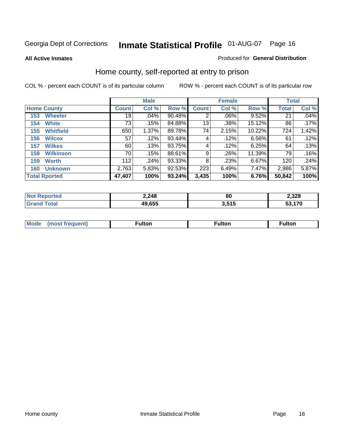### **All Active Inmates**

### Produced for **General Distribution**

# Home county, self-reported at entry to prison

|                      |                  | <b>Male</b>  |       |        |              | <b>Female</b> |        | <b>Total</b> |       |
|----------------------|------------------|--------------|-------|--------|--------------|---------------|--------|--------------|-------|
| <b>Home County</b>   |                  | <b>Count</b> | Col % | Row %  | <b>Count</b> | Col %         | Row %  | <b>Total</b> | Col % |
| 153                  | <b>Wheeler</b>   | 19           | .04%  | 90.48% | 2            | .06%          | 9.52%  | 21           | .04%  |
| 154                  | <b>White</b>     | 73           | .15%  | 84.88% | 13           | .38%          | 15.12% | 86           | .17%  |
| 155                  | <b>Whitfield</b> | 650          | 1.37% | 89.78% | 74           | 2.15%         | 10.22% | 724          | 1.42% |
| 156                  | <b>Wilcox</b>    | 57           | .12%  | 93.44% | 4            | .12%          | 6.56%  | 61           | .12%  |
| 157                  | <b>Wilkes</b>    | 60           | .13%  | 93.75% | 4            | .12%          | 6.25%  | 64           | .13%  |
| 158                  | <b>Wilkinson</b> | 70           | .15%  | 88.61% | 9            | .26%          | 11.39% | 79           | .16%  |
| 159                  | <b>Worth</b>     | 112          | .24%  | 93.33% | 8            | .23%          | 6.67%  | 120          | .24%  |
| 160                  | <b>Unknown</b>   | 2,763        | 5.83% | 92.53% | 223          | 6.49%         | 7.47%  | 2,986        | 5.87% |
| <b>Total Rported</b> |                  | 47,407       | 100%  | 93.24% | 3,435        | 100%          | 6.76%  | 50,842       | 100%  |

| ported<br>NO. | 2,248  | 80                    | 2,328 |
|---------------|--------|-----------------------|-------|
| otal          | 49,655 | <b>646</b><br>J.J I J | 170   |

| <b>Mode</b> | مرمية الرار | ™ulton | uiton |
|-------------|-------------|--------|-------|
|             |             |        |       |
|             |             |        |       |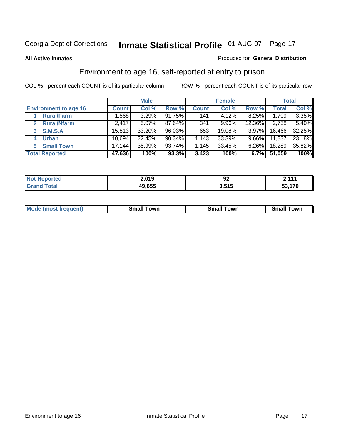#### **All Active Inmates**

### Produced for **General Distribution**

# Environment to age 16, self-reported at entry to prison

|                                      | <b>Male</b>  |        | <b>Female</b> |              |        | <b>Total</b> |        |        |
|--------------------------------------|--------------|--------|---------------|--------------|--------|--------------|--------|--------|
| <b>Environment to age 16</b>         | <b>Count</b> | Col %  | Row %         | <b>Count</b> | Col %  | Row %        | Total  | Col %  |
| <b>Rural/Farm</b>                    | ,568         | 3.29%  | 91.75%        | 141          | 4.12%  | 8.25%        | 1,709  | 3.35%  |
| <b>Rural/Nfarm</b><br>$\overline{2}$ | 2,417        | 5.07%  | 87.64%        | 341          | 9.96%  | 12.36%       | 2,758  | 5.40%  |
| 3 S.M.S.A                            | 15,813       | 33.20% | 96.03%        | 653          | 19.08% | 3.97%        | 16,466 | 32.25% |
| <b>Urban</b><br>4                    | 10,694       | 22.45% | 90.34%        | 1,143        | 33.39% | $9.66\%$     | 11,837 | 23.18% |
| <b>Small Town</b><br>5.              | 17,144       | 35.99% | 93.74%        | 1,145        | 33.45% | 6.26%        | 18,289 | 35.82% |
| <b>Total Reported</b>                | 47,636       | 100%   | $93.3\%$      | 3,423        | 100%   | 6.7%         | 51,059 | 100%   |

| Reported<br><b>Not</b> | 2,019  | ΩC.<br>JZ | 2.111     |
|------------------------|--------|-----------|-----------|
| Total                  | 49,655 | 3,515     | 170<br>-^ |

| <b>Mode</b><br>requent)<br>. | owr<br>imall | <b>Smal</b><br>owr | <b>TOW</b> |
|------------------------------|--------------|--------------------|------------|
|                              |              |                    |            |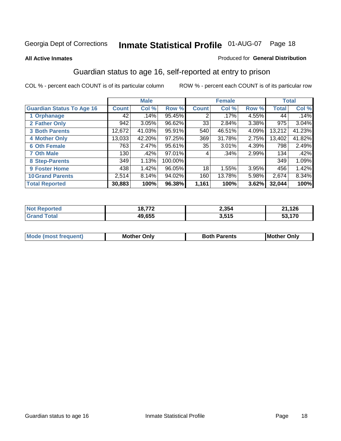### **All Active Inmates**

### Produced for **General Distribution**

# Guardian status to age 16, self-reported at entry to prison

|                                  |              | <b>Male</b> |         |              | <b>Female</b> |       |              | <b>Total</b> |
|----------------------------------|--------------|-------------|---------|--------------|---------------|-------|--------------|--------------|
| <b>Guardian Status To Age 16</b> | <b>Count</b> | Col %       | Row %   | <b>Count</b> | Col %         | Row % | <b>Total</b> | Col %        |
| 1 Orphanage                      | 42           | .14%        | 95.45%  | 2            | .17%          | 4.55% | 44           | .14%         |
| 2 Father Only                    | 942          | 3.05%       | 96.62%  | 33           | 2.84%         | 3.38% | 975          | 3.04%        |
| <b>3 Both Parents</b>            | 12,672       | 41.03%      | 95.91%  | 540          | 46.51%        | 4.09% | 13,212       | 41.23%       |
| <b>4 Mother Only</b>             | 13,033       | 42.20%      | 97.25%  | 369          | 31.78%        | 2.75% | 13,402       | 41.82%       |
| <b>6 Oth Female</b>              | 763          | 2.47%       | 95.61%  | 35           | $3.01\%$      | 4.39% | 798          | 2.49%        |
| <b>7 Oth Male</b>                | 130          | .42%        | 97.01%  | 4            | $.34\%$       | 2.99% | 134          | .42%         |
| 8 Step-Parents                   | 349          | 1.13%       | 100.00% |              |               |       | 349          | 1.09%        |
| 9 Foster Home                    | 438          | 1.42%       | 96.05%  | 18           | 1.55%         | 3.95% | 456          | 1.42%        |
| <b>10 Grand Parents</b>          | 2,514        | 8.14%       | 94.02%  | 160          | 13.78%        | 5.98% | 2,674        | $8.34\%$     |
| <b>Total Reported</b>            | 30,883       | 100%        | 96.38%  | 1,161        | 100%          | 3.62% | 32,044       | 100%         |

| . No | $- - -$<br>8. | 2,354 | 126<br>ኅ4 |
|------|---------------|-------|-----------|
|      | 19.655        | 3,515 | 170       |

| <b>Mode</b>           | วทIง | 'arents | <b>I</b> Mother |
|-----------------------|------|---------|-----------------|
| hחםו וחב <sup>י</sup> | M/   |         | Only            |
|                       |      |         |                 |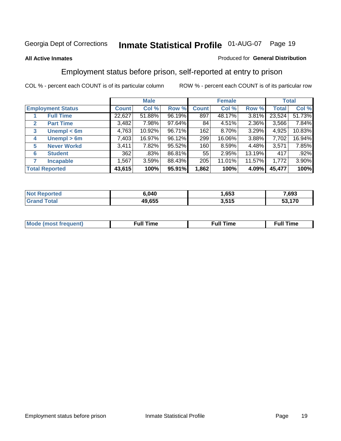### **All Active Inmates**

### Produced for **General Distribution**

# Employment status before prison, self-reported at entry to prison

|                          |                    | <b>Male</b>  |        |        | <b>Female</b> |        |        | <b>Total</b> |        |
|--------------------------|--------------------|--------------|--------|--------|---------------|--------|--------|--------------|--------|
| <b>Employment Status</b> |                    | <b>Count</b> | Col %  | Row %  | <b>Count</b>  | Col %  | Row %  | Total        | Col %  |
|                          | <b>Full Time</b>   | 22,627       | 51.88% | 96.19% | 897           | 48.17% | 3.81%  | 23,524       | 51.73% |
| $\mathbf{2}$             | <b>Part Time</b>   | 3,482        | 7.98%  | 97.64% | 84            | 4.51%  | 2.36%  | 3,566        | 7.84%  |
| 3                        | Unempl $<$ 6m      | 4,763        | 10.92% | 96.71% | 162           | 8.70%  | 3.29%  | 4,925        | 10.83% |
| 4                        | Unempl > 6m        | 7,403        | 16.97% | 96.12% | 299           | 16.06% | 3.88%  | 7,702        | 16.94% |
| 5                        | <b>Never Workd</b> | 3,411        | 7.82%  | 95.52% | 160           | 8.59%  | 4.48%  | 3,571        | 7.85%  |
| 6                        | <b>Student</b>     | 362          | .83%   | 86.81% | 55            | 2.95%  | 13.19% | 417          | .92%   |
| 7                        | <b>Incapable</b>   | 1,567        | 3.59%  | 88.43% | 205           | 11.01% | 11.57% | 1,772        | 3.90%  |
| <b>Total Reported</b>    |                    | 43,615       | 100%   | 95.91% | 1,862         | 100%   | 4.09%  | 45,477       | 100%   |

| ነ.040  | $\mathbf{A}$<br>ರಿತಿತಿ | 7,693         |
|--------|------------------------|---------------|
| 49.655 | J EAE I<br>r 13        | $\rightarrow$ |

| <b>M</b> ດ | the contract of the contract of the contract of the contract of the contract of the contract of the contract of | the contract of the contract of the contract of the contract of the contract of the contract of the contract of | ----<br><b>Full Time</b> |
|------------|-----------------------------------------------------------------------------------------------------------------|-----------------------------------------------------------------------------------------------------------------|--------------------------|
|            |                                                                                                                 |                                                                                                                 |                          |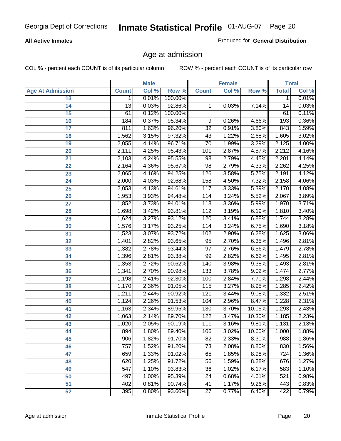### **All Active Inmates**

Produced for **General Distribution**

# Age at admission

|                         |              | <b>Male</b> |         |                  | <b>Female</b> |        |              | <b>Total</b> |
|-------------------------|--------------|-------------|---------|------------------|---------------|--------|--------------|--------------|
| <b>Age At Admission</b> | <b>Count</b> | Col %       | Row %   | <b>Count</b>     | Col %         | Row %  | <b>Total</b> | Col %        |
| 13                      | 1            | 0.01%       | 100.00% |                  |               |        | 1            | 0.01%        |
| 14                      | 13           | 0.03%       | 92.86%  | 1                | 0.03%         | 7.14%  | 14           | 0.03%        |
| $\overline{15}$         | 61           | 0.12%       | 100.00% |                  |               |        | 61           | 0.11%        |
| 16                      | 184          | 0.37%       | 95.34%  | 9                | 0.26%         | 4.66%  | 193          | 0.36%        |
| $\overline{17}$         | 811          | 1.63%       | 96.20%  | $\overline{32}$  | 0.91%         | 3.80%  | 843          | 1.59%        |
| 18                      | 1,562        | 3.15%       | 97.32%  | 43               | 1.22%         | 2.68%  | 1,605        | 3.02%        |
| 19                      | 2,055        | 4.14%       | 96.71%  | $\overline{70}$  | 1.99%         | 3.29%  | 2,125        | 4.00%        |
| 20                      | 2,111        | 4.25%       | 95.43%  | 101              | 2.87%         | 4.57%  | 2,212        | 4.16%        |
| 21                      | 2,103        | 4.24%       | 95.55%  | 98               | 2.79%         | 4.45%  | 2,201        | 4.14%        |
| 22                      | 2,164        | 4.36%       | 95.67%  | $\overline{98}$  | 2.79%         | 4.33%  | 2,262        | 4.25%        |
| 23                      | 2,065        | 4.16%       | 94.25%  | 126              | 3.58%         | 5.75%  | 2,191        | 4.12%        |
| 24                      | 2,000        | 4.03%       | 92.68%  | 158              | 4.50%         | 7.32%  | 2,158        | 4.06%        |
| $\overline{25}$         | 2,053        | 4.13%       | 94.61%  | 117              | 3.33%         | 5.39%  | 2,170        | 4.08%        |
| 26                      | 1,953        | 3.93%       | 94.48%  | 114              | 3.24%         | 5.52%  | 2,067        | 3.89%        |
| 27                      | 1,852        | 3.73%       | 94.01%  | 118              | 3.36%         | 5.99%  | 1,970        | 3.71%        |
| 28                      | 1,698        | 3.42%       | 93.81%  | 112              | 3.19%         | 6.19%  | 1,810        | 3.40%        |
| 29                      | 1,624        | 3.27%       | 93.12%  | 120              | 3.41%         | 6.88%  | 1,744        | 3.28%        |
| 30                      | 1,576        | 3.17%       | 93.25%  | 114              | 3.24%         | 6.75%  | 1,690        | 3.18%        |
| 31                      | 1,523        | 3.07%       | 93.72%  | 102              | 2.90%         | 6.28%  | 1,625        | 3.06%        |
| 32                      | 1,401        | 2.82%       | 93.65%  | 95               | 2.70%         | 6.35%  | 1,496        | 2.81%        |
| 33                      | 1,382        | 2.78%       | 93.44%  | $\overline{97}$  | 2.76%         | 6.56%  | 1,479        | 2.78%        |
| 34                      | 1,396        | 2.81%       | 93.38%  | 99               | 2.82%         | 6.62%  | 1,495        | 2.81%        |
| 35                      | 1,353        | 2.72%       | 90.62%  | 140              | 3.98%         | 9.38%  | 1,493        | 2.81%        |
| 36                      | 1,341        | 2.70%       | 90.98%  | $\overline{133}$ | 3.78%         | 9.02%  | 1,474        | 2.77%        |
| 37                      | 1,198        | 2.41%       | 92.30%  | 100              | 2.84%         | 7.70%  | 1,298        | 2.44%        |
| 38                      | 1,170        | 2.36%       | 91.05%  | 115              | 3.27%         | 8.95%  | 1,285        | 2.42%        |
| 39                      | 1,211        | 2.44%       | 90.92%  | 121              | 3.44%         | 9.08%  | 1,332        | 2.51%        |
| 40                      | 1,124        | 2.26%       | 91.53%  | 104              | 2.96%         | 8.47%  | 1,228        | 2.31%        |
| 41                      | 1,163        | 2.34%       | 89.95%  | 130              | 3.70%         | 10.05% | 1,293        | 2.43%        |
| 42                      | 1,063        | 2.14%       | 89.70%  | 122              | 3.47%         | 10.30% | 1,185        | 2.23%        |
| 43                      | 1,020        | 2.05%       | 90.19%  | 111              | 3.16%         | 9.81%  | 1,131        | 2.13%        |
| 44                      | 894          | 1.80%       | 89.40%  | 106              | 3.02%         | 10.60% | 1,000        | 1.88%        |
| 45                      | 906          | 1.82%       | 91.70%  | 82               | 2.33%         | 8.30%  | 988          | 1.86%        |
| 46                      | 757          | 1.52%       | 91.20%  | 73               | 2.08%         | 8.80%  | 830          | 1.56%        |
| 47                      | 659          | 1.33%       | 91.02%  | 65               | 1.85%         | 8.98%  | 724          | 1.36%        |
| 48                      | 620          | 1.25%       | 91.72%  | 56               | 1.59%         | 8.28%  | 676          | 1.27%        |
| 49                      | 547          | 1.10%       | 93.83%  | 36               | 1.02%         | 6.17%  | 583          | 1.10%        |
| 50                      | 497          | 1.00%       | 95.39%  | 24               | 0.68%         | 4.61%  | 521          | 0.98%        |
| 51                      | 402          | 0.81%       | 90.74%  | 41               | 1.17%         | 9.26%  | 443          | 0.83%        |
| 52                      | 395          | 0.80%       | 93.60%  | 27               | 0.77%         | 6.40%  | 422          | 0.79%        |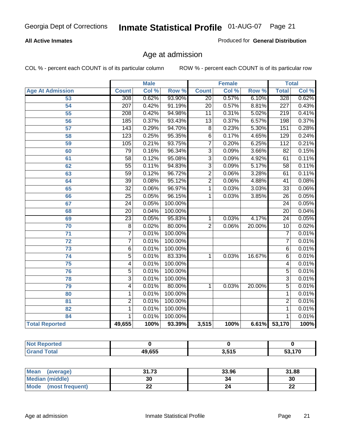### **All Active Inmates**

Produced for **General Distribution**

# Age at admission

|                          | <b>Male</b>      |       | <b>Female</b> |                 |       | <b>Total</b> |                  |       |
|--------------------------|------------------|-------|---------------|-----------------|-------|--------------|------------------|-------|
| <b>Age At Admission</b>  | <b>Count</b>     | Col % | Row %         | <b>Count</b>    | Col % | Row %        | <b>Total</b>     | Col % |
| 53                       | $\overline{308}$ | 0.62% | 93.90%        | $\overline{20}$ | 0.57% | 6.10%        | 328              | 0.62% |
| 54                       | $\overline{207}$ | 0.42% | 91.19%        | $\overline{20}$ | 0.57% | 8.81%        | $\overline{227}$ | 0.43% |
| $\overline{55}$          | 208              | 0.42% | 94.98%        | 11              | 0.31% | 5.02%        | 219              | 0.41% |
| $\overline{56}$          | 185              | 0.37% | 93.43%        | $\overline{13}$ | 0.37% | 6.57%        | 198              | 0.37% |
| $\overline{57}$          | 143              | 0.29% | 94.70%        | $\overline{8}$  | 0.23% | 5.30%        | 151              | 0.28% |
| 58                       | 123              | 0.25% | 95.35%        | $\overline{6}$  | 0.17% | 4.65%        | 129              | 0.24% |
| 59                       | 105              | 0.21% | 93.75%        | 7               | 0.20% | 6.25%        | 112              | 0.21% |
| 60                       | $\overline{79}$  | 0.16% | 96.34%        | $\overline{3}$  | 0.09% | 3.66%        | $\overline{82}$  | 0.15% |
| 61                       | $\overline{58}$  | 0.12% | 95.08%        | $\overline{3}$  | 0.09% | 4.92%        | 61               | 0.11% |
| 62                       | $\overline{55}$  | 0.11% | 94.83%        | $\overline{3}$  | 0.09% | 5.17%        | $\overline{58}$  | 0.11% |
| 63                       | $\overline{59}$  | 0.12% | 96.72%        | $\overline{2}$  | 0.06% | 3.28%        | 61               | 0.11% |
| 64                       | $\overline{39}$  | 0.08% | 95.12%        | $\overline{2}$  | 0.06% | 4.88%        | 41               | 0.08% |
| 65                       | $\overline{32}$  | 0.06% | 96.97%        | 1               | 0.03% | 3.03%        | $\overline{33}$  | 0.06% |
| 66                       | $\overline{25}$  | 0.05% | 96.15%        | 1               | 0.03% | 3.85%        | $\overline{26}$  | 0.05% |
| 67                       | 24               | 0.05% | 100.00%       |                 |       |              | $\overline{24}$  | 0.05% |
| 68                       | $\overline{20}$  | 0.04% | 100.00%       |                 |       |              | $\overline{20}$  | 0.04% |
| 69                       | $\overline{23}$  | 0.05% | 95.83%        | 1               | 0.03% | 4.17%        | 24               | 0.05% |
| 70                       | $\overline{8}$   | 0.02% | 80.00%        | $\overline{2}$  | 0.06% | 20.00%       | $\overline{10}$  | 0.02% |
| 71                       | $\overline{7}$   | 0.01% | 100.00%       |                 |       |              | 7                | 0.01% |
| $\overline{72}$          | $\overline{7}$   | 0.01% | 100.00%       |                 |       |              | 7                | 0.01% |
| $\overline{73}$          | $\overline{6}$   | 0.01% | 100.00%       |                 |       |              | $\overline{6}$   | 0.01% |
| 74                       | $\overline{5}$   | 0.01% | 83.33%        | 1               | 0.03% | 16.67%       | $\overline{6}$   | 0.01% |
| $\overline{75}$          | 4                | 0.01% | 100.00%       |                 |       |              | 4                | 0.01% |
| 76                       | $\overline{5}$   | 0.01% | 100.00%       |                 |       |              | 5                | 0.01% |
| 78                       | $\overline{3}$   | 0.01% | 100.00%       |                 |       |              | $\overline{3}$   | 0.01% |
| 79                       | 4                | 0.01% | 80.00%        | 1               | 0.03% | 20.00%       | $\overline{5}$   | 0.01% |
| 80                       | 1                | 0.01% | 100.00%       |                 |       |              | 1                | 0.01% |
| $\overline{\mathbf{81}}$ | $\overline{2}$   | 0.01% | 100.00%       |                 |       |              | $\overline{2}$   | 0.01% |
| $\overline{82}$          | 1                | 0.01% | 100.00%       |                 |       |              | 1                | 0.01% |
| 84                       | 1                | 0.01% | 100.00%       |                 |       |              | 1                | 0.01% |
| <b>Total Reported</b>    | 49,655           | 100%  | 93.39%        | 3,515           | 100%  |              | 6.61% 53,170     | 100%  |

| <b>Not Reported</b> |        |       |        |
|---------------------|--------|-------|--------|
| <b>Grand Total</b>  | 49,655 | 3,515 | 53,170 |

| <b>Mean</b><br>(average) | 31.73     | 33.96 | 31.88    |
|--------------------------|-----------|-------|----------|
| <b>Median (middle)</b>   | 30        | 34    | 30       |
| Mode<br>(most frequent)  | <u>__</u> |       | ^^<br>44 |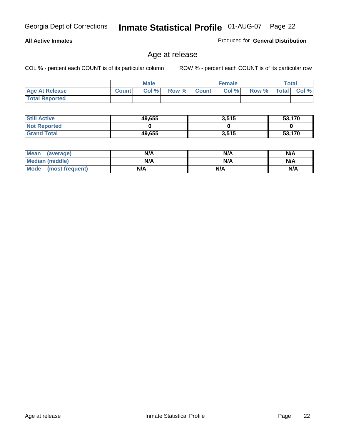### **All Active Inmates**

Produced for **General Distribution**

# Age at release

|                       | <b>Male</b>  |       |       | <b>Female</b> |       |       | Total        |       |
|-----------------------|--------------|-------|-------|---------------|-------|-------|--------------|-------|
| <b>Age At Release</b> | <b>Count</b> | Col % | Row % | <b>Count</b>  | Col % | Row % | <b>Total</b> | Col % |
| <b>Total Reported</b> |              |       |       |               |       |       |              |       |

| <b>Still Active</b> | 49,655 | 3,515 | 53,170 |
|---------------------|--------|-------|--------|
| <b>Not Reported</b> |        |       |        |
| <b>Grand Total</b>  | 49,655 | 3,515 | 53,170 |

| Mean (average)       | N/A | N/A | N/A |
|----------------------|-----|-----|-----|
| Median (middle)      | N/A | N/A | N/A |
| Mode (most frequent) | N/A | N/A | N/A |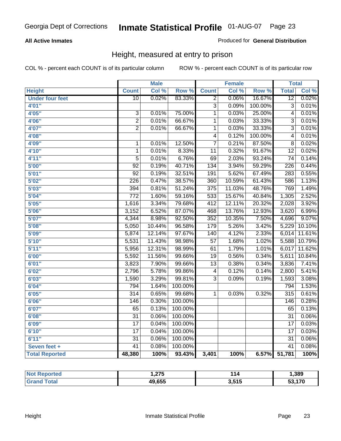### **All Active Inmates**

### Produced for **General Distribution**

# Height, measured at entry to prison

|                        |                  | <b>Male</b> |         |                         | <b>Female</b> |         | <b>Total</b>     |        |
|------------------------|------------------|-------------|---------|-------------------------|---------------|---------|------------------|--------|
| <b>Height</b>          | <b>Count</b>     | Col %       | Row %   | <b>Count</b>            | Col %         | Row %   | <b>Total</b>     | Col %  |
| <b>Under four feet</b> | $\overline{10}$  | 0.02%       | 83.33%  | 2                       | 0.06%         | 16.67%  | $\overline{12}$  | 0.02%  |
| 4'01''                 |                  |             |         | 3                       | 0.09%         | 100.00% | $\overline{3}$   | 0.01%  |
| 4'05"                  | 3                | $0.01\%$    | 75.00%  | 1                       | 0.03%         | 25.00%  | 4                | 0.01%  |
| 4'06"                  | $\overline{2}$   | 0.01%       | 66.67%  | 1                       | 0.03%         | 33.33%  | $\overline{3}$   | 0.01%  |
| 4'07"                  | $\overline{2}$   | 0.01%       | 66.67%  | $\overline{1}$          | 0.03%         | 33.33%  | $\overline{3}$   | 0.01%  |
| 4'08"                  |                  |             |         | $\overline{4}$          | 0.12%         | 100.00% | 4                | 0.01%  |
| 4'09"                  | $\mathbf 1$      | 0.01%       | 12.50%  | $\overline{7}$          | 0.21%         | 87.50%  | $\overline{8}$   | 0.02%  |
| 4'10"                  | $\overline{1}$   | 0.01%       | 8.33%   | $\overline{11}$         | 0.32%         | 91.67%  | $\overline{12}$  | 0.02%  |
| 4'11''                 | $\overline{5}$   | 0.01%       | 6.76%   | 69                      | 2.03%         | 93.24%  | $\overline{74}$  | 0.14%  |
| 5'00''                 | $\overline{92}$  | 0.19%       | 40.71%  | 134                     | 3.94%         | 59.29%  | $\overline{226}$ | 0.44%  |
| 5'01''                 | $\overline{92}$  | 0.19%       | 32.51%  | 191                     | 5.62%         | 67.49%  | 283              | 0.55%  |
| 5'02''                 | 226              | 0.47%       | 38.57%  | 360                     | 10.59%        | 61.43%  | 586              | 1.13%  |
| 5'03''                 | 394              | 0.81%       | 51.24%  | $\overline{375}$        | 11.03%        | 48.76%  | 769              | 1.49%  |
| 5'04"                  | $\overline{772}$ | 1.60%       | 59.16%  | 533                     | 15.67%        | 40.84%  | 1,305            | 2.52%  |
| 5'05''                 | 1,616            | 3.34%       | 79.68%  | 412                     | 12.11%        | 20.32%  | 2,028            | 3.92%  |
| 5'06''                 | 3,152            | 6.52%       | 87.07%  | 468                     | 13.76%        | 12.93%  | 3,620            | 6.99%  |
| 5'07''                 | 4,344            | 8.98%       | 92.50%  | 352                     | 10.35%        | 7.50%   | 4,696            | 9.07%  |
| 5'08''                 | 5,050            | 10.44%      | 96.58%  | 179                     | 5.26%         | 3.42%   | 5,229            | 10.10% |
| 5'09''                 | 5,874            | 12.14%      | 97.67%  | 140                     | 4.12%         | 2.33%   | 6,014            | 11.61% |
| 5'10''                 | 5,531            | 11.43%      | 98.98%  | $\overline{57}$         | 1.68%         | 1.02%   | 5,588            | 10.79% |
| 5'11''                 | 5,956            | 12.31%      | 98.99%  | 61                      | 1.79%         | 1.01%   | 6,017            | 11.62% |
| 6'00''                 | 5,592            | 11.56%      | 99.66%  | $\overline{19}$         | 0.56%         | 0.34%   | 5,611            | 10.84% |
| 6'01''                 | 3,823            | 7.90%       | 99.66%  | $\overline{13}$         | 0.38%         | 0.34%   | 3,836            | 7.41%  |
| 6'02''                 | 2,796            | 5.78%       | 99.86%  | $\overline{\mathbf{4}}$ | 0.12%         | 0.14%   | 2,800            | 5.41%  |
| 6'03''                 | 1,590            | 3.29%       | 99.81%  | $\overline{3}$          | 0.09%         | 0.19%   | 1,593            | 3.08%  |
| 6'04''                 | 794              | 1.64%       | 100.00% |                         |               |         | 794              | 1.53%  |
| 6'05''                 | $\overline{314}$ | 0.65%       | 99.68%  | 1                       | 0.03%         | 0.32%   | 315              | 0.61%  |
| 6'06''                 | 146              | 0.30%       | 100.00% |                         |               |         | 146              | 0.28%  |
| 6'07''                 | 65               | 0.13%       | 100.00% |                         |               |         | 65               | 0.13%  |
| 6'08''                 | $\overline{31}$  | 0.06%       | 100.00% |                         |               |         | $\overline{31}$  | 0.06%  |
| 6'09''                 | $\overline{17}$  | 0.04%       | 100.00% |                         |               |         | 17               | 0.03%  |
| 6'10''                 | $\overline{17}$  | 0.04%       | 100.00% |                         |               |         | 17               | 0.03%  |
| 6'11''                 | $\overline{31}$  | 0.06%       | 100.00% |                         |               |         | $\overline{31}$  | 0.06%  |
| Seven feet +           | $\overline{41}$  | 0.08%       | 100.00% |                         |               |         | $\overline{41}$  | 0.08%  |
| <b>Total Reported</b>  | 48,380           | 100%        | 93.43%  | 3,401                   | 100%          | 6.57%   | 51,781           | 100%   |

| <b>Reported</b><br>' NOT | ・ヘフド<br>. . <i>.</i> | l 14                        | 389, ا |
|--------------------------|----------------------|-----------------------------|--------|
| <b>cotal</b><br>. Grat   | 49,655               | 2 <sub>515</sub><br>J.J I J | 53,170 |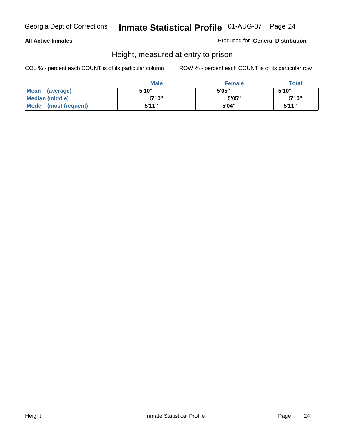### **All Active Inmates**

### Produced for **General Distribution**

# Height, measured at entry to prison

|                      | <b>Male</b> | <b>Female</b> | <b>Total</b> |
|----------------------|-------------|---------------|--------------|
| Mean (average)       | 5'10"       | 5'05"         | 5'10''       |
| Median (middle)      | 5'10"       | 5'05"         | 5'10"        |
| Mode (most frequent) | 5'11"       | 5'04"         | 5'11"        |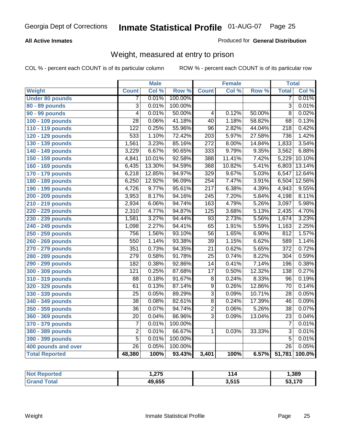### **All Active Inmates**

### Produced for **General Distribution**

# Weight, measured at entry to prison

|                        |                           | <b>Male</b> |                  |                  | <b>Female</b> |        | <b>Total</b>     |        |
|------------------------|---------------------------|-------------|------------------|------------------|---------------|--------|------------------|--------|
| Weight                 | <b>Count</b>              | Col %       | Row <sup>%</sup> | <b>Count</b>     | Col %         | Row %  | <b>Total</b>     | Col %  |
| <b>Under 80 pounds</b> | 7                         | 0.01%       | 100.00%          |                  |               |        | 7                | 0.01%  |
| 80 - 89 pounds         | $\overline{\overline{3}}$ | 0.01%       | 100.00%          |                  |               |        | $\overline{3}$   | 0.01%  |
| 90 - 99 pounds         | $\overline{4}$            | 0.01%       | 50.00%           | $\overline{4}$   | 0.12%         | 50.00% | $\overline{8}$   | 0.02%  |
| 100 - 109 pounds       | $\overline{28}$           | 0.06%       | 41.18%           | $\overline{40}$  | 1.18%         | 58.82% | $\overline{68}$  | 0.13%  |
| 110 - 119 pounds       | $\overline{122}$          | 0.25%       | 55.96%           | $\overline{96}$  | 2.82%         | 44.04% | $\overline{218}$ | 0.42%  |
| 120 - 129 pounds       | 533                       | 1.10%       | 72.42%           | $\overline{203}$ | 5.97%         | 27.58% | 736              | 1.42%  |
| 130 - 139 pounds       | 1,561                     | 3.23%       | 85.16%           | $\overline{272}$ | 8.00%         | 14.84% | 1,833            | 3.54%  |
| 140 - 149 pounds       | 3,229                     | 6.67%       | 90.65%           | $\overline{333}$ | 9.79%         | 9.35%  | 3,562            | 6.88%  |
| 150 - 159 pounds       | 4,841                     | 10.01%      | 92.58%           | 388              | 11.41%        | 7.42%  | 5,229            | 10.10% |
| 160 - 169 pounds       | 6,435                     | 13.30%      | 94.59%           | 368              | 10.82%        | 5.41%  | 6,803            | 13.14% |
| 170 - 179 pounds       | 6,218                     | 12.85%      | 94.97%           | 329              | 9.67%         | 5.03%  | 6,547            | 12.64% |
| 180 - 189 pounds       | 6,250                     | 12.92%      | 96.09%           | 254              | 7.47%         | 3.91%  | 6,504            | 12.56% |
| 190 - 199 pounds       | 4,726                     | 9.77%       | 95.61%           | $\overline{217}$ | 6.38%         | 4.39%  | 4,943            | 9.55%  |
| 200 - 209 pounds       | 3,953                     | 8.17%       | 94.16%           | $\overline{245}$ | 7.20%         | 5.84%  | 4,198            | 8.11%  |
| 210 - 219 pounds       | 2,934                     | 6.06%       | 94.74%           | 163              | 4.79%         | 5.26%  | 3,097            | 5.98%  |
| 220 - 229 pounds       | 2,310                     | 4.77%       | 94.87%           | $\overline{125}$ | 3.68%         | 5.13%  | 2,435            | 4.70%  |
| 230 - 239 pounds       | 1,581                     | 3.27%       | 94.44%           | $\overline{93}$  | 2.73%         | 5.56%  | 1,674            | 3.23%  |
| 240 - 249 pounds       | 1,098                     | 2.27%       | 94.41%           | $\overline{65}$  | 1.91%         | 5.59%  | 1,163            | 2.25%  |
| 250 - 259 pounds       | 756                       | 1.56%       | 93.10%           | $\overline{56}$  | 1.65%         | 6.90%  | 812              | 1.57%  |
| 260 - 269 pounds       | 550                       | 1.14%       | 93.38%           | $\overline{39}$  | 1.15%         | 6.62%  | 589              | 1.14%  |
| 270 - 279 pounds       | 351                       | 0.73%       | 94.35%           | $\overline{21}$  | 0.62%         | 5.65%  | $\overline{372}$ | 0.72%  |
| 280 - 289 pounds       | $\overline{279}$          | 0.58%       | 91.78%           | $\overline{25}$  | 0.74%         | 8.22%  | 304              | 0.59%  |
| 290 - 299 pounds       | 182                       | 0.38%       | 92.86%           | $\overline{14}$  | 0.41%         | 7.14%  | 196              | 0.38%  |
| 300 - 309 pounds       | $\overline{121}$          | 0.25%       | 87.68%           | $\overline{17}$  | 0.50%         | 12.32% | 138              | 0.27%  |
| 310 - 319 pounds       | $\overline{88}$           | 0.18%       | 91.67%           | $\overline{8}$   | 0.24%         | 8.33%  | $\overline{96}$  | 0.19%  |
| 320 - 329 pounds       | 61                        | 0.13%       | 87.14%           | $\overline{9}$   | 0.26%         | 12.86% | 70               | 0.14%  |
| 330 - 339 pounds       | $\overline{25}$           | 0.05%       | 89.29%           | $\overline{3}$   | 0.09%         | 10.71% | $\overline{28}$  | 0.05%  |
| 340 - 349 pounds       | 38                        | 0.08%       | 82.61%           | $\overline{8}$   | 0.24%         | 17.39% | 46               | 0.09%  |
| 350 - 359 pounds       | $\overline{36}$           | 0.07%       | 94.74%           | $\overline{2}$   | 0.06%         | 5.26%  | $\overline{38}$  | 0.07%  |
| 360 - 369 pounds       | $\overline{20}$           | 0.04%       | 86.96%           | $\overline{3}$   | 0.09%         | 13.04% | $\overline{23}$  | 0.04%  |
| 370 - 379 pounds       | $\overline{7}$            | 0.01%       | 100.00%          |                  |               |        | $\overline{7}$   | 0.01%  |
| 380 - 389 pounds       | $\overline{2}$            | 0.01%       | 66.67%           | 1                | 0.03%         | 33.33% | $\overline{3}$   | 0.01%  |
| 390 - 399 pounds       | $\overline{5}$            | 0.01%       | 100.00%          |                  |               |        | $\overline{5}$   | 0.01%  |
| 400 pounds and over    | $\overline{26}$           | 0.05%       | 100.00%          |                  |               |        | $\overline{26}$  | 0.05%  |
| <b>Total Reported</b>  | 48,380                    | 100%        | 93.43%           | 3,401            | 100%          | 6.57%  | 51,781           | 100.0% |

| Reported<br>' N∩t     | っつて<br>. J | 114                  | 389, ا |
|-----------------------|------------|----------------------|--------|
| <b>Total</b><br>' Gra | 49,655     | 2515<br><b>J.JIJ</b> | 53,170 |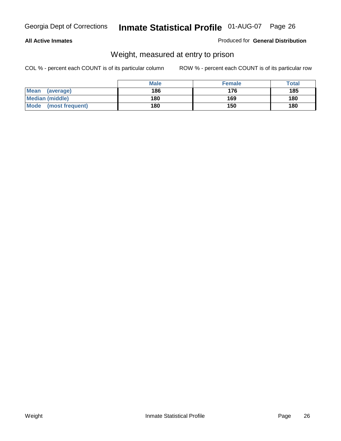### **All Active Inmates**

### Produced for **General Distribution**

# Weight, measured at entry to prison

|                         | <b>Male</b> | <b>Female</b> | Total |
|-------------------------|-------------|---------------|-------|
| Mean<br>(average)       | 186         | 176           | 185   |
| <b>Median (middle)</b>  | 180         | 169           | 180   |
| Mode<br>(most frequent) | 180         | 150           | 180   |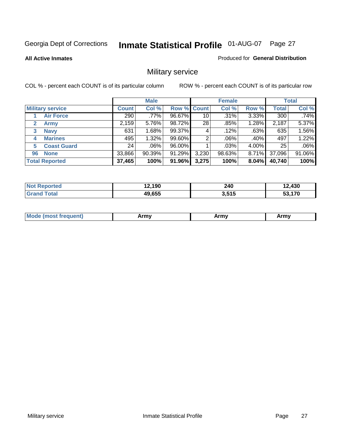### **All Active Inmates**

### Produced for **General Distribution**

# Military service

|                         |              | <b>Male</b> |             |                 | <b>Female</b> |       |              | <b>Total</b> |
|-------------------------|--------------|-------------|-------------|-----------------|---------------|-------|--------------|--------------|
| <b>Military service</b> | <b>Count</b> | Col %       | Row % Count |                 | Col %         | Row % | <b>Total</b> | Col %        |
| <b>Air Force</b>        | 290          | .77%        | 96.67%      | 10              | .31%          | 3.33% | 300          | .74%         |
| 2<br><b>Army</b>        | 2,159        | 5.76%       | 98.72%      | 28 <sub>1</sub> | .85%          | 1.28% | 2,187        | 5.37%        |
| <b>Navy</b><br>3        | 631          | 1.68%       | 99.37%      | 4               | .12%          | .63%  | 635          | 1.56%        |
| <b>Marines</b><br>4     | 495          | 1.32%       | 99.60%      | 2               | $.06\%$       | .40%  | 497          | 1.22%        |
| <b>Coast Guard</b><br>5 | 24           | .06%        | 96.00%      |                 | .03%          | 4.00% | 25           | .06%         |
| <b>None</b><br>96       | 33,866       | 90.39%      | 91.29%      | 3,230           | 98.63%        | 8.71% | 37,096       | 91.06%       |
| <b>Total Reported</b>   | 37,465       | 100%        | 91.96%      | 3,275           | 100%          | 8.04% | 40,740       | 100%         |

| <b>Not</b><br>oorted<br>uer | 12,190 | 240<br>__          | 2,430  |
|-----------------------------|--------|--------------------|--------|
| <b>Total</b>                | 49,655 | 2.515 L<br>ა.၁ I J | 53,170 |

|  | <b>Mou</b> | Army | Army | Army |
|--|------------|------|------|------|
|--|------------|------|------|------|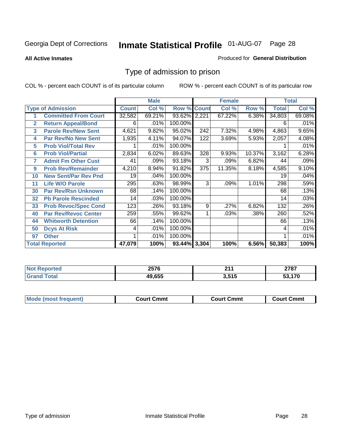#### **All Active Inmates**

### Produced for **General Distribution**

# Type of admission to prison

|                |                             |              | <b>Male</b> |                    |     | <b>Female</b> |        |              | <b>Total</b> |
|----------------|-----------------------------|--------------|-------------|--------------------|-----|---------------|--------|--------------|--------------|
|                | <b>Type of Admission</b>    | <b>Count</b> | Col %       | <b>Row % Count</b> |     | Col %         | Row %  | <b>Total</b> | Col %        |
|                | <b>Committed From Court</b> | 32,582       | 69.21%      | 93.62% 2,221       |     | 67.22%        | 6.38%  | 34,803       | 69.08%       |
| $\overline{2}$ | <b>Return Appeal/Bond</b>   | 6            | .01%        | 100.00%            |     |               |        | 6            | .01%         |
| 3              | <b>Parole Rev/New Sent</b>  | 4,621        | 9.82%       | 95.02%             | 242 | 7.32%         | 4.98%  | 4,863        | 9.65%        |
| 4              | <b>Par Rev/No New Sent</b>  | 1,935        | 4.11%       | 94.07%             | 122 | 3.69%         | 5.93%  | 2,057        | 4.08%        |
| 5              | <b>Prob Viol/Total Rev</b>  |              | .01%        | 100.00%            |     |               |        |              | .01%         |
| 6              | <b>Prob Viol/Partial</b>    | 2,834        | 6.02%       | 89.63%             | 328 | 9.93%         | 10.37% | 3,162        | 6.28%        |
| 7              | <b>Admit Fm Other Cust</b>  | 41           | .09%        | 93.18%             | 3   | .09%          | 6.82%  | 44           | .09%         |
| 9              | <b>Prob Rev/Remainder</b>   | 4,210        | 8.94%       | 91.82%             | 375 | 11.35%        | 8.18%  | 4,585        | 9.10%        |
| 10             | <b>New Sent/Par Rev Pnd</b> | 19           | .04%        | 100.00%            |     |               |        | 19           | .04%         |
| 11             | <b>Life W/O Parole</b>      | 295          | .63%        | 98.99%             | 3   | .09%          | 1.01%  | 298          | .59%         |
| 30             | <b>Par Rev/Rsn Unknown</b>  | 68           | .14%        | 100.00%            |     |               |        | 68           | .13%         |
| 32             | <b>Pb Parole Rescinded</b>  | 14           | .03%        | 100.00%            |     |               |        | 14           | .03%         |
| 33             | <b>Prob Revoc/Spec Cond</b> | 123          | .26%        | 93.18%             | 9   | .27%          | 6.82%  | 132          | .26%         |
| 40             | Par Rev/Revoc Center        | 259          | .55%        | 99.62%             |     | .03%          | .38%   | 260          | .52%         |
| 44             | <b>Whitworth Detention</b>  | 66           | .14%        | 100.00%            |     |               |        | 66           | .13%         |
| 50             | <b>Dcys At Risk</b>         | 4            | .01%        | 100.00%            |     |               |        | 4            | .01%         |
| 97             | <b>Other</b>                |              | .01%        | 100.00%            |     |               |        |              | .01%         |
|                | <b>Total Reported</b>       | 47,079       | 100%        | 93.44% 3,304       |     | 100%          | 6.56%  | 50,383       | 100%         |

| रeported    | 2576   | 244   | 2707 |
|-------------|--------|-------|------|
| <b>NOT</b>  |        | - - - | 2101 |
| ota.<br>Gr. | 49.655 | 3,515 | .170 |

| <b>Mode (most frequent)</b><br><b>Court Cmmt</b><br>Court Cmmt | <b>Court Cmmt</b> |
|----------------------------------------------------------------|-------------------|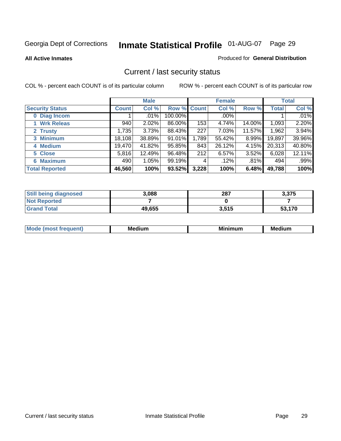**All Active Inmates**

### Produced for **General Distribution**

# Current / last security status

|                        |              | <b>Male</b> |                    |       | <b>Female</b> |        |              | <b>Total</b> |
|------------------------|--------------|-------------|--------------------|-------|---------------|--------|--------------|--------------|
| <b>Security Status</b> | <b>Count</b> | Col %       | <b>Row % Count</b> |       | Col %         | Row %  | <b>Total</b> | Col %        |
| 0 Diag Incom           |              | .01%        | 100.00%            |       | $.00\%$       |        |              | .01%         |
| 1 Wrk Releas           | 940          | 2.02%       | 86.00%             | 153   | 4.74%         | 14.00% | 1,093        | 2.20%        |
| 2 Trusty               | 1,735        | 3.73%       | 88.43%             | 227   | 7.03%         | 11.57% | 1,962        | 3.94%        |
| 3 Minimum              | 18,108       | 38.89%      | 91.01%             | 1,789 | 55.42%        | 8.99%  | 19,897       | 39.96%       |
| 4 Medium               | 19,470       | 41.82%      | 95.85%             | 843   | 26.12%        | 4.15%  | 20,313       | 40.80%       |
| 5 Close                | 5,816        | 12.49%      | 96.48%             | 212   | 6.57%         | 3.52%  | 6,028        | 12.11%       |
| <b>6 Maximum</b>       | 490          | 1.05%       | 99.19%             | 4     | .12%          | .81%   | 494          | .99%         |
| <b>Total Reported</b>  | 46,560       | 100%        | 93.52%             | 3,228 | 100%          | 6.48%  | 49,788       | 100%         |

| <b>Still being diagnosed</b> | 3,088  | 287   | 3,375  |
|------------------------------|--------|-------|--------|
| <b>Not Reported</b>          |        |       |        |
| <b>Grand Total</b>           | 49,655 | 3,515 | 53,170 |

| $M_{\Omega}$<br>יחב | M۵<br>dium | <b>BAL.</b><br>num | Mer<br>dium |
|---------------------|------------|--------------------|-------------|
|                     |            |                    |             |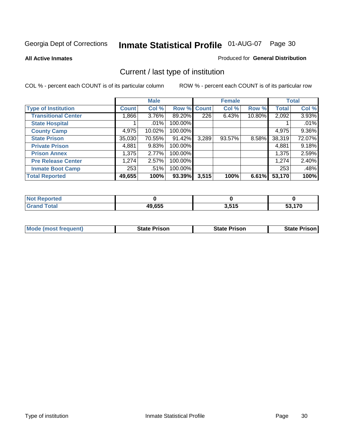**All Active Inmates**

### Produced for **General Distribution**

# Current / last type of institution

|                            |              | <b>Male</b> |             |       | <b>Female</b> |          |              | <b>Total</b> |
|----------------------------|--------------|-------------|-------------|-------|---------------|----------|--------------|--------------|
| <b>Type of Institution</b> | <b>Count</b> | Col %       | Row % Count |       | Col %         | Row %    | <b>Total</b> | Col %        |
| <b>Transitional Center</b> | 1,866        | $3.76\%$    | 89.20%      | 226   | 6.43%         | 10.80%   | 2,092        | 3.93%        |
| <b>State Hospital</b>      |              | $.01\%$     | 100.00%     |       |               |          |              | .01%         |
| <b>County Camp</b>         | 4,975        | 10.02%      | 100.00%     |       |               |          | 4,975        | 9.36%        |
| <b>State Prison</b>        | 35,030       | 70.55%      | 91.42%      | 3,289 | 93.57%        | $8.58\%$ | 38,319       | 72.07%       |
| <b>Private Prison</b>      | 4,881        | 9.83%       | 100.00%     |       |               |          | 4,881        | 9.18%        |
| <b>Prison Annex</b>        | 1,375        | 2.77%       | 100.00%     |       |               |          | 1,375        | 2.59%        |
| <b>Pre Release Center</b>  | 1,274        | 2.57%       | 100.00%     |       |               |          | 1,274        | 2.40%        |
| <b>Inmate Boot Camp</b>    | 253          | .51%        | 100.00%     |       |               |          | 253          | .48%         |
| <b>Total Reported</b>      | 49,655       | 100%        | 93.39%      | 3,515 | 100%          | 6.61%    | 53,170       | 100%         |

| <b>Not</b><br><b>Reported</b> |        |       |      |
|-------------------------------|--------|-------|------|
| <b>Grand Total</b>            | 49,655 | 3,515 | .170 |

| <b>Mode (most frequent)</b> | <b>State Prison</b> | <b>State Prison</b> | <b>State Prison</b> |
|-----------------------------|---------------------|---------------------|---------------------|
|                             |                     |                     |                     |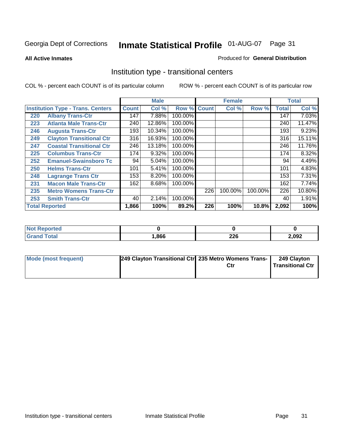**All Active Inmates**

### Produced for **General Distribution**

# Institution type - transitional centers

|     |                                          |              | <b>Male</b> |                    |     | <b>Female</b> |         |              | <b>Total</b> |
|-----|------------------------------------------|--------------|-------------|--------------------|-----|---------------|---------|--------------|--------------|
|     | <b>Institution Type - Trans. Centers</b> | <b>Count</b> | Col %       | <b>Row % Count</b> |     | Col %         | Row %   | <b>Total</b> | Col %        |
| 220 | <b>Albany Trans-Ctr</b>                  | 147          | 7.88%       | 100.00%            |     |               |         | 147          | 7.03%        |
| 223 | <b>Atlanta Male Trans-Ctr</b>            | 240          | 12.86%      | 100.00%            |     |               |         | 240          | 11.47%       |
| 246 | <b>Augusta Trans-Ctr</b>                 | 193          | 10.34%      | 100.00%            |     |               |         | 193          | 9.23%        |
| 249 | <b>Clayton Transitional Ctr</b>          | 316          | 16.93%      | 100.00%            |     |               |         | 316          | 15.11%       |
| 247 | <b>Coastal Transitional Ctr</b>          | 246          | 13.18%      | 100.00%            |     |               |         | 246          | 11.76%       |
| 225 | <b>Columbus Trans-Ctr</b>                | 174          | 9.32%       | 100.00%            |     |               |         | 174          | 8.32%        |
| 252 | <b>Emanuel-Swainsboro Tc</b>             | 94           | 5.04%       | 100.00%            |     |               |         | 94           | 4.49%        |
| 250 | <b>Helms Trans-Ctr</b>                   | 101          | 5.41%       | 100.00%            |     |               |         | 101          | 4.83%        |
| 248 | <b>Lagrange Trans Ctr</b>                | 153          | 8.20%       | 100.00%            |     |               |         | 153          | 7.31%        |
| 231 | <b>Macon Male Trans-Ctr</b>              | 162          | 8.68%       | 100.00%            |     |               |         | 162          | 7.74%        |
| 235 | <b>Metro Womens Trans-Ctr</b>            |              |             |                    | 226 | 100.00%       | 100.00% | 226          | 10.80%       |
| 253 | <b>Smith Trans-Ctr</b>                   | 40           | 2.14%       | 100.00%            |     |               |         | 40           | 1.91%        |
|     | <b>Total Reported</b>                    | 1,866        | 100%        | 89.2%              | 226 | 100%          | 10.8%   | 2,092        | 100%         |

| rted        |      |            |       |
|-------------|------|------------|-------|
| <b>otal</b> | ,866 | nne<br>ZZU | 2,092 |

| Mode (most frequent) | [249 Clayton Transitional Ctr] 235 Metro Womens Trans- | 249 Clayton<br><b>Transitional Ctr</b> |
|----------------------|--------------------------------------------------------|----------------------------------------|
|                      |                                                        |                                        |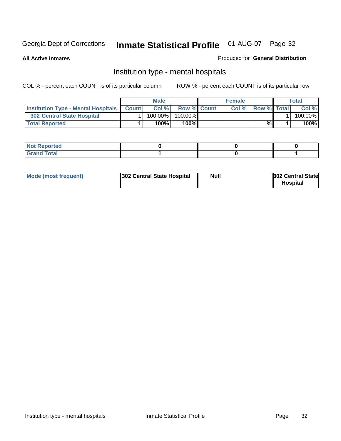**All Active Inmates**

### Produced for **General Distribution**

# Institution type - mental hospitals

|                                                  | <b>Male</b> |                    | <b>Female</b> |                    | Total   |
|--------------------------------------------------|-------------|--------------------|---------------|--------------------|---------|
| <b>Institution Type - Mental Hospitals Count</b> | Col%        | <b>Row % Count</b> | Col%          | <b>Row % Total</b> | Col %   |
| 302 Central State Hospital                       | $100.00\%$  | 100.00%            |               |                    | 100.00% |
| <b>Total Reported</b>                            | 100%        | $100\%$            |               | %                  | 100%    |

| Not Reported |  |  |
|--------------|--|--|
| <b>otal</b>  |  |  |

| Mode (most frequent)<br>302 Central State Hospital | Null | <b>302 Central State</b><br><b>Hospital</b> |
|----------------------------------------------------|------|---------------------------------------------|
|----------------------------------------------------|------|---------------------------------------------|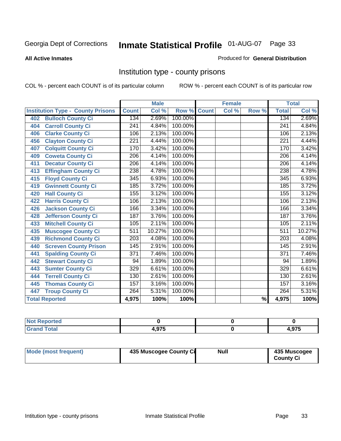### **All Active Inmates**

### Produced for **General Distribution**

# Institution type - county prisons

|                                          |                  | <b>Male</b> |         |              | <b>Female</b> |                          |                  | <b>Total</b> |
|------------------------------------------|------------------|-------------|---------|--------------|---------------|--------------------------|------------------|--------------|
| <b>Institution Type - County Prisons</b> | <b>Count</b>     | Col %       | Row %   | <b>Count</b> | Col %         | Row %                    | <b>Total</b>     | Col %        |
| <b>Bulloch County Ci</b><br>402          | 134              | 2.69%       | 100.00% |              |               |                          | 134              | 2.69%        |
| <b>Carroll County Ci</b><br>404          | $\overline{241}$ | 4.84%       | 100.00% |              |               |                          | $\overline{241}$ | 4.84%        |
| <b>Clarke County Ci</b><br>406           | 106              | 2.13%       | 100.00% |              |               |                          | 106              | 2.13%        |
| <b>Clayton County Ci</b><br>456          | 221              | 4.44%       | 100.00% |              |               |                          | 221              | 4.44%        |
| <b>Colquitt County Ci</b><br>407         | 170              | 3.42%       | 100.00% |              |               |                          | 170              | 3.42%        |
| <b>Coweta County Ci</b><br>409           | $\overline{206}$ | 4.14%       | 100.00% |              |               |                          | $\overline{206}$ | 4.14%        |
| <b>Decatur County Ci</b><br>411          | 206              | 4.14%       | 100.00% |              |               |                          | 206              | 4.14%        |
| <b>Effingham County Ci</b><br>413        | 238              | 4.78%       | 100.00% |              |               |                          | 238              | 4.78%        |
| <b>Floyd County Ci</b><br>415            | $\overline{345}$ | 6.93%       | 100.00% |              |               |                          | $\overline{345}$ | 6.93%        |
| <b>Gwinnett County Ci</b><br>419         | 185              | 3.72%       | 100.00% |              |               |                          | 185              | 3.72%        |
| <b>Hall County Ci</b><br>420             | 155              | 3.12%       | 100.00% |              |               |                          | 155              | 3.12%        |
| <b>Harris County Ci</b><br>422           | 106              | 2.13%       | 100.00% |              |               |                          | 106              | 2.13%        |
| <b>Jackson County Ci</b><br>426          | 166              | 3.34%       | 100.00% |              |               |                          | 166              | 3.34%        |
| <b>Jefferson County Ci</b><br>428        | 187              | 3.76%       | 100.00% |              |               |                          | 187              | 3.76%        |
| <b>Mitchell County Ci</b><br>433         | 105              | 2.11%       | 100.00% |              |               |                          | 105              | 2.11%        |
| <b>Muscogee County Ci</b><br>435         | $\overline{511}$ | 10.27%      | 100.00% |              |               |                          | $\overline{511}$ | 10.27%       |
| <b>Richmond County Ci</b><br>439         | $\sqrt{203}$     | 4.08%       | 100.00% |              |               |                          | 203              | 4.08%        |
| <b>Screven County Prison</b><br>440      | 145              | 2.91%       | 100.00% |              |               |                          | 145              | 2.91%        |
| <b>Spalding County Ci</b><br>441         | $\overline{371}$ | 7.46%       | 100.00% |              |               |                          | $\overline{371}$ | 7.46%        |
| <b>Stewart County Ci</b><br>442          | 94               | 1.89%       | 100.00% |              |               |                          | 94               | 1.89%        |
| <b>Sumter County Ci</b><br>443           | 329              | 6.61%       | 100.00% |              |               |                          | 329              | 6.61%        |
| <b>Terrell County Ci</b><br>444          | 130              | 2.61%       | 100.00% |              |               |                          | 130              | 2.61%        |
| <b>Thomas County Ci</b><br>445           | 157              | 3.16%       | 100.00% |              |               |                          | 157              | 3.16%        |
| <b>Troup County Ci</b><br>447            | 264              | 5.31%       | 100.00% |              |               |                          | 264              | 5.31%        |
| <b>Total Reported</b>                    | 4,975            | 100%        | 100%    |              |               | $\overline{\frac{9}{6}}$ | 4,975            | 100%         |

| ted <sup>-</sup>               |     |               |
|--------------------------------|-----|---------------|
| int<br><u>i ulai</u><br>$\sim$ | 07E | $\sim$<br>. . |

| Mode (most frequent) | 435 Muscogee County Ci | Null | 435 Muscogee |
|----------------------|------------------------|------|--------------|
|                      |                        |      | County Ci    |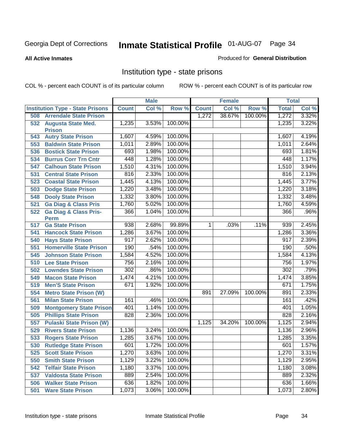**All Active Inmates**

### Produced for **General Distribution**

# Institution type - state prisons

|     |                                         |              | <b>Male</b> |         |              | <b>Female</b> |         | <b>Total</b> |       |
|-----|-----------------------------------------|--------------|-------------|---------|--------------|---------------|---------|--------------|-------|
|     | <b>Institution Type - State Prisons</b> | <b>Count</b> | Col %       | Row %   | <b>Count</b> | Col %         | Row %   | <b>Total</b> | Col % |
| 508 | <b>Arrendale State Prison</b>           |              |             |         | 1,272        | 38.67%        | 100.00% | 1,272        | 3.32% |
| 532 | <b>Augusta State Med.</b>               | 1,235        | 3.53%       | 100.00% |              |               |         | 1,235        | 3.22% |
|     | <b>Prison</b>                           |              |             |         |              |               |         |              |       |
| 543 | <b>Autry State Prison</b>               | 1,607        | 4.59%       | 100.00% |              |               |         | 1,607        | 4.19% |
| 553 | <b>Baldwin State Prison</b>             | 1,011        | 2.89%       | 100.00% |              |               |         | 1,011        | 2.64% |
| 536 | <b>Bostick State Prison</b>             | 693          | 1.98%       | 100.00% |              |               |         | 693          | 1.81% |
| 534 | <b>Burrus Corr Trn Cntr</b>             | 448          | 1.28%       | 100.00% |              |               |         | 448          | 1.17% |
| 547 | <b>Calhoun State Prison</b>             | 1,510        | 4.31%       | 100.00% |              |               |         | 1,510        | 3.94% |
| 531 | <b>Central State Prison</b>             | 816          | 2.33%       | 100.00% |              |               |         | 816          | 2.13% |
| 523 | <b>Coastal State Prison</b>             | 1,445        | 4.13%       | 100.00% |              |               |         | 1,445        | 3.77% |
| 503 | <b>Dodge State Prison</b>               | 1,220        | 3.48%       | 100.00% |              |               |         | 1,220        | 3.18% |
| 548 | <b>Dooly State Prison</b>               | 1,332        | 3.80%       | 100.00% |              |               |         | 1,332        | 3.48% |
| 521 | <b>Ga Diag &amp; Class Pris</b>         | 1,760        | 5.02%       | 100.00% |              |               |         | 1,760        | 4.59% |
| 522 | <b>Ga Diag &amp; Class Pris-</b>        | 366          | 1.04%       | 100.00% |              |               |         | 366          | .96%  |
|     | Perm                                    |              |             |         |              |               |         |              |       |
| 517 | <b>Ga State Prison</b>                  | 938          | 2.68%       | 99.89%  | 1.           | .03%          | .11%    | 939          | 2.45% |
| 541 | <b>Hancock State Prison</b>             | 1,286        | 3.67%       | 100.00% |              |               |         | 1,286        | 3.36% |
| 540 | <b>Hays State Prison</b>                | 917          | 2.62%       | 100.00% |              |               |         | 917          | 2.39% |
| 551 | <b>Homerville State Prison</b>          | 190          | .54%        | 100.00% |              |               |         | 190          | .50%  |
| 545 | <b>Johnson State Prison</b>             | 1,584        | 4.52%       | 100.00% |              |               |         | 1,584        | 4.13% |
| 510 | <b>Lee State Prison</b>                 | 756          | 2.16%       | 100.00% |              |               |         | 756          | 1.97% |
| 502 | <b>Lowndes State Prison</b>             | 302          | .86%        | 100.00% |              |               |         | 302          | .79%  |
| 549 | <b>Macon State Prison</b>               | 1,474        | 4.21%       | 100.00% |              |               |         | 1,474        | 3.85% |
| 519 | <b>Men'S State Prison</b>               | 671          | 1.92%       | 100.00% |              |               |         | 671          | 1.75% |
| 554 | <b>Metro State Prison (W)</b>           |              |             |         | 891          | 27.09%        | 100.00% | 891          | 2.33% |
| 561 | <b>Milan State Prison</b>               | 161          | .46%        | 100.00% |              |               |         | 161          | .42%  |
| 509 | <b>Montgomery State Prison</b>          | 401          | 1.14%       | 100.00% |              |               |         | 401          | 1.05% |
| 505 | <b>Phillips State Prison</b>            | 828          | 2.36%       | 100.00% |              |               |         | 828          | 2.16% |
| 557 | <b>Pulaski State Prison (W)</b>         |              |             |         | 1,125        | 34.20%        | 100.00% | 1,125        | 2.94% |
| 529 | <b>Rivers State Prison</b>              | 1,136        | 3.24%       | 100.00% |              |               |         | 1,136        | 2.96% |
| 533 | <b>Rogers State Prison</b>              | 1,285        | 3.67%       | 100.00% |              |               |         | 1,285        | 3.35% |
| 530 | <b>Rutledge State Prison</b>            | 601          | 1.72%       | 100.00% |              |               |         | 601          | 1.57% |
| 525 | <b>Scott State Prison</b>               | 1,270        | 3.63%       | 100.00% |              |               |         | 1,270        | 3.31% |
| 550 | <b>Smith State Prison</b>               | 1,129        | 3.22%       | 100.00% |              |               |         | 1,129        | 2.95% |
| 542 | <b>Telfair State Prison</b>             | 1,180        | 3.37%       | 100.00% |              |               |         | 1,180        | 3.08% |
| 537 | <b>Valdosta State Prison</b>            | 889          | 2.54%       | 100.00% |              |               |         | 889          | 2.32% |
| 506 | <b>Walker State Prison</b>              | 636          | 1.82%       | 100.00% |              |               |         | 636          | 1.66% |
| 501 | <b>Ware State Prison</b>                | 1,073        | 3.06%       | 100.00% |              |               |         | 1,073        | 2.80% |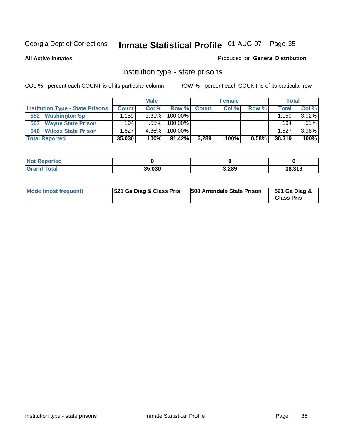**All Active Inmates**

### Produced for **General Distribution**

# Institution type - state prisons

|                                         |              | <b>Male</b> |            |       | <b>Female</b> |       |              | <b>Total</b> |
|-----------------------------------------|--------------|-------------|------------|-------|---------------|-------|--------------|--------------|
| <b>Institution Type - State Prisons</b> | <b>Count</b> | Col %       | Row %      | Count | Col %         | Row % | <b>Total</b> | Col %        |
| <b>Washington Sp</b><br>552             | .159'        | $3.31\%$    | $100.00\%$ |       |               |       | 1.159        | $3.02\%$     |
| <b>Wayne State Prison</b><br>507        | 194          | .55%        | $100.00\%$ |       |               |       | 194          | .51%         |
| <b>Wilcox State Prison</b><br>546       | .527         | 4.36%       | $100.00\%$ |       |               |       | 1.527        | 3.98%        |
| <b>Total Reported</b>                   | 35,030       | 100%        | $91.42\%$  | 3,289 | 100%          | 8.58% | 38,319       | 100%         |

| <b>Not</b><br>Reported |        |       |        |
|------------------------|--------|-------|--------|
| <b>Total</b>           | 35.030 | 3,289 | 38,319 |

| Mode (most frequent) | 521 Ga Diag & Class Pris | 508 Arrendale State Prison | 521 Ga Diag &<br><b>Class Pris</b> |
|----------------------|--------------------------|----------------------------|------------------------------------|
|----------------------|--------------------------|----------------------------|------------------------------------|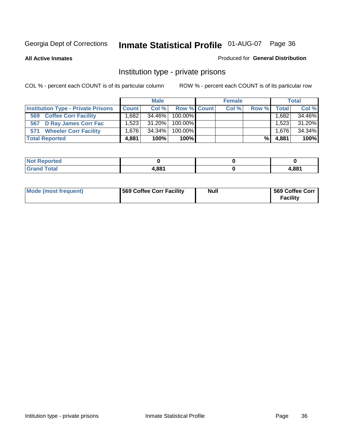**All Active Inmates**

### Produced for **General Distribution**

# Institution type - private prisons

|                                           |                   | <b>Male</b> |             | <b>Female</b> |       |              | <b>Total</b> |
|-------------------------------------------|-------------------|-------------|-------------|---------------|-------|--------------|--------------|
| <b>Institution Type - Private Prisons</b> | <b>Count</b>      | Col %       | Row % Count | Col %         | Row % | <b>Total</b> | Col %        |
| <b>Coffee Corr Facility</b><br>569        | .682 <sub>1</sub> | 34.46%      | 100.00%     |               |       | ' 682.،      | 34.46%       |
| 567 D Ray James Corr Fac                  | 1.523             | 31.20%      | 100.00%     |               |       | 1.523        | 31.20%       |
| <b>Wheeler Corr Facility</b><br>571       | ا 1.676           | 34.34%      | 100.00%     |               |       | 1,676        | 34.34%       |
| <b>Total Reported</b>                     | 4,881             | 100%        | 100%        |               | %     | 4,881        | 100%         |

| <b>Reported</b><br><b>NOT</b> |              |       |
|-------------------------------|--------------|-------|
| <b>Total</b>                  | <b>I,881</b> | 881,ا |

| <b>Mode (most frequent)</b> | 569 Coffee Corr Facility | <b>Null</b> | 569 Coffee Corr<br><b>Facility</b> |
|-----------------------------|--------------------------|-------------|------------------------------------|
|-----------------------------|--------------------------|-------------|------------------------------------|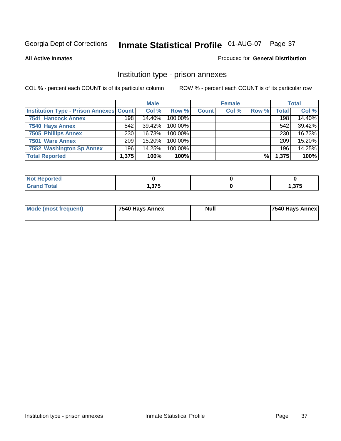### **All Active Inmates**

### Produced for **General Distribution**

# Institution type - prison annexes

|                                                |       | <b>Male</b> |            |              | <b>Female</b> |       |       | <b>Total</b> |
|------------------------------------------------|-------|-------------|------------|--------------|---------------|-------|-------|--------------|
| <b>Institution Type - Prison Annexes Count</b> |       | Col %       | Row %      | <b>Count</b> | Col %         | Row % | Total | Col %        |
| 7541 Hancock Annex                             | 198   | 14.40%      | 100.00%    |              |               |       | 198   | 14.40%       |
| 7540 Hays Annex                                | 542   | $39.42\%$   | $100.00\%$ |              |               |       | 542   | 39.42%       |
| <b>7505 Phillips Annex</b>                     | 230   | 16.73%      | 100.00%    |              |               |       | 230   | 16.73%       |
| 7501 Ware Annex                                | 209   | $15.20\%$   | $100.00\%$ |              |               |       | 209   | 15.20%       |
| 7552 Washington Sp Annex                       | 196   | 14.25%      | 100.00%    |              |               |       | 196   | 14.25%       |
| <b>Total Reported</b>                          | 1,375 | 100%        | $100\%$    |              |               | %     | 1,375 | 100%         |

| <b>Reported</b> |        |                 |
|-----------------|--------|-----------------|
| <b>Total</b>    | っって    | っフロ             |
| ' Grand         | ∪ וטוּ | נ <i>ו</i> כ, ו |

| <b>Mode (most frequent)</b> | 7540 Hays Annex | <b>Null</b> | 7540 Hays Annex |
|-----------------------------|-----------------|-------------|-----------------|
|                             |                 |             |                 |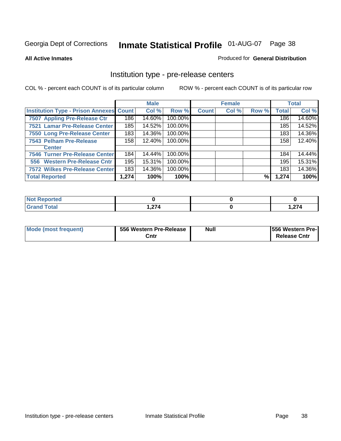#### **All Active Inmates**

#### Produced for **General Distribution**

# Institution type - pre-release centers

|                                                |       | <b>Male</b> |         |              | <b>Female</b> |       |              | <b>Total</b> |
|------------------------------------------------|-------|-------------|---------|--------------|---------------|-------|--------------|--------------|
| <b>Institution Type - Prison Annexes Count</b> |       | Col %       | Row %   | <b>Count</b> | Col %         | Row % | <b>Total</b> | Col %        |
| 7507 Appling Pre-Release Ctr                   | 186   | 14.60%      | 100.00% |              |               |       | 186          | 14.60%       |
| 7521 Lamar Pre-Release Center                  | 185   | 14.52%      | 100.00% |              |               |       | 185          | 14.52%       |
| 7550 Long Pre-Release Center                   | 183   | 14.36%      | 100.00% |              |               |       | 183          | 14.36%       |
| 7543 Pelham Pre-Release                        | 158   | 12.40%      | 100.00% |              |               |       | 158          | 12.40%       |
| <b>Center</b>                                  |       |             |         |              |               |       |              |              |
| 7546 Turner Pre-Release Center                 | 184   | 14.44%      | 100.00% |              |               |       | 184          | 14.44%       |
| 556 Western Pre-Release Cntr                   | 195   | 15.31%      | 100.00% |              |               |       | 195          | 15.31%       |
| 7572 Wilkes Pre-Release Center                 | 183   | 14.36%      | 100.00% |              |               |       | 183          | 14.36%       |
| <b>Total Reported</b>                          | 1,274 | 100%        | 100%    |              |               | %     | 1,274        | 100%         |

| Reported     |                |        |
|--------------|----------------|--------|
| <b>Total</b> | $\sim$         | - 274  |
| 'Gran.       | $\blacksquare$ | 214, ا |

| Mode (most frequent) | 556 Western Pre-Release | <b>Null</b> | <b>1556 Western Pre-I</b> |
|----------------------|-------------------------|-------------|---------------------------|
|                      | Cntr                    |             | <b>Release Cntr</b>       |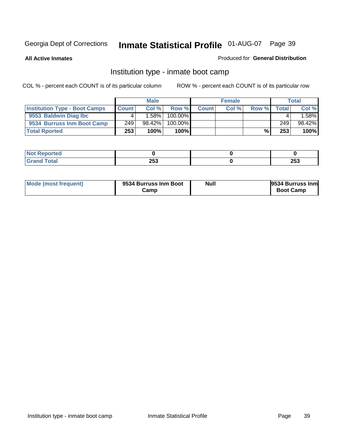**All Active Inmates**

## Produced for **General Distribution**

# Institution type - inmate boot camp

|                                      |       | <b>Male</b> |               |              | <b>Female</b> |       |        | <b>Total</b> |
|--------------------------------------|-------|-------------|---------------|--------------|---------------|-------|--------|--------------|
| <b>Institution Type - Boot Camps</b> | Count | Col%        | Row %         | <b>Count</b> | Col %         | Row % | Totall | Col %        |
| 9553 Baldwin Diag Ibc                |       | $.58\%$     | $100.00\%$    |              |               |       |        | .58%         |
| 9534 Burruss Inm Boot Camp           | 249   | $98.42\%$   | 100.00%       |              |               |       | 249    | 98.42%       |
| <b>Total Rported</b>                 | 253   | 100%        | 100% <b>I</b> |              |               | %     | 253    | 100%         |

| rted                  |     |            |
|-----------------------|-----|------------|
| <b>otal</b><br>$\sim$ | 253 | つにつ<br>∠ാാ |

| Mode (most frequent) | 9534 Burruss Inm Boot<br>شcamp | Null | <b>9534 Burruss Inm</b><br><b>Boot Camp</b> |
|----------------------|--------------------------------|------|---------------------------------------------|
|----------------------|--------------------------------|------|---------------------------------------------|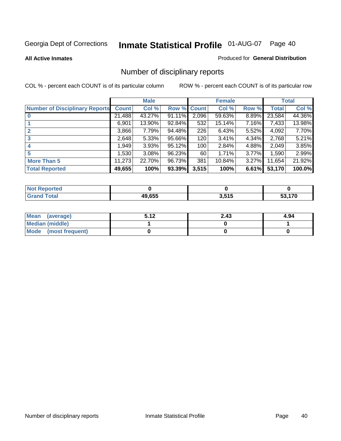#### **All Active Inmates**

#### Produced for **General Distribution**

# Number of disciplinary reports

|                                       |              | <b>Male</b> |        |              | <b>Female</b> |          |              | <b>Total</b> |
|---------------------------------------|--------------|-------------|--------|--------------|---------------|----------|--------------|--------------|
| <b>Number of Disciplinary Reports</b> | <b>Count</b> | Col %       | Row %  | <b>Count</b> | Col %         | Row %    | <b>Total</b> | Col %        |
|                                       | 21,488       | 43.27%      | 91.11% | 2,096        | $59.63\%$     | 8.89%    | 23,584       | 44.36%       |
|                                       | 6,901        | 13.90%      | 92.84% | 532          | 15.14%        | 7.16%    | 7,433        | 13.98%       |
| 2                                     | 3,866        | 7.79%       | 94.48% | 226          | 6.43%         | $5.52\%$ | 4,092        | 7.70%        |
| 3                                     | 2,648        | 5.33%       | 95.66% | 120          | 3.41%         | 4.34%    | 2,768        | 5.21%        |
|                                       | .949         | 3.93%       | 95.12% | 100          | 2.84%         | 4.88%    | 2,049        | 3.85%        |
| 5                                     | ,530         | $3.08\%$    | 96.23% | 60           | 1.71%         | 3.77%    | 1,590        | 2.99%        |
| <b>More Than 5</b>                    | 11,273       | 22.70%      | 96.73% | 381          | 10.84%        | $3.27\%$ | 11,654       | 21.92%       |
| <b>Total Reported</b>                 | 49,655       | 100%        | 93.39% | 3,515        | 100%          | 6.61%    | 53,170       | 100.0%       |

| rten.<br>N.  |       |                     |     |
|--------------|-------|---------------------|-----|
| <b>Total</b> | 49655 | <b>646</b><br>J.JIJ | 170 |

| Mean (average)       | E 49 | 2.43 | 4.94 |
|----------------------|------|------|------|
| Median (middle)      |      |      |      |
| Mode (most frequent) |      |      |      |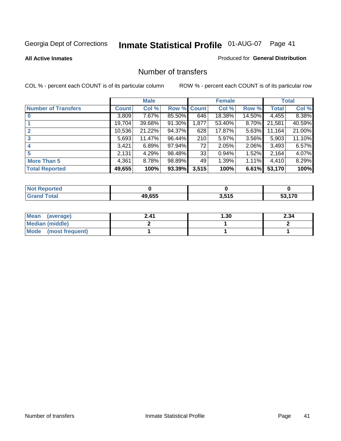### **All Active Inmates**

#### Produced for **General Distribution**

# Number of transfers

|                            |         | <b>Male</b> |        |              | <b>Female</b> |          |              | <b>Total</b> |
|----------------------------|---------|-------------|--------|--------------|---------------|----------|--------------|--------------|
| <b>Number of Transfers</b> | Count l | Col %       | Row %  | <b>Count</b> | Col %         | Row %    | <b>Total</b> | Col %        |
|                            | 3,809   | $7.67\%$    | 85.50% | 646          | 18.38%        | 14.50%   | 4,455        | 8.38%        |
|                            | 19,704  | 39.68%      | 91.30% | 1,877        | 53.40%        | 8.70%    | 21,581       | 40.59%       |
|                            | 10,536  | 21.22%      | 94.37% | 628          | 17.87%        | 5.63%    | 11,164       | 21.00%       |
| 3                          | 5,693   | 11.47%      | 96.44% | 210          | 5.97%         | 3.56%    | 5,903        | 11.10%       |
|                            | 3.421   | 6.89%       | 97.94% | 72           | 2.05%         | $2.06\%$ | 3,493        | 6.57%        |
| 5                          | 2,131   | 4.29%       | 98.48% | 33           | 0.94%         | 1.52%    | 2,164        | 4.07%        |
| <b>More Than 5</b>         | 4,361   | 8.78%       | 98.89% | 49           | 1.39%         | $1.11\%$ | 4,410        | 8.29%        |
| <b>Total Reported</b>      | 49,655  | 100%        | 93.39% | 3,515        | 100%          | 6.61%    | 53,170       | 100%         |

| N                              |           |             |     |
|--------------------------------|-----------|-------------|-----|
| $\mathcal{L}$ of $\mathcal{L}$ | $AQ$ $RR$ | 64 E<br>. . | 170 |

| Mean (average)       | 2.41 | l .30 | 2.34 |
|----------------------|------|-------|------|
| Median (middle)      |      |       |      |
| Mode (most frequent) |      |       |      |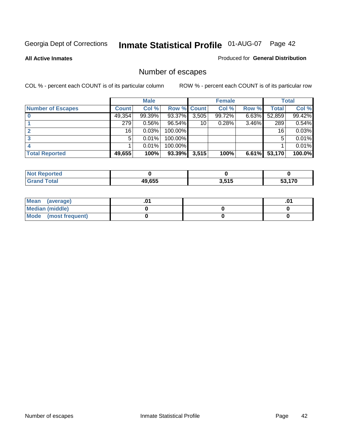**All Active Inmates**

## Produced for **General Distribution**

# Number of escapes

|                          |              | <b>Male</b> |                    |       | <b>Female</b> |          |        | <b>Total</b> |
|--------------------------|--------------|-------------|--------------------|-------|---------------|----------|--------|--------------|
| <b>Number of Escapes</b> | <b>Count</b> | Col %       | <b>Row % Count</b> |       | Col %         | Row %    | Total  | Col %        |
|                          | 49,354       | $99.39\%$   | 93.37%             | 3,505 | 99.72%        | $6.63\%$ | 52,859 | 99.42%       |
|                          | 279          | 0.56%       | 96.54%             | 10    | 0.28%         | 3.46%    | 289    | 0.54%        |
|                          | 16           | 0.03%       | 100.00%            |       |               |          | 16     | 0.03%        |
|                          | 5            | 0.01%       | 100.00%            |       |               |          | 5      | 0.01%        |
|                          |              | 0.01%       | $100.00\%$         |       |               |          |        | 0.01%        |
| <b>Total Reported</b>    | 49,655       | 100%        | 93.39%             | 3,515 | 100%          | 6.61%    | 53,170 | 100.0%       |

| <b>Reported</b><br><b>Not</b> |        |       |      |
|-------------------------------|--------|-------|------|
| <b>Fotal</b>                  | 49.655 | 3,515 | .170 |

| Mean (average)       |  | .01 |
|----------------------|--|-----|
| Median (middle)      |  |     |
| Mode (most frequent) |  |     |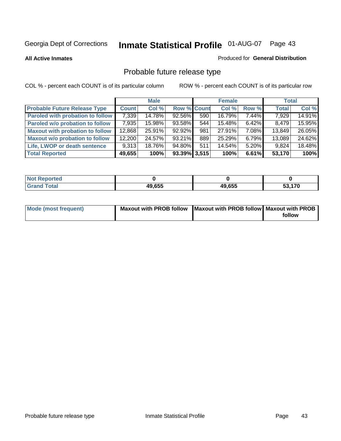**All Active Inmates**

#### Produced for **General Distribution**

# Probable future release type

|                                         |              | <b>Male</b> |                    |     | <b>Female</b> |          | <b>Total</b> |        |
|-----------------------------------------|--------------|-------------|--------------------|-----|---------------|----------|--------------|--------|
| <b>Probable Future Release Type</b>     | <b>Count</b> | Col %       | <b>Row % Count</b> |     | Col %         | Row %    | <b>Total</b> | Col %  |
| <b>Paroled with probation to follow</b> | 7,339        | 14.78%      | $92.56\%$          | 590 | 16.79%        | 7.44%    | 7,929        | 14.91% |
| Paroled w/o probation to follow         | 7,935        | 15.98%      | 93.58%             | 544 | $15.48\%$     | $6.42\%$ | 8.479        | 15.95% |
| <b>Maxout with probation to follow</b>  | 12,868       | 25.91%      | $92.92\%$          | 981 | 27.91%        | 7.08%    | 13,849       | 26.05% |
| <b>Maxout w/o probation to follow</b>   | 12,200       | 24.57%      | $93.21\%$          | 889 | 25.29%        | 6.79%    | 13,089       | 24.62% |
| Life, LWOP or death sentence            | 9,313        | 18.76%      | 94.80%             | 511 | 14.54%        | $5.20\%$ | 9,824        | 18.48% |
| <b>Total Reported</b>                   | 49,655       | 100%        | $93.39\%$ 3,515    |     | 100%          | 6.61%    | 53,170       | 100%   |

| <b>No</b><br>Reported  |        |        |                   |
|------------------------|--------|--------|-------------------|
| <b>Total</b><br>. Grar | 49,655 | 49,655 | 170<br>JJ,<br>1 U |

| Mode (most frequent) | Maxout with PROB follow   Maxout with PROB follow   Maxout with PROB |        |
|----------------------|----------------------------------------------------------------------|--------|
|                      |                                                                      | follow |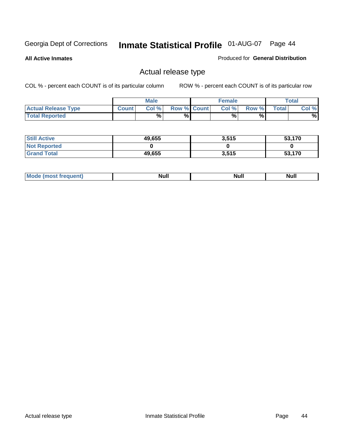**All Active Inmates**

### Produced for **General Distribution**

# Actual release type

|                            |              | <b>Male</b> |                    | <b>Female</b> |       |       | Total |
|----------------------------|--------------|-------------|--------------------|---------------|-------|-------|-------|
| <b>Actual Release Type</b> | <b>Count</b> | Col %       | <b>Row % Count</b> | Col %1        | Row % | Total | Col % |
| <b>Total Reported</b>      |              | %           | %                  | %             | %     |       | %     |

| <b>Still Active</b> | 49,655 | 3,515 | 53,170 |
|---------------------|--------|-------|--------|
| <b>Not Reported</b> |        |       |        |
| <b>Grand Total</b>  | 49,655 | 3,515 | 53,170 |

| M<br>_____<br>_____ | NI | Null | $\cdots$ |
|---------------------|----|------|----------|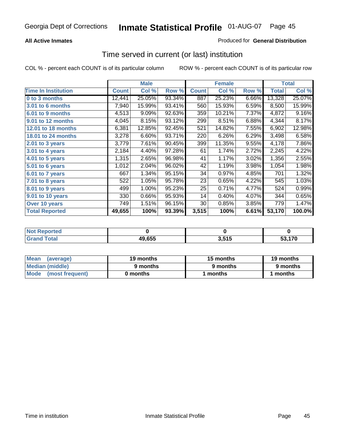## **All Active Inmates**

## Produced for **General Distribution**

# Time served in current (or last) institution

|                            |              | <b>Male</b> |        |              | <b>Female</b> |       |              | <b>Total</b> |
|----------------------------|--------------|-------------|--------|--------------|---------------|-------|--------------|--------------|
| <b>Time In Institution</b> | <b>Count</b> | Col %       | Row %  | <b>Count</b> | Col %         | Row % | <b>Total</b> | Col %        |
| 0 to 3 months              | 12,441       | 25.05%      | 93.34% | 887          | 25.23%        | 6.66% | 13,328       | 25.07%       |
| 3.01 to 6 months           | 7,940        | 15.99%      | 93.41% | 560          | 15.93%        | 6.59% | 8,500        | 15.99%       |
| 6.01 to 9 months           | 4,513        | 9.09%       | 92.63% | 359          | 10.21%        | 7.37% | 4,872        | 9.16%        |
| 9.01 to 12 months          | 4,045        | 8.15%       | 93.12% | 299          | 8.51%         | 6.88% | 4,344        | 8.17%        |
| 12.01 to 18 months         | 6,381        | 12.85%      | 92.45% | 521          | 14.82%        | 7.55% | 6,902        | 12.98%       |
| <b>18.01 to 24 months</b>  | 3,278        | 6.60%       | 93.71% | 220          | 6.26%         | 6.29% | 3,498        | 6.58%        |
| 2.01 to 3 years            | 3,779        | 7.61%       | 90.45% | 399          | 11.35%        | 9.55% | 4,178        | 7.86%        |
| 3.01 to 4 years            | 2,184        | 4.40%       | 97.28% | 61           | 1.74%         | 2.72% | 2,245        | 4.22%        |
| 4.01 to 5 years            | 1,315        | 2.65%       | 96.98% | 41           | 1.17%         | 3.02% | 1,356        | 2.55%        |
| 5.01 to 6 years            | 1,012        | 2.04%       | 96.02% | 42           | 1.19%         | 3.98% | 1,054        | 1.98%        |
| 6.01 to 7 years            | 667          | 1.34%       | 95.15% | 34           | 0.97%         | 4.85% | 701          | 1.32%        |
| 7.01 to 8 years            | 522          | 1.05%       | 95.78% | 23           | 0.65%         | 4.22% | 545          | 1.03%        |
| 8.01 to 9 years            | 499          | 1.00%       | 95.23% | 25           | 0.71%         | 4.77% | 524          | 0.99%        |
| 9.01 to 10 years           | 330          | 0.66%       | 95.93% | 14           | 0.40%         | 4.07% | 344          | 0.65%        |
| Over 10 years              | 749          | 1.51%       | 96.15% | 30           | 0.85%         | 3.85% | 779          | 1.47%        |
| <b>Total Reported</b>      | 49,655       | 100%        | 93.39% | 3,515        | 100%          | 6.61% | 53,170       | 100.0%       |

| <b>Not R</b><br><b>Reported</b> |        |                  |      |
|---------------------------------|--------|------------------|------|
| <b>Total</b>                    | 49,655 | i 646<br>J.J I J | 4.70 |

| Mean<br>(average)              | 19 months | 15 months | 19 months |  |
|--------------------------------|-----------|-----------|-----------|--|
| Median (middle)                | 9 months  | 9 months  | 9 months  |  |
| <b>Mode</b><br>(most frequent) | 0 months  | 1 months  | months    |  |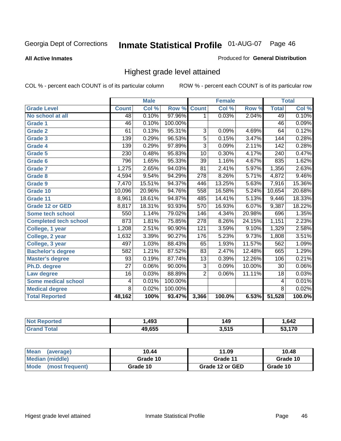**All Active Inmates**

### Produced for **General Distribution**

# Highest grade level attained

|                              |                 | <b>Male</b> |         |                  | <b>Female</b> |        |                  | <b>Total</b> |
|------------------------------|-----------------|-------------|---------|------------------|---------------|--------|------------------|--------------|
| <b>Grade Level</b>           | <b>Count</b>    | Col %       | Row %   | <b>Count</b>     | Col %         | Row %  | <b>Total</b>     | Col %        |
| No school at all             | 48              | 0.10%       | 97.96%  | 1                | 0.03%         | 2.04%  | 49               | 0.10%        |
| <b>Grade 1</b>               | 46              | 0.10%       | 100.00% |                  |               |        | $\overline{46}$  | 0.09%        |
| <b>Grade 2</b>               | 61              | 0.13%       | 95.31%  | 3                | 0.09%         | 4.69%  | 64               | 0.12%        |
| <b>Grade 3</b>               | 139             | 0.29%       | 96.53%  | $\overline{5}$   | 0.15%         | 3.47%  | 144              | 0.28%        |
| <b>Grade 4</b>               | 139             | 0.29%       | 97.89%  | $\overline{3}$   | 0.09%         | 2.11%  | $\overline{142}$ | 0.28%        |
| Grade 5                      | 230             | 0.48%       | 95.83%  | $\overline{10}$  | 0.30%         | 4.17%  | $\overline{240}$ | 0.47%        |
| Grade 6                      | 796             | 1.65%       | 95.33%  | $\overline{39}$  | 1.16%         | 4.67%  | 835              | 1.62%        |
| <b>Grade 7</b>               | 1,275           | 2.65%       | 94.03%  | $\overline{81}$  | 2.41%         | 5.97%  | 1,356            | 2.63%        |
| <b>Grade 8</b>               | 4,594           | 9.54%       | 94.29%  | $\overline{278}$ | 8.26%         | 5.71%  | 4,872            | 9.46%        |
| Grade 9                      | 7,470           | 15.51%      | 94.37%  | $\overline{446}$ | 13.25%        | 5.63%  | 7,916            | 15.36%       |
| Grade 10                     | 10,096          | 20.96%      | 94.76%  | 558              | 16.58%        | 5.24%  | 10,654           | 20.68%       |
| Grade 11                     | 8,961           | 18.61%      | 94.87%  | 485              | 14.41%        | 5.13%  | 9,446            | 18.33%       |
| <b>Grade 12 or GED</b>       | 8,817           | 18.31%      | 93.93%  | $\overline{570}$ | 16.93%        | 6.07%  | 9,387            | 18.22%       |
| <b>Some tech school</b>      | 550             | 1.14%       | 79.02%  | 146              | 4.34%         | 20.98% | 696              | 1.35%        |
| <b>Completed tech school</b> | 873             | 1.81%       | 75.85%  | $\overline{278}$ | 8.26%         | 24.15% | 1,151            | 2.23%        |
| College, 1 year              | 1,208           | 2.51%       | 90.90%  | $\overline{121}$ | 3.59%         | 9.10%  | 1,329            | 2.58%        |
| College, 2 year              | 1,632           | 3.39%       | 90.27%  | 176              | 5.23%         | 9.73%  | 1,808            | 3.51%        |
| College, 3 year              | 497             | 1.03%       | 88.43%  | 65               | 1.93%         | 11.57% | 562              | 1.09%        |
| <b>Bachelor's degree</b>     | 582             | 1.21%       | 87.52%  | 83               | 2.47%         | 12.48% | 665              | 1.29%        |
| <b>Master's degree</b>       | 93              | 0.19%       | 87.74%  | 13               | 0.39%         | 12.26% | 106              | 0.21%        |
| Ph.D. degree                 | $\overline{27}$ | 0.06%       | 90.00%  | $\overline{3}$   | 0.09%         | 10.00% | 30               | 0.06%        |
| Law degree                   | $\overline{16}$ | 0.03%       | 88.89%  | $\overline{2}$   | 0.06%         | 11.11% | $\overline{18}$  | 0.03%        |
| <b>Some medical school</b>   | 4               | 0.01%       | 100.00% |                  |               |        | 4                | 0.01%        |
| <b>Medical degree</b>        | $\overline{8}$  | 0.02%       | 100.00% |                  |               |        | $\overline{8}$   | 0.02%        |
| <b>Total Reported</b>        | 48,162          | 100%        | 93.47%  | 3,366            | 100.0%        | 6.53%  | 51,528           | 100.0%       |

| ,493   | 49                     | ,642          |
|--------|------------------------|---------------|
| AN PEE | <b>646</b><br>.<br>v.v | $\rightarrow$ |

| <b>Mean</b><br>(average)       | 10.44    | 11.09           | 10.48    |
|--------------------------------|----------|-----------------|----------|
| Median (middle)                | Grade 10 | Grade 11        | Grade 10 |
| <b>Mode</b><br>(most frequent) | Grade 10 | Grade 12 or GED | Grade 10 |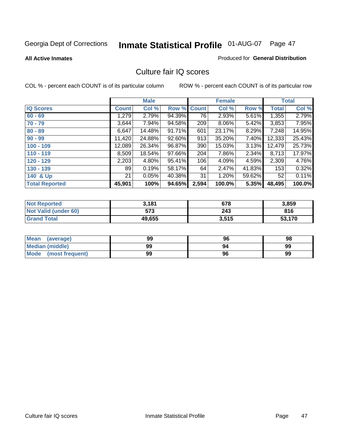#### **All Active Inmates**

#### Produced for **General Distribution**

# Culture fair IQ scores

|                       |              | <b>Male</b> |        |              | <b>Female</b> |          |              | <b>Total</b> |
|-----------------------|--------------|-------------|--------|--------------|---------------|----------|--------------|--------------|
| <b>IQ Scores</b>      | <b>Count</b> | Col %       | Row %  | <b>Count</b> | Col %         | Row %    | <b>Total</b> | Col %        |
| $60 - 69$             | 1,279        | 2.79%       | 94.39% | 76           | 2.93%         | 5.61%    | 1,355        | 2.79%        |
| $70 - 79$             | 3,644        | $7.94\%$    | 94.58% | 209          | 8.06%         | 5.42%    | 3,853        | 7.95%        |
| $80 - 89$             | 6,647        | 14.48%      | 91.71% | 601          | 23.17%        | 8.29%    | 7,248        | 14.95%       |
| $90 - 99$             | 11,420       | 24.88%      | 92.60% | 913          | 35.20%        | 7.40%    | 12,333       | 25.43%       |
| $100 - 109$           | 12,089       | 26.34%      | 96.87% | 390          | 15.03%        | 3.13%    | 12,479       | 25.73%       |
| $110 - 119$           | 8,509        | 18.54%      | 97.66% | 204          | 7.86%         | $2.34\%$ | 8,713        | 17.97%       |
| $120 - 129$           | 2,203        | 4.80%       | 95.41% | 106          | 4.09%         | 4.59%    | 2,309        | 4.76%        |
| $130 - 139$           | 89           | 0.19%       | 58.17% | 64           | 2.47%         | 41.83%   | 153          | 0.32%        |
| 140 & Up              | 21           | 0.05%       | 40.38% | 31           | 1.20%         | 59.62%   | 52           | 0.11%        |
| <b>Total Reported</b> | 45,901       | 100%        | 94.65% | 2,594        | 100.0%        | 5.35%    | 48,495       | 100.0%       |

| <b>Not Reported</b>  | 3,181  | 678   | 3,859  |
|----------------------|--------|-------|--------|
| Not Valid (under 60) | 573    | 243   | 816    |
| <b>Grand Total</b>   | 49,655 | 3,515 | 53,170 |

| <b>Mean</b><br>(average) | 99 | 96 | 98 |
|--------------------------|----|----|----|
| Median (middle)          | 99 | 94 | 99 |
| Mode (most frequent)     | 99 | 96 | 99 |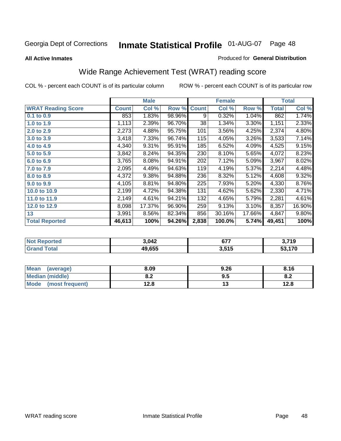#### **All Active Inmates**

### Produced for **General Distribution**

# Wide Range Achievement Test (WRAT) reading score

|                           |              | <b>Male</b> |        |              | <b>Female</b> |        |              | <b>Total</b> |
|---------------------------|--------------|-------------|--------|--------------|---------------|--------|--------------|--------------|
| <b>WRAT Reading Score</b> | <b>Count</b> | Col %       | Row %  | <b>Count</b> | Col %         | Row %  | <b>Total</b> | Col %        |
| 0.1 to 0.9                | 853          | 1.83%       | 98.96% | 9            | 0.32%         | 1.04%  | 862          | 1.74%        |
| 1.0 to 1.9                | 1,113        | 2.39%       | 96.70% | 38           | 1.34%         | 3.30%  | 1,151        | 2.33%        |
| 2.0 to 2.9                | 2,273        | 4.88%       | 95.75% | 101          | 3.56%         | 4.25%  | 2,374        | 4.80%        |
| 3.0 to 3.9                | 3,418        | 7.33%       | 96.74% | 115          | 4.05%         | 3.26%  | 3,533        | 7.14%        |
| 4.0 to 4.9                | 4,340        | 9.31%       | 95.91% | 185          | 6.52%         | 4.09%  | 4,525        | 9.15%        |
| 5.0 to 5.9                | 3,842        | 8.24%       | 94.35% | 230          | 8.10%         | 5.65%  | 4,072        | 8.23%        |
| 6.0 to 6.9                | 3,765        | 8.08%       | 94.91% | 202          | 7.12%         | 5.09%  | 3,967        | 8.02%        |
| 7.0 to 7.9                | 2,095        | 4.49%       | 94.63% | 119          | 4.19%         | 5.37%  | 2,214        | 4.48%        |
| 8.0 to 8.9                | 4,372        | 9.38%       | 94.88% | 236          | 8.32%         | 5.12%  | 4,608        | 9.32%        |
| 9.0 to 9.9                | 4,105        | 8.81%       | 94.80% | 225          | 7.93%         | 5.20%  | 4,330        | 8.76%        |
| 10.0 to 10.9              | 2,199        | 4.72%       | 94.38% | 131          | 4.62%         | 5.62%  | 2,330        | 4.71%        |
| 11.0 to 11.9              | 2,149        | 4.61%       | 94.21% | 132          | 4.65%         | 5.79%  | 2,281        | 4.61%        |
| 12.0 to 12.9              | 8,098        | 17.37%      | 96.90% | 259          | 9.13%         | 3.10%  | 8,357        | 16.90%       |
| 13                        | 3,991        | 8.56%       | 82.34% | 856          | 30.16%        | 17.66% | 4,847        | $9.80\%$     |
| <b>Total Reported</b>     | 46,613       | 100%        | 94.26% | 2,838        | 100.0%        | 5.74%  | 49,451       | 100%         |

| orted       | 3.042  | ヘララ<br>$\mathbf{v}$ | 3,719 |
|-------------|--------|---------------------|-------|
| <b>otal</b> | 19.655 | 3,515               | .170  |

| <b>Mean</b><br>(average)       | 8.09           | 9.26 | 8.16 |
|--------------------------------|----------------|------|------|
| Median (middle)                | י ה<br>0.Z     | 9.5  | О.Д  |
| <b>Mode</b><br>(most frequent) | 1 2 9<br>I ∠.O | יי   | 12.8 |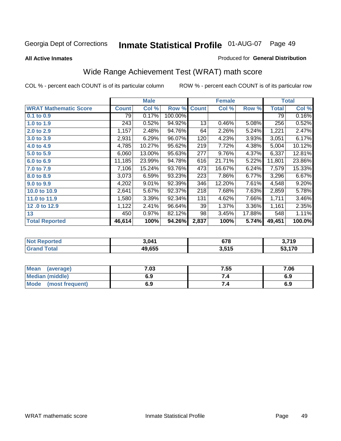# Georgia Dept of Corrections **Inmate Statistical Profile** 01-AUG-07 Page 49

**All Active Inmates**

## Produced for **General Distribution**

# Wide Range Achievement Test (WRAT) math score

|                              |              | <b>Male</b> |         |              | <b>Female</b> |        |              | <b>Total</b> |
|------------------------------|--------------|-------------|---------|--------------|---------------|--------|--------------|--------------|
| <b>WRAT Mathematic Score</b> | <b>Count</b> | Col %       | Row %   | <b>Count</b> | Col %         | Row %  | <b>Total</b> | Col %        |
| 0.1 to 0.9                   | 79           | 0.17%       | 100.00% |              |               |        | 79           | 0.16%        |
| 1.0 to 1.9                   | 243          | 0.52%       | 94.92%  | 13           | 0.46%         | 5.08%  | 256          | 0.52%        |
| 2.0 to 2.9                   | 1,157        | 2.48%       | 94.76%  | 64           | 2.26%         | 5.24%  | 1,221        | 2.47%        |
| 3.0 to 3.9                   | 2,931        | 6.29%       | 96.07%  | 120          | 4.23%         | 3.93%  | 3,051        | 6.17%        |
| 4.0 to 4.9                   | 4,785        | 10.27%      | 95.62%  | 219          | 7.72%         | 4.38%  | 5,004        | 10.12%       |
| 5.0 to 5.9                   | 6,060        | 13.00%      | 95.63%  | 277          | 9.76%         | 4.37%  | 6,337        | 12.81%       |
| 6.0 to 6.9                   | 11,185       | 23.99%      | 94.78%  | 616          | 21.71%        | 5.22%  | 11,801       | 23.86%       |
| 7.0 to 7.9                   | 7,106        | 15.24%      | 93.76%  | 473          | 16.67%        | 6.24%  | 7,579        | 15.33%       |
| 8.0 to 8.9                   | 3,073        | 6.59%       | 93.23%  | 223          | 7.86%         | 6.77%  | 3,296        | 6.67%        |
| 9.0 to 9.9                   | 4,202        | 9.01%       | 92.39%  | 346          | 12.20%        | 7.61%  | 4,548        | 9.20%        |
| 10.0 to 10.9                 | 2,641        | 5.67%       | 92.37%  | 218          | 7.68%         | 7.63%  | 2,859        | 5.78%        |
| 11.0 to 11.9                 | 1,580        | 3.39%       | 92.34%  | 131          | 4.62%         | 7.66%  | 1,711        | 3.46%        |
| 12.0 to 12.9                 | 1,122        | 2.41%       | 96.64%  | 39           | 1.37%         | 3.36%  | 1,161        | 2.35%        |
| 13                           | 450          | 0.97%       | 82.12%  | 98           | 3.45%         | 17.88% | 548          | 1.11%        |
| <b>Total Reported</b>        | 46,614       | 100%        | 94.26%  | 2,837        | 100%          | 5.74%  | 49,451       | 100.0%       |

| orted       | 3.041  | 678   | 3,719 |
|-------------|--------|-------|-------|
| <b>otal</b> | 19.655 | 3,515 | .170  |

| <b>Mean</b><br>(average)       | 7.03 | 7.55 | 7.06 |
|--------------------------------|------|------|------|
| <b>Median (middle)</b>         | 6.9  |      | 6.9  |
| <b>Mode</b><br>(most frequent) | 6.9  | 7.4  | 6.9  |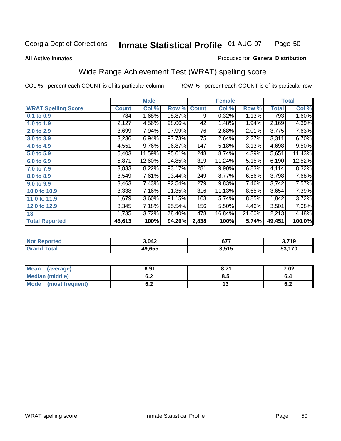#### **All Active Inmates**

# Produced for **General Distribution**

# Wide Range Achievement Test (WRAT) spelling score

| <b>WRAT Spelling Score</b><br><b>Count</b><br>Col %<br>Row %<br>Row %<br><b>Count</b><br>Col %<br>1.68%<br>1.13%<br>98.87%<br>0.32%<br>$0.1$ to $0.9$<br>784<br>9<br>2,127<br>4.56%<br>98.06%<br>42<br>1.48%<br>1.94%<br>1.0 to 1.9<br>7.94%<br>97.99%<br>2.68%<br>2.01%<br>3,699<br>76<br>2.0 to 2.9<br>6.94%<br>97.73%<br>75<br>2.27%<br>3,236<br>2.64%<br>3.0 to 3.9<br>9.76%<br>96.87%<br>147<br>5.18%<br>3.13%<br>4,551<br>4.0 to 4.9<br>248<br>4.39%<br>5,403<br>11.59%<br>95.61%<br>8.74%<br>5.0 to 5.9<br>319<br>5,871<br>12.60%<br>11.24%<br>5.15%<br>94.85%<br>6.0 to 6.9<br>6.83%<br>3,833<br>8.22%<br>93.17%<br>281<br>9.90%<br>7.0 to 7.9<br>7.61%<br>3,549<br>93.44%<br>249<br>8.77%<br>6.56%<br>8.0 to 8.9<br>7.46%<br>3,463<br>7.43%<br>92.54%<br>279<br>9.83%<br>9.0 to 9.9<br>3,338<br>7.16%<br>91.35%<br>316<br>11.13%<br>8.65%<br>10.0 to 10.9<br>1,679<br>3.60%<br>91.15%<br>163<br>5.74%<br>8.85%<br>11.0 to 11.9 | <b>Male</b>                     | <b>Female</b><br><b>Total</b> |
|-----------------------------------------------------------------------------------------------------------------------------------------------------------------------------------------------------------------------------------------------------------------------------------------------------------------------------------------------------------------------------------------------------------------------------------------------------------------------------------------------------------------------------------------------------------------------------------------------------------------------------------------------------------------------------------------------------------------------------------------------------------------------------------------------------------------------------------------------------------------------------------------------------------------------------------------|---------------------------------|-------------------------------|
|                                                                                                                                                                                                                                                                                                                                                                                                                                                                                                                                                                                                                                                                                                                                                                                                                                                                                                                                         |                                 | Col %<br><b>Total</b>         |
|                                                                                                                                                                                                                                                                                                                                                                                                                                                                                                                                                                                                                                                                                                                                                                                                                                                                                                                                         |                                 | 1.60%<br>793                  |
|                                                                                                                                                                                                                                                                                                                                                                                                                                                                                                                                                                                                                                                                                                                                                                                                                                                                                                                                         |                                 | 2,169<br>4.39%                |
|                                                                                                                                                                                                                                                                                                                                                                                                                                                                                                                                                                                                                                                                                                                                                                                                                                                                                                                                         |                                 | 3,775<br>7.63%                |
|                                                                                                                                                                                                                                                                                                                                                                                                                                                                                                                                                                                                                                                                                                                                                                                                                                                                                                                                         |                                 | 3,311<br>6.70%                |
|                                                                                                                                                                                                                                                                                                                                                                                                                                                                                                                                                                                                                                                                                                                                                                                                                                                                                                                                         |                                 | 9.50%<br>4,698                |
|                                                                                                                                                                                                                                                                                                                                                                                                                                                                                                                                                                                                                                                                                                                                                                                                                                                                                                                                         |                                 | 5,651<br>11.43%               |
|                                                                                                                                                                                                                                                                                                                                                                                                                                                                                                                                                                                                                                                                                                                                                                                                                                                                                                                                         |                                 | 6,190<br>12.52%               |
|                                                                                                                                                                                                                                                                                                                                                                                                                                                                                                                                                                                                                                                                                                                                                                                                                                                                                                                                         |                                 | 8.32%<br>4,114                |
|                                                                                                                                                                                                                                                                                                                                                                                                                                                                                                                                                                                                                                                                                                                                                                                                                                                                                                                                         |                                 | 3,798<br>7.68%                |
|                                                                                                                                                                                                                                                                                                                                                                                                                                                                                                                                                                                                                                                                                                                                                                                                                                                                                                                                         |                                 | 3,742<br>7.57%                |
|                                                                                                                                                                                                                                                                                                                                                                                                                                                                                                                                                                                                                                                                                                                                                                                                                                                                                                                                         |                                 | 7.39%<br>3,654                |
|                                                                                                                                                                                                                                                                                                                                                                                                                                                                                                                                                                                                                                                                                                                                                                                                                                                                                                                                         |                                 | 3.72%<br>1,842                |
| 5.50%<br>12.0 to 12.9                                                                                                                                                                                                                                                                                                                                                                                                                                                                                                                                                                                                                                                                                                                                                                                                                                                                                                                   | 3,345<br>7.18%<br>95.54%<br>156 | 3,501<br>7.08%<br>4.46%       |
| 1,735<br>3.72%<br>78.40%<br>478<br>13<br>16.84%<br>21.60%                                                                                                                                                                                                                                                                                                                                                                                                                                                                                                                                                                                                                                                                                                                                                                                                                                                                               |                                 | 2,213<br>4.48%                |
| <b>Total Reported</b><br>2,838<br>46,613<br>100%<br>94.26%<br>5.74%<br>100%                                                                                                                                                                                                                                                                                                                                                                                                                                                                                                                                                                                                                                                                                                                                                                                                                                                             |                                 | 100.0%<br>49,451              |

| <b>Not Reported</b> | 3,042  | ヘラフ<br>ו וס | 3,719<br>J., |
|---------------------|--------|-------------|--------------|
| Total<br>'Grand     | 49,655 | 3,515       | 53,170       |

| <b>Mean</b><br>(average) | 6.9 <sup>4</sup> | o 74<br>0.7 | 7.02 |
|--------------------------|------------------|-------------|------|
| <b>Median (middle)</b>   | ρ Λ<br>0.Z       | 8.5         | v.4  |
| Mode<br>(most frequent)  | U.Z              | ט ו         | v.z  |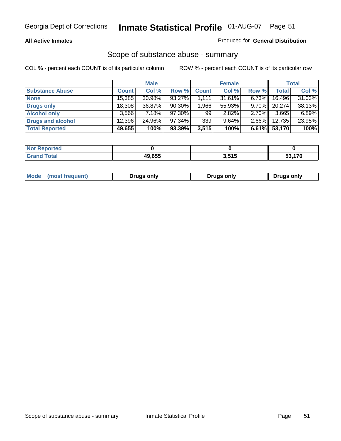## **All Active Inmates**

## Produced for **General Distribution**

# Scope of substance abuse - summary

|                        |              | <b>Male</b> |           |                    | <b>Female</b> |          |              | <b>Total</b> |
|------------------------|--------------|-------------|-----------|--------------------|---------------|----------|--------------|--------------|
| <b>Substance Abuse</b> | <b>Count</b> | Col %       | Row %     | <b>Count</b>       | Col %         | Row %    | <b>Total</b> | Col %        |
| <b>None</b>            | 15,385       | 30.98%      | 93.27%    | $\overline{1,111}$ | 31.61%        | 6.73%    | 16,496       | 31.03%       |
| <b>Drugs only</b>      | 18,308       | 36.87%      | $90.30\%$ | 1,966              | 55.93%        | $9.70\%$ | 20.274       | 38.13%       |
| <b>Alcohol only</b>    | 3.566        | 7.18%       | 97.30%    | 99                 | 2.82%         | $2.70\%$ | 3,665        | 6.89%        |
| Drugs and alcohol      | 12.396       | 24.96%      | 97.34%    | 339                | 9.64%         | $2.66\%$ | 12,735       | 23.95%       |
| <b>Total Reported</b>  | 49,655       | 100%        | 93.39%    | 3,515              | 100%          | 6.61%    | 53,170       | 100%         |

| <b>Not Reported</b>          |        |       |     |
|------------------------------|--------|-------|-----|
| <b>Total</b><br><b>Grand</b> | 49.655 | 3,515 | 170 |

|  | Mode<br>(most frequent) | Drugs only | <b>Drugs only</b> | <b>Drugs only</b> |
|--|-------------------------|------------|-------------------|-------------------|
|--|-------------------------|------------|-------------------|-------------------|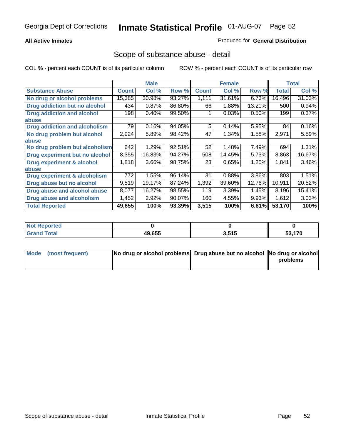## **All Active Inmates**

## Produced for **General Distribution**

# Scope of substance abuse - detail

|                                      |                  | <b>Male</b> |        |              | <b>Female</b> |        |              | <b>Total</b> |
|--------------------------------------|------------------|-------------|--------|--------------|---------------|--------|--------------|--------------|
| <b>Substance Abuse</b>               | <b>Count</b>     | Col %       | Row %  | <b>Count</b> | Col %         | Row %  | <b>Total</b> | Col %        |
| No drug or alcohol problems          | 15,385           | 30.98%      | 93.27% | 1,111        | 31.61%        | 6.73%  | 16,496       | 31.03%       |
| Drug addiction but no alcohol        | 434              | 0.87%       | 86.80% | 66           | 1.88%         | 13.20% | 500          | 0.94%        |
| <b>Drug addiction and alcohol</b>    | 198              | 0.40%       | 99.50% |              | 0.03%         | 0.50%  | 199          | 0.37%        |
| abuse                                |                  |             |        |              |               |        |              |              |
| <b>Drug addiction and alcoholism</b> | 79               | 0.16%       | 94.05% | 5            | 0.14%         | 5.95%  | 84           | 0.16%        |
| No drug problem but alcohol          | 2,924            | 5.89%       | 98.42% | 47           | 1.34%         | 1.58%  | 2,971        | 5.59%        |
| <b>labuse</b>                        |                  |             |        |              |               |        |              |              |
| No drug problem but alcoholism       | 642              | 1.29%       | 92.51% | 52           | 1.48%         | 7.49%  | 694          | 1.31%        |
| Drug experiment but no alcohol       | 8,355            | 16.83%      | 94.27% | 508          | 14.45%        | 5.73%  | 8,863        | 16.67%       |
| <b>Drug experiment &amp; alcohol</b> | 1,818            | 3.66%       | 98.75% | 23           | 0.65%         | 1.25%  | 1,841        | 3.46%        |
| <b>labuse</b>                        |                  |             |        |              |               |        |              |              |
| Drug experiment & alcoholism         | $\overline{772}$ | 1.55%       | 96.14% | 31           | 0.88%         | 3.86%  | 803          | 1.51%        |
| Drug abuse but no alcohol            | 9,519            | 19.17%      | 87.24% | 1,392        | 39.60%        | 12.76% | 10,911       | 20.52%       |
| Drug abuse and alcohol abuse         | 8,077            | 16.27%      | 98.55% | 119          | 3.39%         | 1.45%  | 8,196        | 15.41%       |
| <b>Drug abuse and alcoholism</b>     | 1,452            | 2.92%       | 90.07% | 160          | 4.55%         | 9.93%  | 1,612        | 3.03%        |
| <b>Total Reported</b>                | 49,655           | 100%        | 93.39% | 3,515        | 100%          | 6.61%  | 53,170       | 100%         |

| . Reported<br><b>NOT</b> |        |                           |        |
|--------------------------|--------|---------------------------|--------|
| <b>Total</b>             | 49.655 | 2 <sub>515</sub><br>J.JIJ | 53.170 |

| Mode (most frequent) | No drug or alcohol problems Drug abuse but no alcohol No drug or alcohol |          |
|----------------------|--------------------------------------------------------------------------|----------|
|                      |                                                                          | problems |
|                      |                                                                          |          |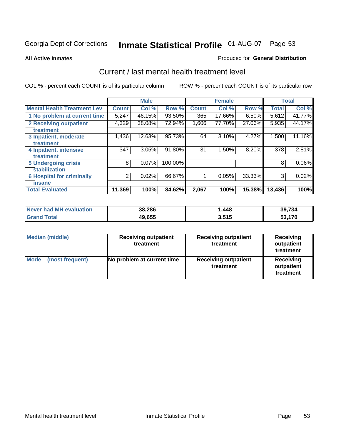#### **All Active Inmates**

#### Produced for **General Distribution**

# Current / last mental health treatment level

|                                    |              | <b>Male</b> |         |              | <b>Female</b> |        |              | <b>Total</b> |
|------------------------------------|--------------|-------------|---------|--------------|---------------|--------|--------------|--------------|
| <b>Mental Health Treatment Lev</b> | <b>Count</b> | Col %       | Row %   | <b>Count</b> | Col %         | Row %  | <b>Total</b> | Col %        |
| 1 No problem at current time       | 5,247        | 46.15%      | 93.50%  | 365          | 17.66%        | 6.50%  | 5,612        | 41.77%       |
| 2 Receiving outpatient             | 4,329        | 38.08%      | 72.94%  | 1,606        | 77.70%        | 27.06% | 5,935        | 44.17%       |
| treatment                          |              |             |         |              |               |        |              |              |
| 3 Inpatient, moderate              | 1,436        | 12.63%      | 95.73%  | 64           | 3.10%         | 4.27%  | 1,500        | 11.16%       |
| treatment                          |              |             |         |              |               |        |              |              |
| 4 Inpatient, intensive             | 347          | 3.05%       | 91.80%  | 31           | 1.50%         | 8.20%  | 378          | $2.81\%$     |
| treatment                          |              |             |         |              |               |        |              |              |
| <b>5 Undergoing crisis</b>         | 8            | $0.07\%$    | 100.00% |              |               |        | 8            | $0.06\%$     |
| stabilization                      |              |             |         |              |               |        |              |              |
| <b>6 Hospital for criminally</b>   | 2            | 0.02%       | 66.67%  | 1            | 0.05%         | 33.33% | 3            | 0.02%        |
| insane                             |              |             |         |              |               |        |              |              |
| <b>Total Evaluated</b>             | 11,369       | 100%        | 84.62%  | 2,067        | 100%          | 15.38% | 13,436       | 100%         |

| Never had MH evaluation     | 38,286 | 448،، | 39,734      |
|-----------------------------|--------|-------|-------------|
| $\tau$ otal<br><b>Grand</b> | 49,655 | 3,515 | .170<br>ეკ, |

| <b>Median (middle)</b>         | <b>Receiving outpatient</b><br>treatment | <b>Receiving outpatient</b><br>treatment | <b>Receiving</b><br>outpatient<br>treatment |  |
|--------------------------------|------------------------------------------|------------------------------------------|---------------------------------------------|--|
| <b>Mode</b><br>(most frequent) | No problem at current time               | <b>Receiving outpatient</b><br>treatment | Receiving<br>outpatient<br>treatment        |  |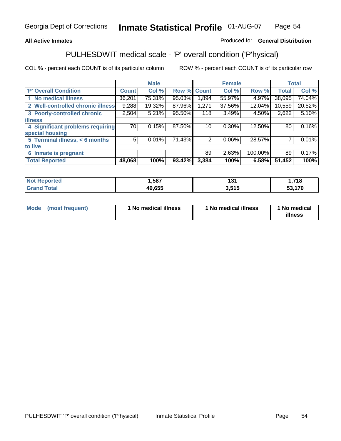## **All Active Inmates**

## Produced for **General Distribution**

# PULHESDWIT medical scale - 'P' overall condition ('P'hysical)

|                                   |              | <b>Male</b> |        |              | <b>Female</b> |         |              | <b>Total</b> |
|-----------------------------------|--------------|-------------|--------|--------------|---------------|---------|--------------|--------------|
| 'P' Overall Condition             | <b>Count</b> | Col %       | Row %  | <b>Count</b> | Col %         | Row %   | <b>Total</b> | Col %        |
| 1 No medical illness              | 36,201       | 75.31%      | 95.03% | 1,894        | 55.97%        | 4.97%   | 38,095       | 74.04%       |
| 2 Well-controlled chronic illness | 9,288        | 19.32%      | 87.96% | 1,271        | 37.56%        | 12.04%  | 10,559       | 20.52%       |
| 3 Poorly-controlled chronic       | 2,504        | 5.21%       | 95.50% | 118          | 3.49%         | 4.50%   | 2,622        | 5.10%        |
| <b>illness</b>                    |              |             |        |              |               |         |              |              |
| 4 Significant problems requiring  | 70           | 0.15%       | 87.50% | 10           | 0.30%         | 12.50%  | 80           | 0.16%        |
| special housing                   |              |             |        |              |               |         |              |              |
| 5 Terminal illness, < 6 months    | 5            | 0.01%       | 71.43% | 2            | 0.06%         | 28.57%  |              | 0.01%        |
| to live                           |              |             |        |              |               |         |              |              |
| Inmate is pregnant<br>6           |              |             |        | 89           | 2.63%         | 100.00% | 89           | 0.17%        |
| <b>Total Reported</b>             | 48,068       | 100%        | 93.42% | 3,384        | 100%          | 6.58%   | 51,452       | 100%         |

| Not i<br>Reported  | 1,587  | י פי<br>י י | ,718   |
|--------------------|--------|-------------|--------|
| <b>Grand Total</b> | 49,655 | 3,515       | 53,170 |

| Mode (most frequent) | 1 No medical illness | 1 No medical illness | 1 No medical |
|----------------------|----------------------|----------------------|--------------|
|                      |                      |                      | illness      |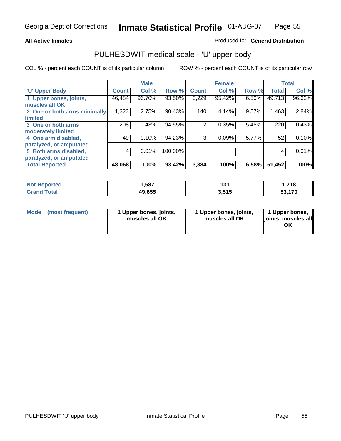## **All Active Inmates**

## Produced for **General Distribution**

# PULHESDWIT medical scale - 'U' upper body

|                              |              | <b>Male</b> |         |              | <b>Female</b> |       |              | <b>Total</b> |
|------------------------------|--------------|-------------|---------|--------------|---------------|-------|--------------|--------------|
| <b>U' Upper Body</b>         | <b>Count</b> | Col %       | Row %   | <b>Count</b> | Col %         | Row % | <b>Total</b> | Col %        |
| 1 Upper bones, joints,       | 46,484       | 96.70%      | 93.50%  | 3,229        | 95.42%        | 6.50% | 49,713       | 96.62%       |
| muscles all OK               |              |             |         |              |               |       |              |              |
| 2 One or both arms minimally | 1,323        | 2.75%       | 90.43%  | 140          | 4.14%         | 9.57% | 1,463        | 2.84%        |
| limited                      |              |             |         |              |               |       |              |              |
| 3 One or both arms           | 208          | 0.43%       | 94.55%  | 12           | 0.35%         | 5.45% | 220          | 0.43%        |
| moderately limited           |              |             |         |              |               |       |              |              |
| 4 One arm disabled,          | 49           | 0.10%       | 94.23%  | 3            | 0.09%         | 5.77% | 52           | 0.10%        |
| paralyzed, or amputated      |              |             |         |              |               |       |              |              |
| 5 Both arms disabled,        | 4            | 0.01%       | 100.00% |              |               |       | 4            | 0.01%        |
| paralyzed, or amputated      |              |             |         |              |               |       |              |              |
| <b>Total Reported</b>        | 48,068       | 100%        | 93.42%  | 3,384        | 100%          | 6.58% | 51,452       | 100%         |

| rtea     | .,587  | 194       | <b>740</b> |
|----------|--------|-----------|------------|
| N0       |        | וטו       | . . / 10   |
| $T0$ tol | 49,655 | 2F1F<br>. | 53.170     |

| Mode | (most frequent) | 1 Upper bones, joints,<br>muscles all OK | 1 Upper bones, joints,<br>muscles all OK | 1 Upper bones,<br>joints, muscles all<br>ΟK |
|------|-----------------|------------------------------------------|------------------------------------------|---------------------------------------------|
|------|-----------------|------------------------------------------|------------------------------------------|---------------------------------------------|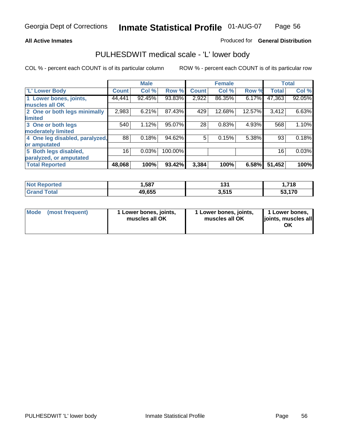### **All Active Inmates**

## Produced for **General Distribution**

# PULHESDWIT medical scale - 'L' lower body

|                                |              | <b>Male</b> |         |              | <b>Female</b> |        |              | <b>Total</b> |
|--------------------------------|--------------|-------------|---------|--------------|---------------|--------|--------------|--------------|
| <b>L' Lower Body</b>           | <b>Count</b> | Col %       | Row %   | <b>Count</b> | Col %         | Row %  | <b>Total</b> | Col %        |
| 1 Lower bones, joints,         | 44,441       | 92.45%      | 93.83%  | 2,922        | 86.35%        | 6.17%  | 47,363       | 92.05%       |
| muscles all OK                 |              |             |         |              |               |        |              |              |
| 2 One or both legs minimally   | 2,983        | 6.21%       | 87.43%  | 429          | 12.68%        | 12.57% | 3,412        | 6.63%        |
| limited                        |              |             |         |              |               |        |              |              |
| 3 One or both legs             | 540          | 1.12%       | 95.07%  | 28           | 0.83%         | 4.93%  | 568          | 1.10%        |
| moderately limited             |              |             |         |              |               |        |              |              |
| 4 One leg disabled, paralyzed, | 88           | 0.18%       | 94.62%  | 5            | 0.15%         | 5.38%  | 93           | 0.18%        |
| or amputated                   |              |             |         |              |               |        |              |              |
| 5 Both legs disabled,          | 16           | 0.03%       | 100.00% |              |               |        | 16           | 0.03%        |
| paralyzed, or amputated        |              |             |         |              |               |        |              |              |
| <b>Total Reported</b>          | 48,068       | 100%        | 93.42%  | 3,384        | 100%          | 6.58%  | 51,452       | 100%         |

| <b>Not Reported</b>    | .,587  | 194<br>וטו | .718.  |
|------------------------|--------|------------|--------|
| <b>Total</b><br>'Grano | 49,655 | 3.515      | 53.170 |

|  | Mode (most frequent) | 1 Lower bones, joints,<br>muscles all OK | 1 Lower bones, joints,<br>muscles all OK | 1 Lower bones,<br>joints, muscles all<br>OK |
|--|----------------------|------------------------------------------|------------------------------------------|---------------------------------------------|
|--|----------------------|------------------------------------------|------------------------------------------|---------------------------------------------|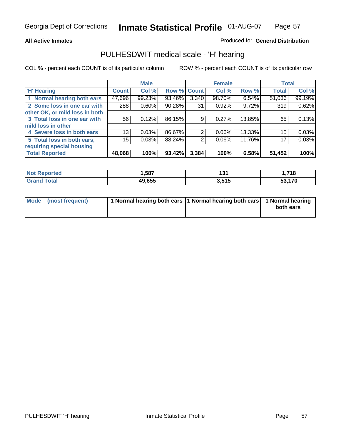### **All Active Inmates**

## Produced for **General Distribution**

# PULHESDWIT medical scale - 'H' hearing

|                                |              | <b>Male</b> |             |       | <b>Female</b> |        | <b>Total</b> |        |
|--------------------------------|--------------|-------------|-------------|-------|---------------|--------|--------------|--------|
| <b>H'</b> Hearing              | <b>Count</b> | Col %       | Row % Count |       | Col %         | Row %  | <b>Total</b> | Col %  |
| 1 Normal hearing both ears     | 47,696       | 99.23%      | 93.46%      | 3,340 | 98.70%        | 6.54%  | 51,036       | 99.19% |
| 2 Some loss in one ear with    | 288          | 0.60%       | 90.28%      | 31    | 0.92%         | 9.72%  | 319          | 0.62%  |
| other OK, or mild loss in both |              |             |             |       |               |        |              |        |
| 3 Total loss in one ear with   | 56           | 0.12%       | 86.15%      | 9     | $0.27\%$      | 13.85% | 65           | 0.13%  |
| mild loss in other             |              |             |             |       |               |        |              |        |
| 4 Severe loss in both ears     | 13           | 0.03%       | 86.67%      | 2     | $0.06\%$      | 13.33% | 15           | 0.03%  |
| 5 Total loss in both ears,     | 15           | 0.03%       | 88.24%      | 2     | $0.06\%$      | 11.76% | 17           | 0.03%  |
| requiring special housing      |              |             |             |       |               |        |              |        |
| <b>Total Reported</b>          | 48,068       | 100%        | 93.42%      | 3,384 | 100%          | 6.58%  | 51,452       | 100%   |

| rteo                            | 587    | 1 n 1<br>וטו | <b>740</b><br>. 10 |
|---------------------------------|--------|--------------|--------------------|
| $\mathcal{L}$ and $\mathcal{L}$ | 49.655 | 3,515        | ,170<br>JJ         |

| Mode (most frequent) | 1 Normal hearing both ears 11 Normal hearing both ears 1 Normal hearing |           |
|----------------------|-------------------------------------------------------------------------|-----------|
|                      |                                                                         | both ears |
|                      |                                                                         |           |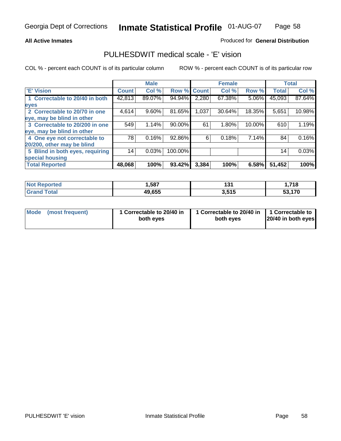## **All Active Inmates**

# Produced for **General Distribution**

# PULHESDWIT medical scale - 'E' vision

|                                 |              | <b>Male</b> |             |       | <b>Female</b> |        |              | <b>Total</b> |
|---------------------------------|--------------|-------------|-------------|-------|---------------|--------|--------------|--------------|
| 'E' Vision                      | <b>Count</b> | Col %       | Row % Count |       | Col %         | Row %  | <b>Total</b> | Col %        |
| 1 Correctable to 20/40 in both  | 42,813       | 89.07%      | 94.94%      | 2,280 | 67.38%        | 5.06%  | 45,093       | 87.64%       |
| eyes                            |              |             |             |       |               |        |              |              |
| 2 Correctable to 20/70 in one   | 4,614        | 9.60%       | 81.65%      | 1,037 | 30.64%        | 18.35% | 5,651        | 10.98%       |
| eye, may be blind in other      |              |             |             |       |               |        |              |              |
| 3 Correctable to 20/200 in one  | 549          | 1.14%       | 90.00%      | 61    | 1.80%         | 10.00% | 610          | 1.19%        |
| eye, may be blind in other      |              |             |             |       |               |        |              |              |
| 4 One eye not correctable to    | 78           | 0.16%       | 92.86%      | 6     | 0.18%         | 7.14%  | 84           | 0.16%        |
| 20/200, other may be blind      |              |             |             |       |               |        |              |              |
| 5 Blind in both eyes, requiring | 14           | 0.03%       | 100.00%     |       |               |        | 14           | 0.03%        |
| special housing                 |              |             |             |       |               |        |              |              |
| <b>Total Reported</b>           | 48,068       | 100%        | 93.42%      | 3,384 | 100%          | 6.58%  | 51,452       | 100%         |

| <b>Not Reported</b>   | ,587   | ın.<br>IJ. | <b>740</b><br>. . / . 10 |
|-----------------------|--------|------------|--------------------------|
| <b>Fotal</b><br>⊪Gran | 49,655 | 3,515      | 53,170                   |

| Mode | (most frequent) | 1 Correctable to 20/40 in<br>both eves | 1 Correctable to 20/40 in   1 Correctable to<br>both eves | 20/40 in both eyes |
|------|-----------------|----------------------------------------|-----------------------------------------------------------|--------------------|
|      |                 |                                        |                                                           |                    |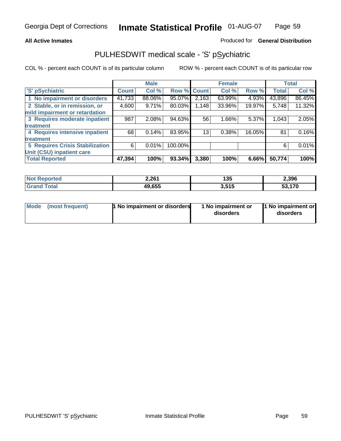## **All Active Inmates**

# Produced for **General Distribution**

# PULHESDWIT medical scale - 'S' pSychiatric

|                                        |              | <b>Male</b> |         |              | <b>Female</b> |        |              | <b>Total</b> |
|----------------------------------------|--------------|-------------|---------|--------------|---------------|--------|--------------|--------------|
| 'S' pSychiatric                        | <b>Count</b> | Col %       | Row %   | <b>Count</b> | Col %         | Row %  | <b>Total</b> | Col %        |
| 1 No impairment or disorders           | 41,733       | 88.06%      | 95.07%  | 2,163        | 63.99%        | 4.93%  | 43,896       | 86.45%       |
| 2 Stable, or in remission, or          | 4,600        | 9.71%       | 80.03%  | 1,148        | 33.96%        | 19.97% | 5,748        | 11.32%       |
| mild impairment or retardation         |              |             |         |              |               |        |              |              |
| 3 Requires moderate inpatient          | 987          | $2.08\%$    | 94.63%  | 56           | $1.66\%$      | 5.37%  | 1,043        | 2.05%        |
| treatment                              |              |             |         |              |               |        |              |              |
| 4 Requires intensive inpatient         | 68           | 0.14%       | 83.95%  | 13           | 0.38%         | 16.05% | 81           | 0.16%        |
| treatment                              |              |             |         |              |               |        |              |              |
| <b>5 Requires Crisis Stabilization</b> | 6            | 0.01%       | 100.00% |              |               |        | 6            | 0.01%        |
| Unit (CSU) inpatient care              |              |             |         |              |               |        |              |              |
| <b>Total Reported</b>                  | 47,394       | 100%        | 93.34%  | 3,380        | 100%          | 6.66%  | 50,774       | 100%         |

| <b>Not Reported</b>    | 2,261  | 135   | 2,396            |
|------------------------|--------|-------|------------------|
| $\tau$ otal<br>' Grand | 49,655 | 3,515 | 170<br><b>ro</b> |

| Mode (most frequent) | <b>1</b> No impairment or disorders | 1 No impairment or<br>disorders | 1 No impairment or<br>disorders |
|----------------------|-------------------------------------|---------------------------------|---------------------------------|
|                      |                                     |                                 |                                 |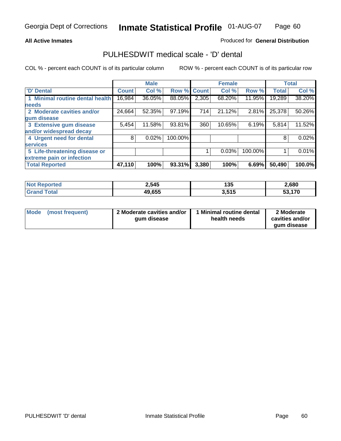## **All Active Inmates**

# Produced for **General Distribution**

# PULHESDWIT medical scale - 'D' dental

|                                      |              | <b>Male</b> |                    |       | <b>Female</b> |         |              | <b>Total</b> |
|--------------------------------------|--------------|-------------|--------------------|-------|---------------|---------|--------------|--------------|
| <b>D'</b> Dental                     | <b>Count</b> | Col %       | <b>Row % Count</b> |       | Col%          | Row %   | <b>Total</b> | Col %        |
| <b>Minimal routine dental health</b> | 16,984       | 36.05%      | 88.05%             | 2,305 | 68.20%        | 11.95%  | 19,289       | 38.20%       |
| <b>needs</b>                         |              |             |                    |       |               |         |              |              |
| 2 Moderate cavities and/or           | 24,664       | 52.35%      | 97.19%             | 714   | 21.12%        | 2.81%   | 25,378       | 50.26%       |
| gum disease                          |              |             |                    |       |               |         |              |              |
| 3 Extensive gum disease              | 5,454        | 11.58%      | 93.81%             | 360   | 10.65%        | 6.19%   | 5,814        | 11.52%       |
| and/or widespread decay              |              |             |                    |       |               |         |              |              |
| 4 Urgent need for dental             | 8            | 0.02%       | 100.00%            |       |               |         | 8            | 0.02%        |
| <b>services</b>                      |              |             |                    |       |               |         |              |              |
| 5 Life-threatening disease or        |              |             |                    |       | 0.03%         | 100.00% |              | 0.01%        |
| extreme pain or infection            |              |             |                    |       |               |         |              |              |
| <b>Total Reported</b>                | 47,110       | 100%        | 93.31%             | 3,380 | 100%          | 6.69%   | 50,490       | 100.0%       |

| <b>Not Reported</b>  | 2,545  | 4 O.F<br>נט ו | 2,680  |
|----------------------|--------|---------------|--------|
| Γota⊦<br><b>Grar</b> | 49,655 | 3,515         | 53,170 |

| <b>Mode</b> | (most frequent) | 2 Moderate cavities and/or<br>qum disease | 1 Minimal routine dental<br>health needs | 2 Moderate<br>cavities and/or |
|-------------|-----------------|-------------------------------------------|------------------------------------------|-------------------------------|
|             |                 |                                           |                                          | aum disease                   |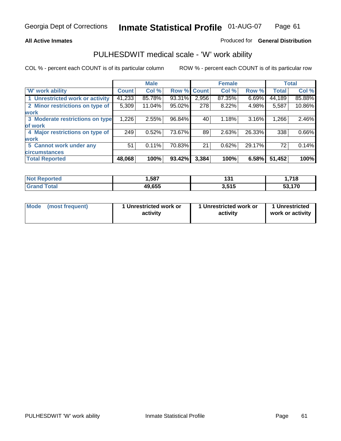## **All Active Inmates**

## Produced for **General Distribution**

# PULHESDWIT medical scale - 'W' work ability

|                                 |              | <b>Male</b> |        |              | <b>Female</b> |        |              | <b>Total</b> |
|---------------------------------|--------------|-------------|--------|--------------|---------------|--------|--------------|--------------|
| W' work ability                 | <b>Count</b> | Col %       | Row %  | <b>Count</b> | Col %         | Row %  | <b>Total</b> | Col %        |
| 1 Unrestricted work or activity | 41,233       | 85.78%      | 93.31% | 2,956        | 87.35%        | 6.69%  | 44,189       | 85.88%       |
| 2 Minor restrictions on type of | 5,309        | 11.04%      | 95.02% | 278          | 8.22%         | 4.98%  | 5,587        | 10.86%       |
| <b>work</b>                     |              |             |        |              |               |        |              |              |
| 3 Moderate restrictions on type | 1,226        | 2.55%       | 96.84% | 40           | 1.18%         | 3.16%  | 1,266        | 2.46%        |
| of work                         |              |             |        |              |               |        |              |              |
| 4 Major restrictions on type of | 249          | 0.52%       | 73.67% | 89           | 2.63%         | 26.33% | 338          | 0.66%        |
| <b>work</b>                     |              |             |        |              |               |        |              |              |
| 5 Cannot work under any         | 51           | $0.11\%$    | 70.83% | 21           | 0.62%         | 29.17% | 72           | 0.14%        |
| <b>circumstances</b>            |              |             |        |              |               |        |              |              |
| <b>Total Reported</b>           | 48,068       | 100%        | 93.42% | 3,384        | 100%          | 6.58%  | 51,452       | 100%         |

| <b>Not Reported</b>          | ,587   | 194<br>וטו | 718.   |
|------------------------------|--------|------------|--------|
| <b>Total</b><br><b>Grand</b> | 49,655 | 3,515      | 53,170 |

| Mode            | 1 Unrestricted work or | 1 Unrestricted work or | 1 Unrestricted   |
|-----------------|------------------------|------------------------|------------------|
| (most frequent) | activity               | activity               | work or activity |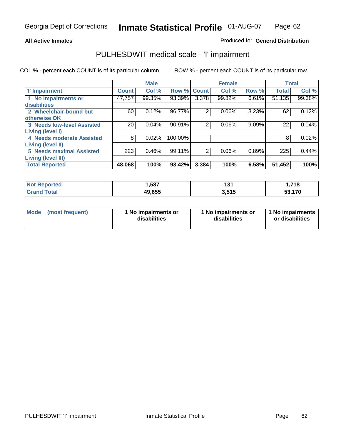### **All Active Inmates**

## Produced for **General Distribution**

# PULHESDWIT medical scale - 'I' impairment

|                                   |              | <b>Male</b> |         |                | <b>Female</b> |       |              | <b>Total</b> |
|-----------------------------------|--------------|-------------|---------|----------------|---------------|-------|--------------|--------------|
| <b>T' Impairment</b>              | <b>Count</b> | Col %       | Row %   | <b>Count</b>   | Col %         | Row % | <b>Total</b> | Col %        |
| 1 No impairments or               | 47,757       | 99.35%      | 93.39%  | 3,378          | 99.82%        | 6.61% | 51,135       | 99.38%       |
| disabilities                      |              |             |         |                |               |       |              |              |
| 2 Wheelchair-bound but            | 60           | 0.12%       | 96.77%  | 2              | 0.06%         | 3.23% | 62           | 0.12%        |
| otherwise OK                      |              |             |         |                |               |       |              |              |
| <b>3 Needs low-level Assisted</b> | 20           | 0.04%       | 90.91%  | 2              | 0.06%         | 9.09% | 22           | 0.04%        |
| Living (level I)                  |              |             |         |                |               |       |              |              |
| 4 Needs moderate Assisted         | 8            | 0.02%       | 100.00% |                |               |       | 8            | 0.02%        |
| <b>Living (level II)</b>          |              |             |         |                |               |       |              |              |
| <b>5 Needs maximal Assisted</b>   | 223          | 0.46%       | 99.11%  | $\overline{2}$ | 0.06%         | 0.89% | 225          | 0.44%        |
| Living (level III)                |              |             |         |                |               |       |              |              |
| <b>Total Reported</b>             | 48,068       | 100%        | 93.42%  | 3,384          | 100%          | 6.58% | 51,452       | 100%         |

| <b>eported</b><br>NO: | ,587   | א פי<br>1 J I | .718.      |
|-----------------------|--------|---------------|------------|
| ୮otal<br><b>Grand</b> | 49,655 | 3,515         | .170<br>აა |

| <b>Mode</b> | (most frequent) | 1 No impairments or<br>disabilities | 1 No impairments or<br>disabilities | 1 1 No impairments<br>or disabilities |
|-------------|-----------------|-------------------------------------|-------------------------------------|---------------------------------------|
|-------------|-----------------|-------------------------------------|-------------------------------------|---------------------------------------|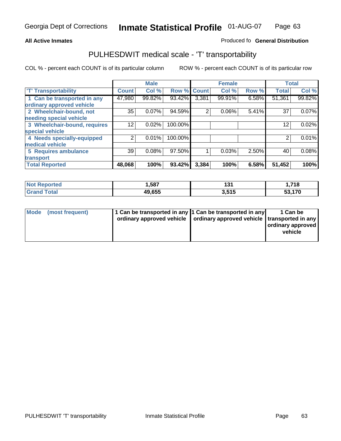#### **Inmate Statistical Profile** 01-AUG-07 Page Page 63

## **All Active Inmates Allowski** Produced fo **General Distribution**

# PULHESDWIT medical scale - 'T' transportability

|                              |              | <b>Male</b> |             |       | <b>Female</b> |       | <b>Total</b> |        |
|------------------------------|--------------|-------------|-------------|-------|---------------|-------|--------------|--------|
| <b>T' Transportability</b>   | <b>Count</b> | Col %       | Row % Count |       | Col %         | Row % | <b>Total</b> | Col %  |
| 1 Can be transported in any  | 47,980       | 99.82%      | 93.42%      | 3,381 | 99.91%        | 6.58% | 51,361       | 99.82% |
| ordinary approved vehicle    |              |             |             |       |               |       |              |        |
| 2 Wheelchair-bound, not      | 35           | 0.07%       | 94.59%      | 2     | 0.06%         | 5.41% | 37           | 0.07%  |
| needing special vehicle      |              |             |             |       |               |       |              |        |
| 3 Wheelchair-bound, requires | 12           | 0.02%       | 100.00%     |       |               |       | 12           | 0.02%  |
| special vehicle              |              |             |             |       |               |       |              |        |
| 4 Needs specially-equipped   | ⌒            | 0.01%       | 100.00%     |       |               |       |              | 0.01%  |
| medical vehicle              |              |             |             |       |               |       |              |        |
| <b>5 Requires ambulance</b>  | 39           | 0.08%       | 97.50%      |       | 0.03%         | 2.50% | 40           | 0.08%  |
| transport                    |              |             |             |       |               |       |              |        |
| <b>Total Reported</b>        | 48,068       | 100%        | 93.42%      | 3,384 | 100%          | 6.58% | 51,452       | 100%   |

| <b>Noi</b><br><b>eported</b> | ,587   | 194<br>וטו | 1,718 |
|------------------------------|--------|------------|-------|
| Γotal<br><b>Grar</b>         | 49,655 | 3,515      | 170   |

| Mode (most frequent) | 1 Can be transported in any 1 Can be transported in any | ordinary approved vehicle   ordinary approved vehicle   transported in any | 1 Can be<br>  ordinary approved  <br>vehicle |
|----------------------|---------------------------------------------------------|----------------------------------------------------------------------------|----------------------------------------------|
|                      |                                                         |                                                                            |                                              |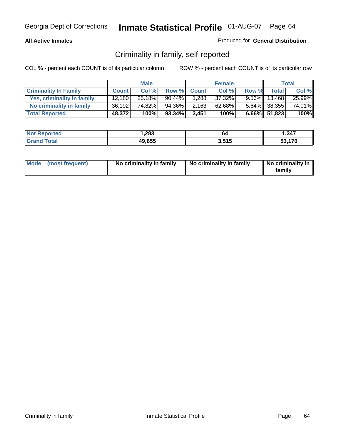## **All Active Inmates**

## Produced for **General Distribution**

# Criminality in family, self-reported

|                              |              | <b>Male</b> |           |              | <b>Female</b> |       |                 | <b>Total</b> |
|------------------------------|--------------|-------------|-----------|--------------|---------------|-------|-----------------|--------------|
| <b>Criminality In Family</b> | <b>Count</b> | Col %       | Row %     | <b>Count</b> | Col %         | Row % | <b>Total</b>    | Col %        |
| Yes, criminality in family   | 12.180       | 25.18%      | $90.44\%$ | 1,288        | 37.32%        |       | $9.56\%$ 13,468 | 25.99%       |
| No criminality in family     | 36,192       | 74.82%      | 94.36%    | 2,163        | 62.68%        |       | 5.64% 38,355    | 74.01%       |
| <b>Total Reported</b>        | 48,372       | 100%        | $93.34\%$ | 3,451        | 100%          |       | 6.66% 51,823    | 100%         |

| <b>Not</b><br><b>Reported</b> | 283. ا | 64    | 1,347  |
|-------------------------------|--------|-------|--------|
| <i>i</i> otal                 | 49,655 | 3.515 | 53.170 |

|  | Mode (most frequent) | No criminality in family | No criminality in family | No criminality in<br>family |
|--|----------------------|--------------------------|--------------------------|-----------------------------|
|--|----------------------|--------------------------|--------------------------|-----------------------------|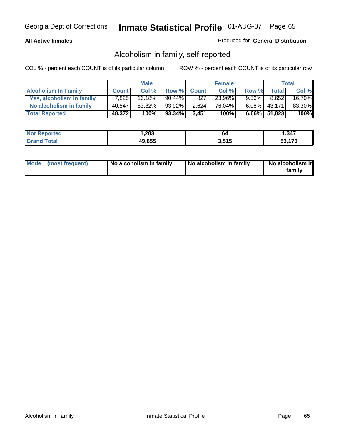## **All Active Inmates**

## Produced for **General Distribution**

# Alcoholism in family, self-reported

|                             |              | <b>Male</b> |           |              | <b>Female</b> |          |              | <b>Total</b> |
|-----------------------------|--------------|-------------|-----------|--------------|---------------|----------|--------------|--------------|
| <b>Alcoholism In Family</b> | <b>Count</b> | Col %       | Row %     | <b>Count</b> | Col %         | Row %    | <b>Total</b> | Col %        |
| Yes, alcoholism in family   | 7.825        | $16.18\%$   | $90.44\%$ | 827          | 23.96%        | $9.56\%$ | 8,652        | 16.70%       |
| No alcoholism in family     | 40,547       | 83.82%      | 93.92%    | 2,624        | 76.04%        |          | 6.08% 43,171 | 83.30%       |
| <b>Total Reported</b>       | 48,372       | 100%        | $93.34\%$ | 3,451        | 100%          |          | 6.66% 51,823 | 100%         |

| <b>Not Reported</b>   | 283, ا | 04    | 1,347  |
|-----------------------|--------|-------|--------|
| Total<br><b>Grand</b> | 49,655 | 3.515 | 53.170 |

|  | Mode (most frequent) | No alcoholism in family | No alcoholism in family | No alcoholism in<br>familv |
|--|----------------------|-------------------------|-------------------------|----------------------------|
|--|----------------------|-------------------------|-------------------------|----------------------------|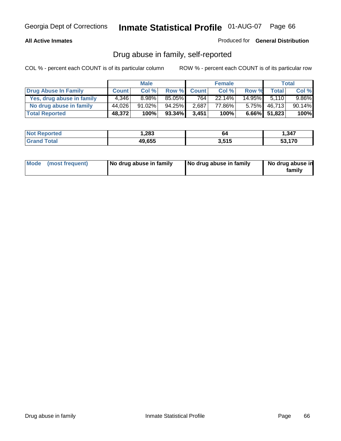## **All Active Inmates**

## Produced for **General Distribution**

# Drug abuse in family, self-reported

|                           |              | <b>Male</b> |        |              | <b>Female</b> |           |              | <b>Total</b> |
|---------------------------|--------------|-------------|--------|--------------|---------------|-----------|--------------|--------------|
| Drug Abuse In Family      | <b>Count</b> | Col %       | Row %  | <b>Count</b> | Col %         | Row %     | Total        | Col %        |
| Yes, drug abuse in family | 4,346        | 8.98%       | 85.05% | 764          | 22.14%        | $14.95\%$ | 5.110        | $9.86\%$     |
| No drug abuse in family   | 44,026       | $91.02\%$   | 94.25% | 2,687        | 77.86%        | $5.75\%$  | 46,713       | 90.14%       |
| <b>Total Reported</b>     | 48,372       | 100%        | 93.34% | 3,451        | 100%          |           | 6.66% 51,823 | 100%         |

| <b>Not Reported</b>          | 283. ا | יים   | 1,347  |
|------------------------------|--------|-------|--------|
| <b>Total</b><br><b>Grand</b> | 49,655 | 3,515 | 53.170 |

|  | Mode (most frequent) | No drug abuse in family | No drug abuse in family | No drug abuse in<br>family |
|--|----------------------|-------------------------|-------------------------|----------------------------|
|--|----------------------|-------------------------|-------------------------|----------------------------|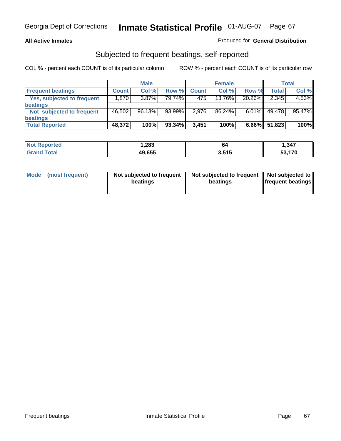## **All Active Inmates**

## Produced for **General Distribution**

# Subjected to frequent beatings, self-reported

|                                   |              | <b>Male</b> |        |              | <b>Female</b> |          |        | Total  |
|-----------------------------------|--------------|-------------|--------|--------------|---------------|----------|--------|--------|
| <b>Frequent beatings</b>          | <b>Count</b> | Col %       | Row %  | <b>Count</b> | Col %         | Row %    | Total  | Col %  |
| <b>Yes, subjected to frequent</b> | 1,870        | $3.87\%$    | 79.74% | 475          | 13.76%        | 20.26%   | 2,345  | 4.53%  |
| beatings                          |              |             |        |              |               |          |        |        |
| Not subjected to frequent         | 46,502       | 96.13%      | 93.99% | 2,976        | 86.24%        | $6.01\%$ | 49,478 | 95.47% |
| beatings                          |              |             |        |              |               |          |        |        |
| <b>Total Reported</b>             | 48,372       | 100%        | 93.34% | 3,451        | 100%          | $6.66\%$ | 51,823 | 100%   |

| <b>ntea</b><br>NO.   | 283, ا | 64    | , 347  |
|----------------------|--------|-------|--------|
| <b>Lotal</b><br>. Gr | 49,655 | 3.515 | 53.170 |

| <b>Mode</b><br>(most frequent) | Not subjected to frequent<br>beatings | Not subjected to frequent   Not subjected to  <br>beatings | <b>frequent beatings</b> |  |
|--------------------------------|---------------------------------------|------------------------------------------------------------|--------------------------|--|
|                                |                                       |                                                            |                          |  |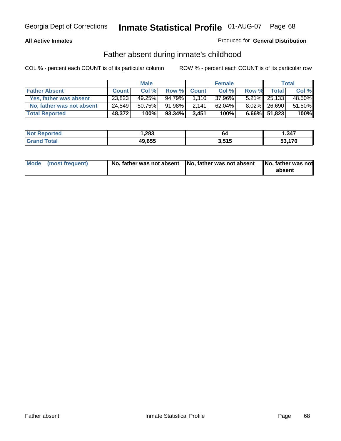## **All Active Inmates**

## Produced for **General Distribution**

# Father absent during inmate's childhood

|                           |              | <b>Male</b> |           |              | <b>Female</b> |       |                 | <b>Total</b> |
|---------------------------|--------------|-------------|-----------|--------------|---------------|-------|-----------------|--------------|
| <b>Father Absent</b>      | <b>Count</b> | Col %       | Row %     | <b>Count</b> | Col %         | Row % | <b>Total</b>    | Col %        |
| Yes, father was absent    | 23,823       | 49.25%      | 94.79%    | 1,310        | 37.96%        |       | 5.21% 25,133    | 48.50%       |
| No, father was not absent | 24,549       | 50.75%      | 91.98%    | 2.141        | 62.04%        |       | $8.02\%$ 26,690 | 51.50%       |
| <b>Total Reported</b>     | 48,372       | 100%        | $93.34\%$ | 3,451        | 100%          |       | $6.66\%$ 51,823 | 100%         |

| <b>Not Reported</b> | 283. ا | 64    | .347               |
|---------------------|--------|-------|--------------------|
| <b>Grand Total</b>  | 49,655 | 3,515 | - 170<br><b>70</b> |

| Mode (most frequent) |  | 「No, father was not absent ┃No, father was not absent ┃No, father was not | absent |
|----------------------|--|---------------------------------------------------------------------------|--------|
|----------------------|--|---------------------------------------------------------------------------|--------|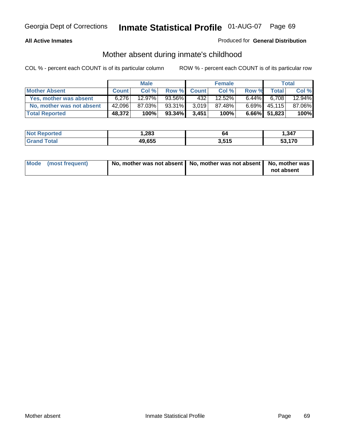## **All Active Inmates**

## Produced for **General Distribution**

# Mother absent during inmate's childhood

|                           |              | <b>Male</b> |           |              | <b>Female</b> |          |              | <b>Total</b> |
|---------------------------|--------------|-------------|-----------|--------------|---------------|----------|--------------|--------------|
| <b>Mother Absent</b>      | <b>Count</b> | Col%        | Row %     | <b>Count</b> | Col %         | Row %    | <b>Total</b> | Col %        |
| Yes, mother was absent    | 6.276        | 12.97%      | 93.56%    | 4321         | 12.52%        | $6.44\%$ | 6.708        | 12.94%       |
| No, mother was not absent | 42,096       | 87.03%      | 93.31%    | 3,019        | 87.48%        | $6.69\%$ | 45,115       | 87.06%       |
| <b>Total Reported</b>     | 48,372       | 100%        | $93.34\%$ | 3.451        | 100%          |          | 6.66% 51,823 | 100%         |

| <b>Not Reported</b> | 283. ا | 04    | 1,347  |
|---------------------|--------|-------|--------|
| <b>Grand Total</b>  | 49,655 | 3.515 | 53.170 |

| Mode (most frequent) | No, mother was not absent   No, mother was not absent   No, mother was | not absent |
|----------------------|------------------------------------------------------------------------|------------|
|----------------------|------------------------------------------------------------------------|------------|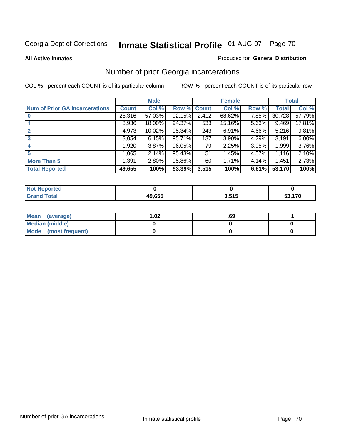#### **All Active Inmates**

## Produced for **General Distribution**

# Number of prior Georgia incarcerations

|                                       |              | <b>Male</b> |                    |       | <b>Female</b> |       |        | <b>Total</b> |
|---------------------------------------|--------------|-------------|--------------------|-------|---------------|-------|--------|--------------|
| <b>Num of Prior GA Incarcerations</b> | <b>Count</b> | Col %       | <b>Row % Count</b> |       | Col %         | Row % | Total  | Col %        |
| $\bf{0}$                              | 28,316       | 57.03%      | 92.15%             | 2,412 | 68.62%        | 7.85% | 30,728 | 57.79%       |
|                                       | 8,936        | 18.00%      | 94.37%             | 533   | 15.16%        | 5.63% | 9,469  | 17.81%       |
|                                       | 4,973        | 10.02%      | 95.34%             | 243   | 6.91%         | 4.66% | 5,216  | 9.81%        |
| 3                                     | 3,054        | 6.15%       | 95.71%             | 137   | 3.90%         | 4.29% | 3,191  | 6.00%        |
|                                       | 1,920        | 3.87%       | 96.05%             | 79    | 2.25%         | 3.95% | 1,999  | 3.76%        |
| 5                                     | 1,065        | 2.14%       | 95.43%             | 51    | 1.45%         | 4.57% | 1,116  | 2.10%        |
| <b>More Than 5</b>                    | 1,391        | 2.80%       | 95.86%             | 60    | 1.71%         | 4.14% | 1,451  | 2.73%        |
| <b>Total Reported</b>                 | 49,655       | 100%        | 93.39%             | 3,515 | 100%          | 6.61% | 53,170 | 100%         |

| and a series of the<br>N<br>rer |        |           |               |
|---------------------------------|--------|-----------|---------------|
| $\sim$<br>______                | 10.000 | EA E<br>י | $\rightarrow$ |

| Mean (average)       | l.O2 | .69 |  |
|----------------------|------|-----|--|
| Median (middle)      |      |     |  |
| Mode (most frequent) |      |     |  |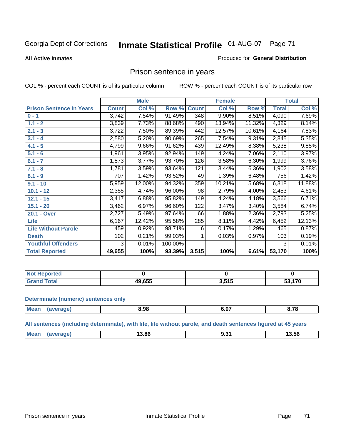#### **All Active Inmates**

#### Produced for **General Distribution**

# Prison sentence in years

COL % - percent each COUNT is of its particular column ROW % - percent each COUNT is of its particular row

|                                 |              | <b>Male</b> |         |              | <b>Female</b> |          |                     | <b>Total</b> |
|---------------------------------|--------------|-------------|---------|--------------|---------------|----------|---------------------|--------------|
| <b>Prison Sentence In Years</b> | <b>Count</b> | Col %       | Row %   | <b>Count</b> | Col %         | Row %    | <b>Total</b>        | Col %        |
| $0 - 1$                         | 3,742        | 7.54%       | 91.49%  | 348          | 9.90%         | 8.51%    | 4,090               | 7.69%        |
| $1.1 - 2$                       | 3,839        | 7.73%       | 88.68%  | 490          | 13.94%        | 11.32%   | 4,329               | 8.14%        |
| $2.1 - 3$                       | 3,722        | 7.50%       | 89.39%  | 442          | 12.57%        | 10.61%   | 4,164               | 7.83%        |
| $3.1 - 4$                       | 2,580        | 5.20%       | 90.69%  | 265          | 7.54%         | 9.31%    | $\overline{2,845}$  | 5.35%        |
| $4.1 - 5$                       | 4,799        | 9.66%       | 91.62%  | 439          | 12.49%        | 8.38%    | 5,238               | 9.85%        |
| $5.1 - 6$                       | 1,961        | 3.95%       | 92.94%  | 149          | 4.24%         | 7.06%    | 2,110               | 3.97%        |
| $6.1 - 7$                       | 1,873        | 3.77%       | 93.70%  | 126          | 3.58%         | 6.30%    | 1,999               | 3.76%        |
| $7.1 - 8$                       | 1,781        | 3.59%       | 93.64%  | 121          | 3.44%         | $6.36\%$ | 1,902               | 3.58%        |
| $8.1 - 9$                       | 707          | 1.42%       | 93.52%  | 49           | 1.39%         | 6.48%    | 756                 | 1.42%        |
| $9.1 - 10$                      | 5,959        | 12.00%      | 94.32%  | 359          | 10.21%        | 5.68%    | $\overline{6}$ ,318 | 11.88%       |
| $10.1 - 12$                     | 2,355        | 4.74%       | 96.00%  | 98           | 2.79%         | 4.00%    | 2,453               | 4.61%        |
| $12.1 - 15$                     | 3,417        | 6.88%       | 95.82%  | 149          | 4.24%         | 4.18%    | 3,566               | 6.71%        |
| $15.1 - 20$                     | 3,462        | 6.97%       | 96.60%  | 122          | 3.47%         | 3.40%    | 3,584               | 6.74%        |
| 20.1 - Over                     | 2,727        | 5.49%       | 97.64%  | 66           | 1.88%         | 2.36%    | 2,793               | 5.25%        |
| <b>Life</b>                     | 6,167        | 12.42%      | 95.58%  | 285          | 8.11%         | 4.42%    | 6,452               | 12.13%       |
| <b>Life Without Parole</b>      | 459          | 0.92%       | 98.71%  | 6            | 0.17%         | 1.29%    | 465                 | 0.87%        |
| <b>Death</b>                    | 102          | 0.21%       | 99.03%  |              | 0.03%         | 0.97%    | 103                 | 0.19%        |
| <b>Youthful Offenders</b>       | 3            | 0.01%       | 100.00% |              |               |          | 3                   | 0.01%        |
| <b>Total Reported</b>           | 49,655       | 100%        | 93.39%  | 3,515        | 100%          | 6.61%    | 53,170              | 100%         |

| Reported<br><b>NOT</b> |        |                  |     |
|------------------------|--------|------------------|-----|
| otal<br>. Gr           | 19.655 | : 545<br>J.J I J | 170 |

#### **Determinate (numeric) sentences only**

| Mean | эпе | 8.98 | $-$<br>v.v, | 0.70<br>0. I O |
|------|-----|------|-------------|----------------|
|      |     |      |             |                |

**All sentences (including determinate), with life, life without parole, and death sentences figured at 45 years**

| I 3.56<br>$\cdots$<br>___<br>___ | <b>Mea</b> | 13.86 | $\sim$ $\sim$ |
|----------------------------------|------------|-------|---------------|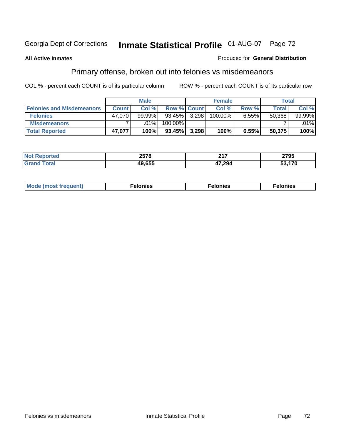## **All Active Inmates**

### Produced for **General Distribution**

# Primary offense, broken out into felonies vs misdemeanors

|                                  |              | <b>Male</b> |                 | <b>Female</b> |          | Total  |           |
|----------------------------------|--------------|-------------|-----------------|---------------|----------|--------|-----------|
| <b>Felonies and Misdemeanors</b> | <b>Count</b> | Col%        | Row % Count     | Col%          | Row %    | Total  | Col%      |
| <b>Felonies</b>                  | 47.070       | $99.99\%$   | $93.45\%$ 3,298 | 100.00%       | $6.55\%$ | 50.368 | $99.99\%$ |
| <b>Misdemeanors</b>              |              | $.01\%$     | 100.00%         |               |          |        | $.01\%$   |
| <b>Total Reported</b>            | 47,077       | 100%        | 93.45% 3,298    | 100%          | 6.55%    | 50,375 | 100%      |

| 'ted<br>NO<br>$\sim$ | 2578    | ヘィフ<br>. | 2795 |
|----------------------|---------|----------|------|
|                      | 10 P.F. | '7,294   | 170  |

| Mode (most frequent) | elonies | elonies | onies<br>-е к |
|----------------------|---------|---------|---------------|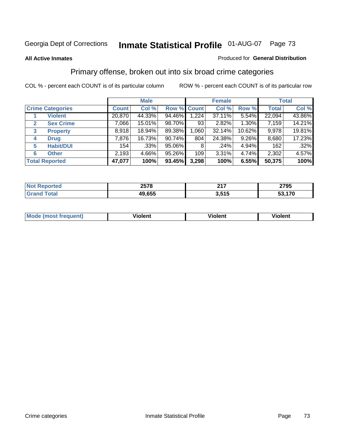### **All Active Inmates**

#### Produced for **General Distribution**

# Primary offense, broken out into six broad crime categories

|                         |                       |              | <b>Male</b> |             |       | <b>Female</b> |        |              | <b>Total</b> |
|-------------------------|-----------------------|--------------|-------------|-------------|-------|---------------|--------|--------------|--------------|
| <b>Crime Categories</b> |                       | <b>Count</b> | Col %       | Row % Count |       | Col %         | Row %  | <b>Total</b> | Col %        |
|                         | <b>Violent</b>        | 20,870       | 44.33%      | 94.46%      | 1,224 | 37.11%        | 5.54%  | 22,094       | 43.86%       |
| $\mathbf{2}$            | <b>Sex Crime</b>      | 7,066        | 15.01%      | 98.70%      | 93    | 2.82%         | 1.30%  | 7,159        | 14.21%       |
| 3                       | <b>Property</b>       | 8,918        | 18.94%      | 89.38%      | 1,060 | 32.14%        | 10.62% | 9,978        | 19.81%       |
| 4                       | <b>Drug</b>           | 7,876        | 16.73%      | 90.74%      | 804   | 24.38%        | 9.26%  | 8,680        | 17.23%       |
| 5                       | <b>Habit/DUI</b>      | 154          | .33%        | 95.06%      | 8     | $.24\%$       | 4.94%  | 162          | .32%         |
| 6                       | <b>Other</b>          | 2,193        | 4.66%       | 95.26%      | 109   | $3.31\%$      | 4.74%  | 2,302        | 4.57%        |
|                         | <b>Total Reported</b> | 47,077       | 100%        | 93.45%      | 3,298 | 100%          | 6.55%  | 50,375       | 100%         |

| 2578            | 247        | 2795  |
|-----------------|------------|-------|
| CEE<br>"<br>ບວວ | - 64 G<br> | 4 7 N |

|  | <b>Mou</b><br>--- | .<br>วlent | ---<br>olent | ≀lent<br>-------- |
|--|-------------------|------------|--------------|-------------------|
|--|-------------------|------------|--------------|-------------------|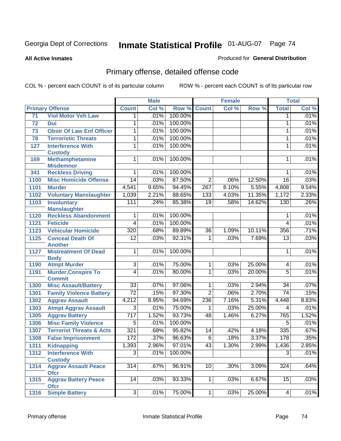#### **All Active Inmates**

### Produced for **General Distribution**

# Primary offense, detailed offense code

|      |                                                    | <b>Male</b>      |       |         | <b>Female</b>    | <b>Total</b> |        |                 |       |
|------|----------------------------------------------------|------------------|-------|---------|------------------|--------------|--------|-----------------|-------|
|      | <b>Primary Offense</b>                             | <b>Count</b>     | Col % | Row %   | <b>Count</b>     | Col %        | Row %  | <b>Total</b>    | Col % |
| 71   | <b>Viol Motor Veh Law</b>                          | $\mathbf 1$      | .01%  | 100.00% |                  |              |        | $\mathbf 1$     | .01%  |
| 72   | Dui                                                | 1                | .01%  | 100.00% |                  |              |        | 1               | .01%  |
| 73   | <b>Obstr Of Law Enf Officer</b>                    | 1                | .01%  | 100.00% |                  |              |        | 1               | .01%  |
| 78   | <b>Terroristic Threats</b>                         | 1                | .01%  | 100.00% |                  |              |        | 1               | .01%  |
| 127  | <b>Interference With</b>                           | 1                | .01%  | 100.00% |                  |              |        | 1               | .01%  |
|      | <b>Custody</b>                                     |                  |       |         |                  |              |        |                 |       |
| 169  | <b>Methamphetamine</b>                             | $\mathbf{1}$     | .01%  | 100.00% |                  |              |        | $\mathbf 1$     | .01%  |
|      | <b>Misdemnor</b>                                   |                  |       |         |                  |              |        |                 |       |
| 341  | <b>Reckless Driving</b>                            | 1                | .01%  | 100.00% |                  |              |        | 1               | .01%  |
| 1100 | <b>Misc Homicide Offense</b>                       | $\overline{14}$  | .03%  | 87.50%  | $\overline{2}$   | .06%         | 12.50% | $\overline{16}$ | .03%  |
| 1101 | <b>Murder</b>                                      | 4,541            | 9.65% | 94.45%  | $\overline{267}$ | 8.10%        | 5.55%  | 4,808           | 9.54% |
| 1102 | <b>Voluntary Manslaughter</b>                      | 1,039            | 2.21% | 88.65%  | 133              | 4.03%        | 11.35% | 1,172           | 2.33% |
| 1103 | <b>Involuntary</b>                                 | 111              | .24%  | 85.38%  | $\overline{19}$  | .58%         | 14.62% | 130             | .26%  |
| 1120 | <b>Manslaughter</b><br><b>Reckless Abandonment</b> | 1                | .01%  | 100.00% |                  |              |        | 1               | .01%  |
| 1121 | <b>Feticide</b>                                    | $\overline{4}$   | .01%  | 100.00% |                  |              |        | 4               | .01%  |
| 1123 | <b>Vehicular Homicide</b>                          | 320              | .68%  | 89.89%  | $\overline{36}$  | 1.09%        | 10.11% | 356             | .71%  |
| 1125 | <b>Conceal Death Of</b>                            | $\overline{12}$  | .03%  | 92.31%  | $\mathbf{1}$     | .03%         | 7.69%  | $\overline{13}$ | .03%  |
|      | <b>Another</b>                                     |                  |       |         |                  |              |        |                 |       |
| 1127 | <b>Mistreatment Of Dead</b>                        | $\mathbf{1}$     | .01%  | 100.00% |                  |              |        | 1               | .01%  |
|      | <b>Body</b>                                        |                  |       |         |                  |              |        |                 |       |
| 1190 | <b>Atmpt Murder</b>                                | $\overline{3}$   | .01%  | 75.00%  | $\mathbf{1}$     | .03%         | 25.00% | 4               | .01%  |
| 1191 | <b>Murder, Conspire To</b>                         | 4                | .01%  | 80.00%  | $\mathbf{1}$     | .03%         | 20.00% | $\overline{5}$  | .01%  |
|      | <b>Commit</b>                                      |                  |       |         |                  |              |        |                 |       |
| 1300 | <b>Misc Assault/Battery</b>                        | $\overline{33}$  | .07%  | 97.06%  | $\overline{1}$   | .03%         | 2.94%  | $\overline{34}$ | .07%  |
| 1301 | <b>Family Violence Battery</b>                     | $\overline{72}$  | .15%  | 97.30%  | $\overline{2}$   | .06%         | 2.70%  | $\overline{74}$ | .15%  |
| 1302 | <b>Aggrav Assault</b>                              | 4,212            | 8.95% | 94.69%  | 236              | 7.16%        | 5.31%  | 4,448           | 8.83% |
| 1303 | <b>Atmpt Aggrav Assault</b>                        | $\overline{3}$   | .01%  | 75.00%  | 1                | .03%         | 25.00% | 4               | .01%  |
| 1305 | <b>Aggrav Battery</b>                              | $\overline{717}$ | 1.52% | 93.73%  | 48               | 1.46%        | 6.27%  | 765             | 1.52% |
| 1306 | <b>Misc Family Violence</b>                        | $\overline{5}$   | .01%  | 100.00% |                  |              |        | $\overline{5}$  | .01%  |
| 1307 | <b>Terrorist Threats &amp; Acts</b>                | 321              | .68%  | 95.82%  | $\overline{14}$  | .42%         | 4.18%  | 335             | .67%  |
| 1308 | <b>False Imprisonment</b>                          | 172              | .37%  | 96.63%  | $\overline{6}$   | .18%         | 3.37%  | 178             | .35%  |
|      | 1311 Kidnapping                                    | 1,393            | 2.96% | 97.01%  | 43               | 1.30%        | 2.99%  | 1,436           | 2.85% |
| 1312 | <b>Interference With</b>                           | $\overline{3}$   | .01%  | 100.00% |                  |              |        | $\overline{3}$  | .01%  |
|      | <b>Custody</b>                                     |                  |       |         |                  |              |        |                 |       |
| 1314 | <b>Aggrav Assault Peace</b>                        | $\overline{314}$ | .67%  | 96.91%  | 10               | .30%         | 3.09%  | 324             | .64%  |
|      | <b>Ofcr</b>                                        |                  |       |         |                  |              |        |                 |       |
| 1315 | <b>Aggrav Battery Peace</b><br><b>Ofcr</b>         | $\overline{14}$  | .03%  | 93.33%  | 1 <sup>1</sup>   | .03%         | 6.67%  | 15              | .03%  |
| 1316 | <b>Simple Battery</b>                              | 3                | .01%  | 75.00%  | 1                | .03%         | 25.00% | $\overline{4}$  | .01%  |
|      |                                                    |                  |       |         |                  |              |        |                 |       |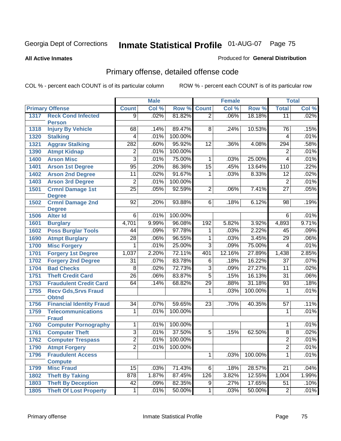**All Active Inmates**

### Produced for **General Distribution**

# Primary offense, detailed offense code

|              |                                                 |                         | <b>Male</b>  |         |                     | <b>Female</b> |         |                 | <b>Total</b> |
|--------------|-------------------------------------------------|-------------------------|--------------|---------|---------------------|---------------|---------|-----------------|--------------|
|              | <b>Primary Offense</b>                          | <b>Count</b>            | Col %        | Row %   | <b>Count</b>        | Col %         | Row %   | <b>Total</b>    | Col %        |
| 1317         | <b>Reck Cond Infected</b>                       | $\overline{9}$          | .02%         | 81.82%  | $\overline{2}$      | .06%          | 18.18%  | $\overline{11}$ | .02%         |
|              | <b>Person</b>                                   |                         |              |         |                     |               |         |                 |              |
| 1318         | <b>Injury By Vehicle</b>                        | 68                      | .14%         | 89.47%  | 8                   | .24%          | 10.53%  | 76              | .15%         |
| 1320         | <b>Stalking</b>                                 | 4                       | .01%         | 100.00% |                     |               |         | 4               | .01%         |
| 1321         | <b>Aggrav Stalking</b>                          | 282                     | .60%         | 95.92%  | 12                  | .36%          | 4.08%   | 294             | .58%         |
| 1390         | <b>Atmpt Kidnap</b>                             | $\overline{\mathbf{c}}$ | .01%         | 100.00% |                     |               |         | $\overline{2}$  | .01%         |
| 1400         | <b>Arson Misc</b>                               | $\overline{3}$          | .01%         | 75.00%  | 1                   | .03%          | 25.00%  | 4               | .01%         |
| 1401         | <b>Arson 1st Degree</b>                         | $\overline{95}$         | .20%         | 86.36%  | $\overline{15}$     | .45%          | 13.64%  | 110             | .22%         |
| 1402         | <b>Arson 2nd Degree</b>                         | $\overline{11}$         | .02%         | 91.67%  | 1                   | .03%          | 8.33%   | 12              | .02%         |
| 1403         | <b>Arson 3rd Degree</b>                         | $\overline{2}$          | .01%         | 100.00% |                     |               |         | $\overline{2}$  | .01%         |
| 1501         | <b>Crmnl Damage 1st</b>                         | $\overline{25}$         | .05%         | 92.59%  | $\overline{2}$      | .06%          | 7.41%   | $\overline{27}$ | .05%         |
|              | <b>Degree</b>                                   |                         |              |         |                     |               |         |                 |              |
| 1502         | <b>Crmnl Damage 2nd</b>                         | 92                      | .20%         | 93.88%  | 6                   | .18%          | 6.12%   | 98              | .19%         |
| 1506         | <b>Degree</b><br><b>Alter Id</b>                | $\overline{6}$          | .01%         | 100.00% |                     |               |         | 6               | .01%         |
|              |                                                 | 4,701                   | 9.99%        | 96.08%  | 192                 | 5.82%         | 3.92%   | 4,893           | 9.71%        |
| 1601<br>1602 | <b>Burglary</b><br><b>Poss Burglar Tools</b>    | 44                      | .09%         | 97.78%  | 1                   | .03%          | 2.22%   | 45              | .09%         |
|              |                                                 | $\overline{28}$         |              |         |                     |               | 3.45%   |                 |              |
| 1690         | <b>Atmpt Burglary</b>                           | 1                       | .06%<br>.01% | 96.55%  | 1<br>$\overline{3}$ | .03%          | 75.00%  | $\overline{29}$ | .06%<br>.01% |
| 1700         | <b>Misc Forgery</b>                             |                         |              | 25.00%  |                     | .09%          |         | 4               |              |
| 1701         | <b>Forgery 1st Degree</b>                       | 1,037                   | 2.20%        | 72.11%  | 401                 | 12.16%        | 27.89%  | 1,438           | 2.85%        |
| 1702         | <b>Forgery 2nd Degree</b>                       | $\overline{31}$         | .07%         | 83.78%  | $\overline{6}$      | .18%          | 16.22%  | $\overline{37}$ | .07%         |
| 1704         | <b>Bad Checks</b>                               | 8                       | .02%         | 72.73%  | $\overline{3}$      | .09%          | 27.27%  | $\overline{11}$ | .02%         |
| 1751         | <b>Theft Credit Card</b>                        | $\overline{26}$         | .06%         | 83.87%  | $\overline{5}$      | .15%          | 16.13%  | $\overline{31}$ | .06%         |
| 1753         | <b>Fraudulent Credit Card</b>                   | 64                      | .14%         | 68.82%  | $\overline{29}$     | .88%          | 31.18%  | $\overline{93}$ | .18%         |
| 1755         | <b>Recv Gds, Srvs Fraud</b>                     |                         |              |         | 1                   | .03%          | 100.00% | 1               | .01%         |
| 1756         | <b>Obtnd</b><br><b>Financial Identity Fraud</b> | $\overline{34}$         | .07%         | 59.65%  | 23                  | .70%          | 40.35%  | 57              | .11%         |
| 1759         | <b>Telecommunications</b>                       | 1                       | .01%         | 100.00% |                     |               |         | 1               | .01%         |
|              | <b>Fraud</b>                                    |                         |              |         |                     |               |         |                 |              |
| 1760         | <b>Computer Pornography</b>                     | 1                       | .01%         | 100.00% |                     |               |         | 1               | .01%         |
| 1761         | <b>Computer Theft</b>                           | $\overline{3}$          | .01%         | 37.50%  | $\overline{5}$      | .15%          | 62.50%  | $\overline{8}$  | .02%         |
| 1762         | <b>Computer Trespass</b>                        | $\overline{2}$          | .01%         | 100.00% |                     |               |         | $\overline{2}$  | .01%         |
|              | 1790 Atmpt Forgery                              | $\overline{2}$          | .01%         | 100.00% |                     |               |         | $\overline{2}$  | .01%         |
| 1796         | <b>Fraudulent Access</b>                        |                         |              |         | 1                   | .03%          | 100.00% | 1               | .01%         |
|              | <b>Compute</b>                                  |                         |              |         |                     |               |         |                 |              |
| 1799         | <b>Misc Fraud</b>                               | 15                      | .03%         | 71.43%  | 6                   | .18%          | 28.57%  | $\overline{21}$ | .04%         |
| 1802         | <b>Theft By Taking</b>                          | 878                     | 1.87%        | 87.45%  | 126                 | 3.82%         | 12.55%  | 1,004           | 1.99%        |
| 1803         | <b>Theft By Deception</b>                       | 42                      | .09%         | 82.35%  | $\overline{9}$      | .27%          | 17.65%  | $\overline{51}$ | .10%         |
| 1805         | <b>Theft Of Lost Property</b>                   | $\overline{1}$          | .01%         | 50.00%  | $\overline{1}$      | .03%          | 50.00%  | $\overline{2}$  | .01%         |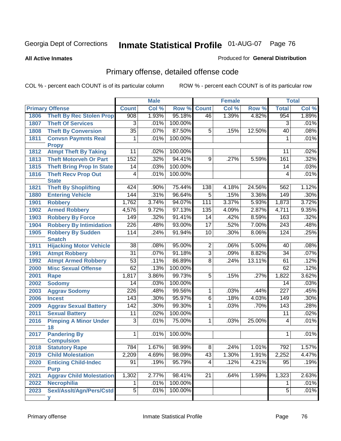#### **All Active Inmates**

### Produced for **General Distribution**

# Primary offense, detailed offense code

|      |                                            | <b>Male</b>      |       |         |                 | <b>Female</b> |        | <b>Total</b>     |         |
|------|--------------------------------------------|------------------|-------|---------|-----------------|---------------|--------|------------------|---------|
|      | <b>Primary Offense</b>                     | <b>Count</b>     | Col % | Row %   | <b>Count</b>    | Col %         | Row %  | <b>Total</b>     | Col %   |
| 1806 | <b>Theft By Rec Stolen Prop</b>            | 908              | 1.93% | 95.18%  | $\overline{46}$ | 1.39%         | 4.82%  | 954              | 1.89%   |
| 1807 | <b>Theft Of Services</b>                   | 3                | .01%  | 100.00% |                 |               |        | 3                | .01%    |
| 1808 | <b>Theft By Conversion</b>                 | $\overline{35}$  | .07%  | 87.50%  | 5               | .15%          | 12.50% | 40               | .08%    |
| 1811 | <b>Convsn Paymnts Real</b>                 | 1                | .01%  | 100.00% |                 |               |        | 1                | .01%    |
|      | <b>Propy</b>                               |                  |       |         |                 |               |        |                  |         |
| 1812 | <b>Atmpt Theft By Taking</b>               | 11               | .02%  | 100.00% |                 |               |        | 11               | .02%    |
| 1813 | <b>Theft Motorveh Or Part</b>              | $\overline{152}$ | .32%  | 94.41%  | 9               | .27%          | 5.59%  | 161              | .32%    |
| 1815 | <b>Theft Bring Prop In State</b>           | 14               | .03%  | 100.00% |                 |               |        | 14               | .03%    |
| 1816 | <b>Theft Recv Prop Out</b><br><b>State</b> | 4                | .01%  | 100.00% |                 |               |        | 4                | .01%    |
| 1821 | <b>Theft By Shoplifting</b>                | 424              | .90%  | 75.44%  | 138             | 4.18%         | 24.56% | 562              | 1.12%   |
| 1880 | <b>Entering Vehicle</b>                    | 144              | .31%  | 96.64%  | $\overline{5}$  | .15%          | 3.36%  | 149              | $.30\%$ |
| 1901 | <b>Robbery</b>                             | 1,762            | 3.74% | 94.07%  | 111             | 3.37%         | 5.93%  | 1,873            | 3.72%   |
| 1902 | <b>Armed Robbery</b>                       | 4,576            | 9.72% | 97.13%  | 135             | 4.09%         | 2.87%  | 4,711            | 9.35%   |
| 1903 | <b>Robbery By Force</b>                    | 149              | .32%  | 91.41%  | $\overline{14}$ | .42%          | 8.59%  | 163              | .32%    |
| 1904 | <b>Robbery By Intimidation</b>             | $\overline{226}$ | .48%  | 93.00%  | $\overline{17}$ | .52%          | 7.00%  | 243              | .48%    |
| 1905 | <b>Robbery By Sudden</b><br><b>Snatch</b>  | 114              | .24%  | 91.94%  | 10              | .30%          | 8.06%  | 124              | .25%    |
| 1911 | <b>Hijacking Motor Vehicle</b>             | $\overline{38}$  | .08%  | 95.00%  | $\overline{2}$  | .06%          | 5.00%  | 40               | .08%    |
| 1991 | <b>Atmpt Robbery</b>                       | $\overline{31}$  | .07%  | 91.18%  | $\overline{3}$  | .09%          | 8.82%  | $\overline{34}$  | .07%    |
| 1992 | <b>Atmpt Armed Robbery</b>                 | $\overline{53}$  | .11%  | 86.89%  | $\overline{8}$  | .24%          | 13.11% | 61               | .12%    |
| 2000 | <b>Misc Sexual Offense</b>                 | 62               | .13%  | 100.00% |                 |               |        | 62               | .12%    |
| 2001 | Rape                                       | 1,817            | 3.86% | 99.73%  | $\overline{5}$  | .15%          | .27%   | 1,822            | 3.62%   |
| 2002 | <b>Sodomy</b>                              | 14               | .03%  | 100.00% |                 |               |        | 14               | .03%    |
| 2003 | <b>Aggrav Sodomy</b>                       | 226              | .48%  | 99.56%  | $\overline{1}$  | .03%          | .44%   | $\overline{227}$ | .45%    |
| 2006 | <b>Incest</b>                              | 143              | .30%  | 95.97%  | 6               | .18%          | 4.03%  | 149              | $.30\%$ |
| 2009 | <b>Aggrav Sexual Battery</b>               | 142              | .30%  | 99.30%  | 1               | .03%          | .70%   | 143              | .28%    |
| 2011 | <b>Sexual Battery</b>                      | 11               | .02%  | 100.00% |                 |               |        | 11               | .02%    |
| 2016 | <b>Pimping A Minor Under</b>               | $\overline{3}$   | .01%  | 75.00%  | 1               | .03%          | 25.00% | 4                | .01%    |
|      | 18                                         | $\mathbf{1}$     |       |         |                 |               |        | 1                | .01%    |
| 2017 | <b>Pandering By</b><br><b>Compulsion</b>   |                  | .01%  | 100.00% |                 |               |        |                  |         |
| 2018 | <b>Statutory Rape</b>                      | 784              | 1.67% | 98.99%  | $\overline{8}$  | .24%          | 1.01%  | 792              | 1.57%   |
| 2019 | <b>Child Molestation</b>                   | 2,209            | 4.69% | 98.09%  | 43              | 1.30%         | 1.91%  | 2,252            | 4.47%   |
| 2020 | <b>Enticing Child-Indec</b>                | $\overline{91}$  | .19%  | 95.79%  | $\vert 4 \vert$ | .12%          | 4.21%  | 95               | .19%    |
|      | <b>Purp</b>                                |                  |       |         |                 |               |        |                  |         |
| 2021 | <b>Aggrav Child Molestation</b>            | 1,302            | 2.77% | 98.41%  | 21              | .64%          | 1.59%  | 1,323            | 2.63%   |
| 2022 | <b>Necrophilia</b>                         | $\overline{1}$   | .01%  | 100.00% |                 |               |        | 1                | .01%    |
| 2023 | Sexl/Asslt/Agn/Pers/Cstd                   | $\overline{5}$   | .01%  | 100.00% |                 |               |        | $\overline{5}$   | .01%    |
|      | v                                          |                  |       |         |                 |               |        |                  |         |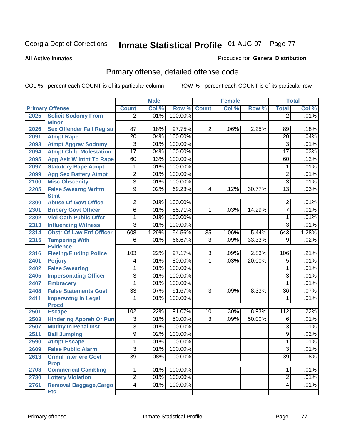**All Active Inmates**

### Produced for **General Distribution**

# Primary offense, detailed offense code

|      |                                             |                 | <b>Male</b> |         |                | <b>Female</b> |        |                 | <b>Total</b> |
|------|---------------------------------------------|-----------------|-------------|---------|----------------|---------------|--------|-----------------|--------------|
|      | <b>Primary Offense</b>                      | <b>Count</b>    | Col %       | Row %   | <b>Count</b>   | Col %         | Row %  | <b>Total</b>    | Col %        |
| 2025 | <b>Solicit Sodomy From</b><br><b>Minor</b>  | $\overline{2}$  | .01%        | 100.00% |                |               |        | $\overline{2}$  | .01%         |
| 2026 | <b>Sex Offender Fail Registr</b>            | 87              | .18%        | 97.75%  | $\overline{2}$ | .06%          | 2.25%  | 89              | .18%         |
| 2091 | <b>Atmpt Rape</b>                           | $\overline{20}$ | .04%        | 100.00% |                |               |        | 20              | .04%         |
| 2093 | <b>Atmpt Aggrav Sodomy</b>                  | $\overline{3}$  | .01%        | 100.00% |                |               |        | $\overline{3}$  | .01%         |
| 2094 | <b>Atmpt Child Molestation</b>              | $\overline{17}$ | .04%        | 100.00% |                |               |        | $\overline{17}$ | .03%         |
| 2095 | <b>Agg Aslt W Intnt To Rape</b>             | 60              | .13%        | 100.00% |                |               |        | 60              | .12%         |
| 2097 | <b>Statutory Rape, Atmpt</b>                | 1               | .01%        | 100.00% |                |               |        | 1               | .01%         |
| 2099 | <b>Agg Sex Battery Atmpt</b>                | $\overline{2}$  | .01%        | 100.00% |                |               |        | $\overline{2}$  | .01%         |
| 2100 | <b>Misc Obscenity</b>                       | 3               | .01%        | 100.00% |                |               |        | 3               | .01%         |
| 2205 | <b>False Swearng Writtn</b>                 | $\overline{9}$  | .02%        | 69.23%  | 4              | .12%          | 30.77% | $\overline{13}$ | .03%         |
|      | <b>Stmt</b>                                 |                 |             |         |                |               |        |                 |              |
| 2300 | <b>Abuse Of Govt Office</b>                 | $\overline{2}$  | .01%        | 100.00% |                |               |        | 2               | .01%         |
| 2301 | <b>Bribery Govt Officer</b>                 | $\overline{6}$  | .01%        | 85.71%  | 1              | .03%          | 14.29% | $\overline{7}$  | .01%         |
| 2302 | <b>Viol Oath Public Offer</b>               | 1               | .01%        | 100.00% |                |               |        | $\mathbf 1$     | .01%         |
| 2313 | <b>Influencing Witness</b>                  | $\overline{3}$  | .01%        | 100.00% |                |               |        | $\overline{3}$  | .01%         |
| 2314 | <b>Obstr Of Law Enf Officer</b>             | 608             | 1.29%       | 94.56%  | 35             | 1.06%         | 5.44%  | 643             | 1.28%        |
| 2315 | <b>Tampering With</b><br><b>Evidence</b>    | $\overline{6}$  | .01%        | 66.67%  | $\overline{3}$ | .09%          | 33.33% | 9               | .02%         |
| 2316 | <b>Fleeing/Eluding Police</b>               | 103             | .22%        | 97.17%  | $\overline{3}$ | .09%          | 2.83%  | 106             | .21%         |
| 2401 | <b>Perjury</b>                              | $\overline{4}$  | .01%        | 80.00%  | 1              | .03%          | 20.00% | $\overline{5}$  | .01%         |
| 2402 | <b>False Swearing</b>                       | 1               | .01%        | 100.00% |                |               |        | 1               | .01%         |
| 2405 | <b>Impersonating Officer</b>                | $\overline{3}$  | .01%        | 100.00% |                |               |        | $\overline{3}$  | .01%         |
| 2407 | <b>Embracery</b>                            | 1               | .01%        | 100.00% |                |               |        | 1               | .01%         |
| 2408 | <b>False Statements Govt</b>                | $\overline{33}$ | .07%        | 91.67%  | $\overline{3}$ | .09%          | 8.33%  | $\overline{36}$ | $.07\%$      |
| 2411 | <b>Impersntng In Legal</b><br><b>Procd</b>  | 1               | .01%        | 100.00% |                |               |        | 1               | .01%         |
| 2501 | <b>Escape</b>                               | 102             | .22%        | 91.07%  | 10             | .30%          | 8.93%  | 112             | .22%         |
| 2503 | <b>Hindering Appreh Or Pun</b>              | $\overline{3}$  | .01%        | 50.00%  | $\overline{3}$ | .09%          | 50.00% | $\overline{6}$  | .01%         |
| 2507 | <b>Mutiny In Penal Inst</b>                 | $\overline{3}$  | .01%        | 100.00% |                |               |        | 3               | .01%         |
| 2511 | <b>Bail Jumping</b>                         | $\overline{9}$  | .02%        | 100.00% |                |               |        | $\overline{9}$  | .02%         |
| 2590 | <b>Atmpt Escape</b>                         | $\overline{1}$  | .01%        | 100.00% |                |               |        | 1               | .01%         |
| 2609 | <b>False Public Alarm</b>                   | 3 <sup>1</sup>  | .01%        | 100.00% |                |               |        | 3               | .01%         |
| 2613 | <b>Crmnl Interfere Govt</b>                 | $\overline{39}$ | .08%        | 100.00% |                |               |        | $\overline{39}$ | .08%         |
|      | <b>Prop</b>                                 |                 |             |         |                |               |        |                 |              |
| 2703 | <b>Commerical Gambling</b>                  | $\overline{1}$  | .01%        | 100.00% |                |               |        | 1               | .01%         |
| 2730 | <b>Lottery Violation</b>                    | $\overline{2}$  | .01%        | 100.00% |                |               |        | $\overline{2}$  | .01%         |
| 2761 | <b>Removal Baggage, Cargo</b><br><b>Etc</b> | $\overline{4}$  | .01%        | 100.00% |                |               |        | $\overline{4}$  | .01%         |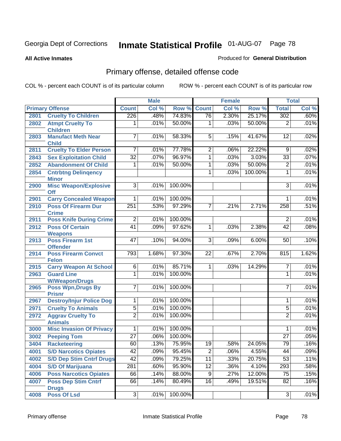#### **All Active Inmates**

### Produced for **General Distribution**

# Primary offense, detailed offense code

|      |                                            |                 | <b>Male</b> |         |                 | <b>Female</b> |         |                 | <b>Total</b> |
|------|--------------------------------------------|-----------------|-------------|---------|-----------------|---------------|---------|-----------------|--------------|
|      | <b>Primary Offense</b>                     | <b>Count</b>    | Col %       | Row %   | Count           | Col %         | Row %   | <b>Total</b>    | Col %        |
| 2801 | <b>Cruelty To Children</b>                 | 226             | .48%        | 74.83%  | 76              | 2.30%         | 25.17%  | 302             | .60%         |
| 2802 | <b>Atmpt Cruelty To</b><br><b>Children</b> | 1               | .01%        | 50.00%  | 1               | .03%          | 50.00%  | $\overline{2}$  | .01%         |
| 2803 | <b>Manufact Meth Near</b><br><b>Child</b>  | $\overline{7}$  | .01%        | 58.33%  | $\overline{5}$  | .15%          | 41.67%  | 12              | .02%         |
| 2811 | <b>Cruelty To Elder Person</b>             | $\overline{7}$  | .01%        | 77.78%  | $\overline{2}$  | .06%          | 22.22%  | $\overline{9}$  | .02%         |
| 2843 | <b>Sex Exploitation Child</b>              | $\overline{32}$ | .07%        | 96.97%  | $\overline{1}$  | .03%          | 3.03%   | $\overline{33}$ | .07%         |
| 2852 | <b>Abandonment Of Child</b>                | 1               | .01%        | 50.00%  | 1               | .03%          | 50.00%  | $\overline{2}$  | .01%         |
| 2854 | <b>Cntrbtng Delingency</b><br><b>Minor</b> |                 |             |         | 1               | .03%          | 100.00% | $\mathbf{1}$    | .01%         |
| 2900 | <b>Misc Weapon/Explosive</b><br>Off        | $\overline{3}$  | .01%        | 100.00% |                 |               |         | $\overline{3}$  | .01%         |
| 2901 | <b>Carry Concealed Weapon</b>              | $\overline{1}$  | .01%        | 100.00% |                 |               |         | 1               | .01%         |
| 2910 | <b>Poss Of Firearm Dur</b><br><b>Crime</b> | 251             | .53%        | 97.29%  | $\overline{7}$  | .21%          | 2.71%   | 258             | .51%         |
| 2911 | <b>Poss Knife During Crime</b>             | $\overline{2}$  | .01%        | 100.00% |                 |               |         | $\overline{2}$  | .01%         |
| 2912 | <b>Poss Of Certain</b><br><b>Weapons</b>   | $\overline{41}$ | .09%        | 97.62%  | 1               | .03%          | 2.38%   | $\overline{42}$ | .08%         |
| 2913 | <b>Poss Firearm 1st</b><br><b>Offender</b> | 47              | .10%        | 94.00%  | $\overline{3}$  | .09%          | 6.00%   | 50              | .10%         |
| 2914 | <b>Poss Firearm Convct</b><br><b>Felon</b> | 793             | 1.68%       | 97.30%  | 22              | .67%          | 2.70%   | 815             | 1.62%        |
| 2915 | <b>Carry Weapon At School</b>              | $\overline{6}$  | .01%        | 85.71%  | 1               | .03%          | 14.29%  | $\overline{7}$  | .01%         |
| 2963 | <b>Guard Line</b><br><b>W/Weapon/Drugs</b> | 1               | .01%        | 100.00% |                 |               |         | 1               | .01%         |
| 2965 | <b>Poss Wpn, Drugs By</b><br><b>Prisnr</b> | $\overline{7}$  | .01%        | 100.00% |                 |               |         | $\overline{7}$  | .01%         |
| 2967 | <b>Destroy/Injur Police Dog</b>            | $\overline{1}$  | .01%        | 100.00% |                 |               |         | 1               | .01%         |
| 2971 | <b>Cruelty To Animals</b>                  | $\overline{5}$  | .01%        | 100.00% |                 |               |         | $\overline{5}$  | .01%         |
| 2972 | <b>Aggrav Cruelty To</b><br><b>Animals</b> | $\overline{2}$  | .01%        | 100.00% |                 |               |         | $\overline{2}$  | .01%         |
| 3000 | <b>Misc Invasion Of Privacy</b>            | $\overline{1}$  | .01%        | 100.00% |                 |               |         | 1               | .01%         |
| 3002 | <b>Peeping Tom</b>                         | $\overline{27}$ | .06%        | 100.00% |                 |               |         | $\overline{27}$ | .05%         |
| 3404 | <b>Racketeering</b>                        | 60              | .13%        | 75.95%  | 19              | .58%          | 24.05%  | 79              | .16%         |
| 4001 | <b>S/D Narcotics Opiates</b>               | 42              | .09%        | 95.45%  | $\overline{2}$  | .06%          | 4.55%   | 44              | .09%         |
| 4002 | <b>S/D Dep Stim Cntrf Drugs</b>            | 42              | .09%        | 79.25%  | $\overline{11}$ | .33%          | 20.75%  | 53              | .11%         |
| 4004 | <b>S/D Of Marijuana</b>                    | 281             | .60%        | 95.90%  | $\overline{12}$ | .36%          | 4.10%   | 293             | .58%         |
| 4006 | <b>Poss Narcotics Opiates</b>              | 66              | .14%        | 88.00%  | 9               | .27%          | 12.00%  | 75              | .15%         |
| 4007 | <b>Poss Dep Stim Cntrf</b><br><b>Drugs</b> | 66              | .14%        | 80.49%  | $\overline{16}$ | .49%          | 19.51%  | $\overline{82}$ | .16%         |
| 4008 | <b>Poss Of Lsd</b>                         | $\overline{3}$  | .01%        | 100.00% |                 |               |         | 3               | .01%         |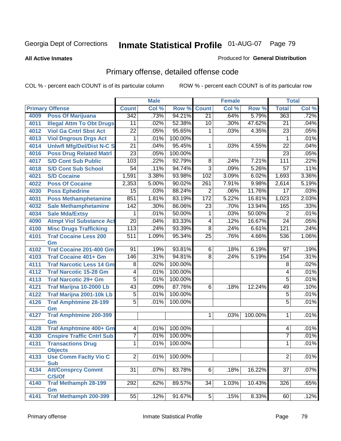#### **All Active Inmates**

#### Produced for **General Distribution**

# Primary offense, detailed offense code

|      |                                            |                  | <b>Male</b> |         |                 | <b>Female</b> |         |                 | <b>Total</b> |
|------|--------------------------------------------|------------------|-------------|---------|-----------------|---------------|---------|-----------------|--------------|
|      | <b>Primary Offense</b>                     | <b>Count</b>     | Col %       | Row %   | <b>Count</b>    | Col %         | Row %   | <b>Total</b>    | Col %        |
| 4009 | <b>Poss Of Marijuana</b>                   | 342              | .73%        | 94.21%  | $\overline{21}$ | .64%          | 5.79%   | 363             | .72%         |
| 4011 | <b>Illegal Attm To Obt Drugs</b>           | 11               | .02%        | 52.38%  | 10              | .30%          | 47.62%  | 21              | .04%         |
| 4012 | <b>Viol Ga Cntrl Sbst Act</b>              | $\overline{22}$  | .05%        | 95.65%  | 1               | .03%          | 4.35%   | 23              | .05%         |
| 4013 | <b>Viol Dngrous Drgs Act</b>               | 1                | .01%        | 100.00% |                 |               |         | 1               | .01%         |
| 4014 | <b>Uniwfl Mfg/Del/Dist N-C S</b>           | $\overline{21}$  | .04%        | 95.45%  | $\mathbf{1}$    | .03%          | 4.55%   | $\overline{22}$ | .04%         |
| 4016 | <b>Poss Drug Related Matri</b>             | $\overline{23}$  | .05%        | 100.00% |                 |               |         | $\overline{23}$ | .05%         |
| 4017 | <b>S/D Cont Sub Public</b>                 | 103              | .22%        | 92.79%  | 8               | .24%          | 7.21%   | 111             | .22%         |
| 4018 | <b>S/D Cont Sub School</b>                 | 54               | .11%        | 94.74%  | $\overline{3}$  | .09%          | 5.26%   | $\overline{57}$ | .11%         |
| 4021 | <b>S/D Cocaine</b>                         | 1,591            | 3.38%       | 93.98%  | 102             | 3.09%         | 6.02%   | 1,693           | 3.36%        |
| 4022 | <b>Poss Of Cocaine</b>                     | 2,353            | 5.00%       | 90.02%  | 261             | 7.91%         | 9.98%   | 2,614           | 5.19%        |
| 4030 | <b>Poss Ephedrine</b>                      | $\overline{15}$  | .03%        | 88.24%  | $\overline{2}$  | .06%          | 11.76%  | 17              | .03%         |
| 4031 | <b>Poss Methamphetamine</b>                | 851              | 1.81%       | 83.19%  | 172             | 5.22%         | 16.81%  | 1,023           | 2.03%        |
| 4032 | <b>Sale Methamphetamine</b>                | 142              | .30%        | 86.06%  | $\overline{23}$ | .70%          | 13.94%  | 165             | .33%         |
| 4034 | <b>Sale Mda/Extsy</b>                      | 1                | .01%        | 50.00%  | 1               | .03%          | 50.00%  | $\overline{2}$  | .01%         |
| 4090 | <b>Atmpt Viol Substance Act</b>            | $\overline{20}$  | .04%        | 83.33%  | $\overline{4}$  | .12%          | 16.67%  | $\overline{24}$ | .05%         |
| 4100 | <b>Misc Drugs Trafficking</b>              | 113              | .24%        | 93.39%  | $\overline{8}$  | .24%          | 6.61%   | 121             | .24%         |
| 4101 | <b>Traf Cocaine Less 200</b>               | $\overline{511}$ | 1.09%       | 95.34%  | $\overline{25}$ | .76%          | 4.66%   | 536             | 1.06%        |
|      | Gm                                         |                  |             |         |                 |               |         |                 |              |
| 4102 | <b>Traf Cocaine 201-400 Gm</b>             | 91               | .19%        | 93.81%  | 6               | .18%          | 6.19%   | 97              | .19%         |
| 4103 | <b>Traf Cocaine 401+ Gm</b>                | 146              | .31%        | 94.81%  | $\overline{8}$  | .24%          | 5.19%   | 154             | .31%         |
| 4111 | <b>Traf Narcotic Less 14 Gm</b>            | 8                | .02%        | 100.00% |                 |               |         | 8               | .02%         |
| 4112 | <b>Traf Narcotic 15-28 Gm</b>              | 4                | .01%        | 100.00% |                 |               |         | 4               | .01%         |
| 4113 | <b>Traf Narcotic 29+ Gm</b>                | $\overline{5}$   | .01%        | 100.00% |                 |               |         | $\overline{5}$  | .01%         |
| 4121 | Traf Marijna 10-2000 Lb                    | 43               | .09%        | 87.76%  | 6               | .18%          | 12.24%  | 49              | .10%         |
| 4122 | Traf Marijna 2001-10k Lb                   | 5                | .01%        | 100.00% |                 |               |         | 5               | .01%         |
| 4126 | <b>Traf Amphtmine 28-199</b><br>Gm         | $\overline{5}$   | .01%        | 100.00% |                 |               |         | $\overline{5}$  | .01%         |
| 4127 | <b>Traf Amphtmine 200-399</b>              |                  |             |         | $\mathbf 1$     | .03%          | 100.00% | 1               | .01%         |
|      | Gm                                         |                  |             |         |                 |               |         |                 |              |
| 4128 | Traf Amphtmine 400+ Gm                     | 4                | .01%        | 100.00% |                 |               |         | 4               | .01%         |
| 4130 | <b>Cnspire Traffic Cntrl Sub</b>           | $\overline{7}$   | .01%        | 100.00% |                 |               |         | $\overline{7}$  | .01%         |
| 4131 | <b>Transactions Drug</b>                   | 1                | .01%        | 100.00% |                 |               |         | 1               | .01%         |
|      | <b>Objects</b>                             |                  |             |         |                 |               |         |                 |              |
| 4133 | <b>Use Comm Facity Vio C</b><br><b>Sub</b> | $\overline{2}$   | .01%        | 100.00% |                 |               |         | $\overline{2}$  | .01%         |
| 4134 | <b>Att/Consprcy Commt</b>                  | $\overline{31}$  | .07%        | 83.78%  | 6               | .18%          | 16.22%  | $\overline{37}$ | .07%         |
|      | C/S/Of                                     |                  |             |         |                 |               |         |                 |              |
| 4140 | <b>Traf Methamph 28-199</b>                | $\overline{292}$ | .62%        | 89.57%  | 34              | 1.03%         | 10.43%  | 326             | .65%         |
|      | Gm                                         |                  |             |         |                 |               |         |                 |              |
| 4141 | Traf Methamph 200-399                      | 55               | .12%        | 91.67%  | 5               | .15%          | 8.33%   | 60              | .12%         |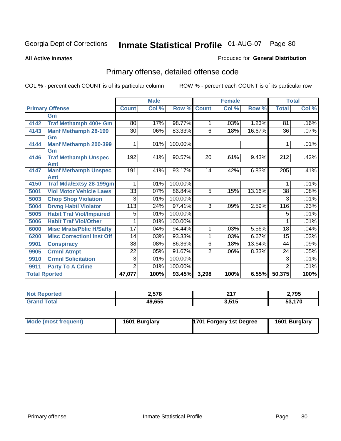#### **All Active Inmates**

#### Produced for **General Distribution**

# Primary offense, detailed offense code

|                      |                                    | <b>Male</b>     |       |         | <b>Female</b>  |       |        | <b>Total</b>     |       |
|----------------------|------------------------------------|-----------------|-------|---------|----------------|-------|--------|------------------|-------|
|                      | <b>Primary Offense</b>             | <b>Count</b>    | Col % | Row %   | <b>Count</b>   | Col % | Row %  | <b>Total</b>     | Col % |
|                      | Gm                                 |                 |       |         |                |       |        |                  |       |
| 4142                 | Traf Methamph 400+ Gm              | 80              | .17%  | 98.77%  | 1              | .03%  | 1.23%  | 81               | .16%  |
| 4143                 | <b>Manf Methamph 28-199</b>        | 30              | .06%  | 83.33%  | 6              | .18%  | 16.67% | 36               | .07%  |
|                      | Gm                                 |                 |       |         |                |       |        |                  |       |
| 4144                 | <b>Manf Methamph 200-399</b>       |                 | .01%  | 100.00% |                |       |        |                  | .01%  |
|                      | Gm                                 |                 |       |         |                |       |        |                  |       |
| 4146                 | <b>Traf Methamph Unspec</b>        | 192             | .41%  | 90.57%  | 20             | .61%  | 9.43%  | 212              | .42%  |
| 4147                 | Amt<br><b>Manf Methamph Unspec</b> | 191             | .41%  | 93.17%  | 14             | .42%  | 6.83%  | $\overline{205}$ | .41%  |
|                      | <b>Amt</b>                         |                 |       |         |                |       |        |                  |       |
| 4150                 | <b>Traf Mda/Extsy 28-199gm</b>     |                 | .01%  | 100.00% |                |       |        |                  | .01%  |
| 5001                 | <b>Viol Motor Vehicle Laws</b>     | 33              | .07%  | 86.84%  | 5              | .15%  | 13.16% | 38               | .08%  |
| 5003                 | <b>Chop Shop Violation</b>         | 3               | .01%  | 100.00% |                |       |        | 3                | .01%  |
| 5004                 | <b>Drvng Habtl Violator</b>        | 113             | .24%  | 97.41%  | 3              | .09%  | 2.59%  | 116              | .23%  |
| 5005                 | <b>Habit Traf Viol/Impaired</b>    | 5               | .01%  | 100.00% |                |       |        | 5                | .01%  |
| 5006                 | <b>Habit Traf Viol/Other</b>       |                 | .01%  | 100.00% |                |       |        |                  | .01%  |
| 6000                 | <b>Misc Mrals/Pblic H/Safty</b>    | $\overline{17}$ | .04%  | 94.44%  | 1              | .03%  | 5.56%  | $\overline{18}$  | .04%  |
| 6200                 | <b>Misc CorrectionI Inst Off</b>   | 14              | .03%  | 93.33%  | 1              | .03%  | 6.67%  | 15               | .03%  |
| 9901                 | <b>Conspiracy</b>                  | 38              | .08%  | 86.36%  | 6              | .18%  | 13.64% | 44               | .09%  |
| 9905                 | <b>Crmnl Atmpt</b>                 | 22              | .05%  | 91.67%  | $\overline{2}$ | .06%  | 8.33%  | 24               | .05%  |
| 9910                 | <b>Crmnl Solicitation</b>          | 3               | .01%  | 100.00% |                |       |        | 3                | .01%  |
| 9911                 | <b>Party To A Crime</b>            | 2               | .01%  | 100.00% |                |       |        | 2                | .01%  |
| <b>Total Rported</b> |                                    | 47,077          | 100%  | 93.45%  | 3,298          | 100%  | 6.55%  | 50,375           | 100%  |

| τес | <b>2578</b> | 247<br>.         | <b>אמד כ</b><br>4, I JJ |
|-----|-------------|------------------|-------------------------|
|     | 49,655      | 2 545<br>J.J I J | 170                     |

| Mode (most frequent) | 1601 Burglary | 1701 Forgery 1st Degree | 1601 Burglary |
|----------------------|---------------|-------------------------|---------------|
|----------------------|---------------|-------------------------|---------------|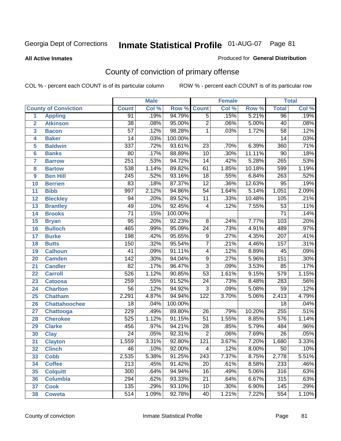#### **All Active Inmates**

#### Produced for **General Distribution**

# County of conviction of primary offense

|                         |                             |                  | <b>Male</b> |         | <b>Female</b>   |       |          | <b>Total</b>     |       |  |
|-------------------------|-----------------------------|------------------|-------------|---------|-----------------|-------|----------|------------------|-------|--|
|                         | <b>County of Conviction</b> | <b>Count</b>     | Col %       | Row %   | <b>Count</b>    | Col % | Row %    | <b>Total</b>     | Col % |  |
| 1                       | <b>Appling</b>              | 91               | .19%        | 94.79%  | $\overline{5}$  | .15%  | 5.21%    | 96               | .19%  |  |
| $\overline{2}$          | <b>Atkinson</b>             | $\overline{38}$  | .08%        | 95.00%  | $\overline{2}$  | .06%  | 5.00%    | 40               | .08%  |  |
| $\overline{\mathbf{3}}$ | <b>Bacon</b>                | $\overline{57}$  | .12%        | 98.28%  | 1               | .03%  | 1.72%    | $\overline{58}$  | .12%  |  |
| 4                       | <b>Baker</b>                | 14               | .03%        | 100.00% |                 |       |          | 14               | .03%  |  |
| 5                       | <b>Baldwin</b>              | 337              | .72%        | 93.61%  | $\overline{23}$ | .70%  | 6.39%    | 360              | .71%  |  |
| 6                       | <b>Banks</b>                | 80               | .17%        | 88.89%  | $\overline{10}$ | .30%  | 11.11%   | $\overline{90}$  | .18%  |  |
| 7                       | <b>Barrow</b>               | 251              | .53%        | 94.72%  | 14              | .42%  | 5.28%    | 265              | .53%  |  |
| 8                       | <b>Bartow</b>               | 538              | 1.14%       | 89.82%  | 61              | 1.85% | 10.18%   | 599              | 1.19% |  |
| 9                       | <b>Ben Hill</b>             | $\overline{245}$ | .52%        | 93.16%  | $\overline{18}$ | .55%  | 6.84%    | $\overline{263}$ | .52%  |  |
| 10                      | <b>Berrien</b>              | 83               | .18%        | 87.37%  | $\overline{12}$ | .36%  | 12.63%   | 95               | .19%  |  |
| 11                      | <b>Bibb</b>                 | 997              | 2.12%       | 94.86%  | $\overline{54}$ | 1.64% | 5.14%    | 1,051            | 2.09% |  |
| 12                      | <b>Bleckley</b>             | 94               | .20%        | 89.52%  | $\overline{11}$ | .33%  | 10.48%   | 105              | .21%  |  |
| $\overline{13}$         | <b>Brantley</b>             | 49               | .10%        | 92.45%  | $\overline{4}$  | .12%  | 7.55%    | $\overline{53}$  | .11%  |  |
| 14                      | <b>Brooks</b>               | $\overline{71}$  | .15%        | 100.00% |                 |       |          | $\overline{71}$  | .14%  |  |
| 15                      | <b>Bryan</b>                | $\overline{95}$  | .20%        | 92.23%  | $\overline{8}$  | .24%  | 7.77%    | 103              | .20%  |  |
| 16                      | <b>Bulloch</b>              | 465              | .99%        | 95.09%  | 24              | .73%  | 4.91%    | 489              | .97%  |  |
| 17                      | <b>Burke</b>                | 198              | .42%        | 95.65%  | $\overline{9}$  | .27%  | 4.35%    | $\overline{207}$ | .41%  |  |
| 18                      | <b>Butts</b>                | 150              | .32%        | 95.54%  | $\overline{7}$  | .21%  | 4.46%    | 157              | .31%  |  |
| 19                      | <b>Calhoun</b>              | $\overline{41}$  | .09%        | 91.11%  | 4               | .12%  | 8.89%    | 45               | .09%  |  |
| 20                      | <b>Camden</b>               | $\overline{142}$ | .30%        | 94.04%  | $\overline{9}$  | .27%  | 5.96%    | 151              | .30%  |  |
| 21                      | <b>Candler</b>              | $\overline{82}$  | .17%        | 96.47%  | $\overline{3}$  | .09%  | 3.53%    | 85               | .17%  |  |
| 22                      | <b>Carroll</b>              | 526              | 1.12%       | 90.85%  | $\overline{53}$ | 1.61% | 9.15%    | $\overline{579}$ | 1.15% |  |
| 23                      | <b>Catoosa</b>              | 259              | .55%        | 91.52%  | $\overline{24}$ | .73%  | 8.48%    | 283              | .56%  |  |
| 24                      | <b>Charlton</b>             | $\overline{56}$  | .12%        | 94.92%  | $\overline{3}$  | .09%  | 5.08%    | $\overline{59}$  | .12%  |  |
| 25                      | <b>Chatham</b>              | 2,291            | 4.87%       | 94.94%  | 122             | 3.70% | 5.06%    | 2,413            | 4.79% |  |
| 26                      | <b>Chattahoochee</b>        | 18               | .04%        | 100.00% |                 |       |          | $\overline{18}$  | .04%  |  |
| 27                      | <b>Chattooga</b>            | 229              | .49%        | 89.80%  | 26              | .79%  | 10.20%   | 255              | .51%  |  |
| 28                      | <b>Cherokee</b>             | 525              | 1.12%       | 91.15%  | $\overline{51}$ | 1.55% | 8.85%    | 576              | 1.14% |  |
| 29                      | <b>Clarke</b>               | 456              | .97%        | 94.21%  | $\overline{28}$ | .85%  | 5.79%    | 484              | .96%  |  |
| 30                      | <b>Clay</b>                 | $\overline{24}$  | .05%        | 92.31%  | $\overline{2}$  | .06%  | 7.69%    | $\overline{26}$  | .05%  |  |
| 31                      | <b>Clayton</b>              | 1,559            | 3.31%       | 92.80%  | 121             | 3.67% | 7.20%    | 1,680            | 3.33% |  |
| 32                      | <b>Clinch</b>               | 46               | .10%        | 92.00%  | 4               | .12%  | $8.00\%$ | 50               | .10%  |  |
| 33                      | <b>Cobb</b>                 | 2,535            | 5.38%       | 91.25%  | 243             | 7.37% | 8.75%    | 2,778            | 5.51% |  |
| 34                      | <b>Coffee</b>               | 213              | .45%        | 91.42%  | 20              | .61%  | 8.58%    | 233              | .46%  |  |
| 35                      | <b>Colquitt</b>             | $\overline{300}$ | .64%        | 94.94%  | 16              | .49%  | 5.06%    | 316              | .63%  |  |
| 36                      | <b>Columbia</b>             | 294              | .62%        | 93.33%  | 21              | .64%  | 6.67%    | 315              | .63%  |  |
| 37                      | <b>Cook</b>                 | 135              | .29%        | 93.10%  | 10              | .30%  | 6.90%    | 145              | .29%  |  |
| 38                      | <b>Coweta</b>               | 514              | 1.09%       | 92.78%  | 40              | 1.21% | 7.22%    | 554              | 1.10% |  |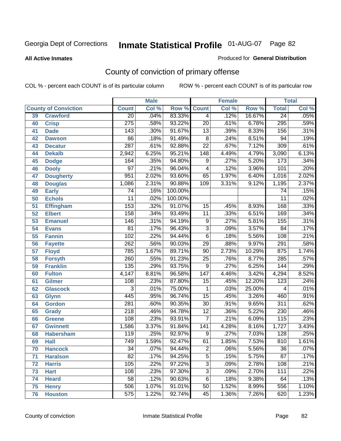#### **All Active Inmates**

#### Produced for **General Distribution**

# County of conviction of primary offense

|                 |                             |                  | <b>Male</b> |         | <b>Female</b>    |       |        | <b>Total</b>     |       |  |
|-----------------|-----------------------------|------------------|-------------|---------|------------------|-------|--------|------------------|-------|--|
|                 | <b>County of Conviction</b> | <b>Count</b>     | Col %       | Row %   | <b>Count</b>     | Col % | Row %  | <b>Total</b>     | Col % |  |
| 39              | <b>Crawford</b>             | $\overline{20}$  | .04%        | 83.33%  | $\overline{4}$   | .12%  | 16.67% | $\overline{24}$  | .05%  |  |
| 40              | <b>Crisp</b>                | $\overline{275}$ | .58%        | 93.22%  | $\overline{20}$  | .61%  | 6.78%  | 295              | .59%  |  |
| 41              | <b>Dade</b>                 | 143              | .30%        | 91.67%  | $\overline{13}$  | .39%  | 8.33%  | 156              | .31%  |  |
| 42              | <b>Dawson</b>               | 86               | .18%        | 91.49%  | $\overline{8}$   | .24%  | 8.51%  | $\overline{94}$  | .19%  |  |
| 43              | <b>Decatur</b>              | 287              | .61%        | 92.88%  | $\overline{22}$  | .67%  | 7.12%  | 309              | .61%  |  |
| 44              | <b>Dekalb</b>               | 2,942            | 6.25%       | 95.21%  | $\overline{148}$ | 4.49% | 4.79%  | 3,090            | 6.13% |  |
| 45              | <b>Dodge</b>                | 164              | .35%        | 94.80%  | 9                | .27%  | 5.20%  | 173              | .34%  |  |
| 46              | <b>Dooly</b>                | $\overline{97}$  | .21%        | 96.04%  | 4                | .12%  | 3.96%  | 101              | .20%  |  |
| 47              | <b>Dougherty</b>            | 951              | 2.02%       | 93.60%  | 65               | 1.97% | 6.40%  | 1,016            | 2.02% |  |
| 48              | <b>Douglas</b>              | 1,086            | 2.31%       | 90.88%  | 109              | 3.31% | 9.12%  | 1,195            | 2.37% |  |
| 49              | <b>Early</b>                | 74               | .16%        | 100.00% |                  |       |        | 74               | .15%  |  |
| 50              | <b>Echols</b>               | $\overline{11}$  | .02%        | 100.00% |                  |       |        | $\overline{11}$  | .02%  |  |
| $\overline{51}$ | <b>Effingham</b>            | 153              | .32%        | 91.07%  | 15               | .45%  | 8.93%  | 168              | .33%  |  |
| 52              | <b>Elbert</b>               | 158              | .34%        | 93.49%  | $\overline{11}$  | .33%  | 6.51%  | 169              | .34%  |  |
| 53              | <b>Emanuel</b>              | 146              | .31%        | 94.19%  | $\overline{9}$   | .27%  | 5.81%  | 155              | .31%  |  |
| 54              | <b>Evans</b>                | $\overline{81}$  | .17%        | 96.43%  | $\overline{3}$   | .09%  | 3.57%  | 84               | .17%  |  |
| 55              | <b>Fannin</b>               | 102              | .22%        | 94.44%  | $\overline{6}$   | .18%  | 5.56%  | 108              | .21%  |  |
| 56              | <b>Fayette</b>              | 262              | .56%        | 90.03%  | $\overline{29}$  | .88%  | 9.97%  | 291              | .58%  |  |
| 57              | <b>Floyd</b>                | 785              | 1.67%       | 89.71%  | 90               | 2.73% | 10.29% | 875              | 1.74% |  |
| 58              | <b>Forsyth</b>              | 260              | .55%        | 91.23%  | $\overline{25}$  | .76%  | 8.77%  | 285              | .57%  |  |
| 59              | <b>Franklin</b>             | 135              | .29%        | 93.75%  | $\overline{9}$   | .27%  | 6.25%  | 144              | .29%  |  |
| 60              | <b>Fulton</b>               | 4,147            | 8.81%       | 96.58%  | $\overline{147}$ | 4.46% | 3.42%  | 4,294            | 8.52% |  |
| 61              | Gilmer                      | 108              | .23%        | 87.80%  | $\overline{15}$  | .45%  | 12.20% | $\overline{123}$ | .24%  |  |
| 62              | <b>Glascock</b>             | $\overline{3}$   | .01%        | 75.00%  | $\mathbf{1}$     | .03%  | 25.00% | $\overline{4}$   | .01%  |  |
| 63              | <b>Glynn</b>                | 445              | .95%        | 96.74%  | $\overline{15}$  | .45%  | 3.26%  | 460              | .91%  |  |
| 64              | <b>Gordon</b>               | $\overline{281}$ | .60%        | 90.35%  | $\overline{30}$  | .91%  | 9.65%  | $\overline{311}$ | .62%  |  |
| 65              | <b>Grady</b>                | $\overline{218}$ | .46%        | 94.78%  | $\overline{12}$  | .36%  | 5.22%  | 230              | .46%  |  |
| 66              | <b>Greene</b>               | 108              | .23%        | 93.91%  | $\overline{7}$   | .21%  | 6.09%  | 115              | .23%  |  |
| 67              | <b>Gwinnett</b>             | 1,586            | 3.37%       | 91.84%  | $\overline{141}$ | 4.28% | 8.16%  | 1,727            | 3.43% |  |
| 68              | <b>Habersham</b>            | $\overline{119}$ | .25%        | 92.97%  | $\overline{9}$   | .27%  | 7.03%  | $\overline{128}$ | .25%  |  |
| 69              | <b>Hall</b>                 | $\overline{749}$ | 1.59%       | 92.47%  | 61               | 1.85% | 7.53%  | 810              | 1.61% |  |
| 70              | <b>Hancock</b>              | 34               | $.07\%$     | 94.44%  | 2                | .06%  | 5.56%  | 36               | .07%  |  |
| 71              | <b>Haralson</b>             | $\overline{82}$  | .17%        | 94.25%  | $\overline{5}$   | .15%  | 5.75%  | $\overline{87}$  | .17%  |  |
| 72              | <b>Harris</b>               | 105              | .22%        | 97.22%  | $\overline{3}$   | .09%  | 2.78%  | 108              | .21%  |  |
| 73              | <b>Hart</b>                 | 108              | .23%        | 97.30%  | $\overline{3}$   | .09%  | 2.70%  | 111              | .22%  |  |
| 74              | <b>Heard</b>                | $\overline{58}$  | .12%        | 90.63%  | $\overline{6}$   | .18%  | 9.38%  | 64               | .13%  |  |
| 75              | <b>Henry</b>                | 506              | 1.07%       | 91.01%  | 50               | 1.52% | 8.99%  | 556              | 1.10% |  |
| 76              | <b>Houston</b>              | $\overline{575}$ | 1.22%       | 92.74%  | 45               | 1.36% | 7.26%  | 620              | 1.23% |  |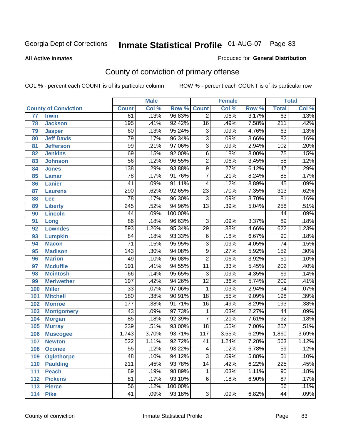#### **All Active Inmates**

#### Produced for **General Distribution**

# County of conviction of primary offense

|                 |                             |                  | <b>Male</b> |         | <b>Female</b>    |       |                  | <b>Total</b>     |       |
|-----------------|-----------------------------|------------------|-------------|---------|------------------|-------|------------------|------------------|-------|
|                 | <b>County of Conviction</b> | <b>Count</b>     | Col %       | Row %   | <b>Count</b>     | Col % | Row <sup>%</sup> | <b>Total</b>     | Col % |
| $\overline{77}$ | <b>Irwin</b>                | 61               | .13%        | 96.83%  | $\overline{2}$   | .06%  | 3.17%            | 63               | .13%  |
| 78              | <b>Jackson</b>              | 195              | .41%        | 92.42%  | $\overline{16}$  | .49%  | 7.58%            | $\overline{211}$ | .42%  |
| 79              | <b>Jasper</b>               | 60               | .13%        | 95.24%  | $\overline{3}$   | .09%  | 4.76%            | 63               | .13%  |
| 80              | <b>Jeff Davis</b>           | 79               | .17%        | 96.34%  | $\overline{3}$   | .09%  | 3.66%            | $\overline{82}$  | .16%  |
| 81              | <b>Jefferson</b>            | $\overline{99}$  | .21%        | 97.06%  | $\overline{3}$   | .09%  | 2.94%            | 102              | .20%  |
| 82              | <b>Jenkins</b>              | 69               | .15%        | 92.00%  | $\overline{6}$   | .18%  | 8.00%            | $\overline{75}$  | .15%  |
| 83              | <b>Johnson</b>              | $\overline{56}$  | .12%        | 96.55%  | $\overline{2}$   | .06%  | 3.45%            | $\overline{58}$  | .12%  |
| 84              | <b>Jones</b>                | 138              | .29%        | 93.88%  | $\overline{9}$   | .27%  | 6.12%            | $\overline{147}$ | .29%  |
| 85              | <b>Lamar</b>                | $\overline{78}$  | .17%        | 91.76%  | $\overline{7}$   | .21%  | 8.24%            | 85               | .17%  |
| 86              | <b>Lanier</b>               | $\overline{41}$  | .09%        | 91.11%  | 4                | .12%  | 8.89%            | $\overline{45}$  | .09%  |
| 87              | <b>Laurens</b>              | 290              | .62%        | 92.65%  | $\overline{23}$  | .70%  | 7.35%            | $\overline{313}$ | .62%  |
| 88              | Lee                         | $\overline{78}$  | .17%        | 96.30%  | $\overline{3}$   | .09%  | 3.70%            | $\overline{81}$  | .16%  |
| 89              | <b>Liberty</b>              | $\overline{245}$ | .52%        | 94.96%  | $\overline{13}$  | .39%  | 5.04%            | 258              | .51%  |
| 90              | <b>Lincoln</b>              | $\overline{44}$  | .09%        | 100.00% |                  |       |                  | 44               | .09%  |
| 91              | Long                        | $\overline{86}$  | .18%        | 96.63%  | $\overline{3}$   | .09%  | 3.37%            | 89               | .18%  |
| 92              | <b>Lowndes</b>              | 593              | 1.26%       | 95.34%  | $\overline{29}$  | .88%  | 4.66%            | 622              | 1.23% |
| 93              | <b>Lumpkin</b>              | $\overline{84}$  | .18%        | 93.33%  | 6                | .18%  | 6.67%            | $\overline{90}$  | .18%  |
| 94              | <b>Macon</b>                | $\overline{71}$  | .15%        | 95.95%  | $\overline{3}$   | .09%  | 4.05%            | $\overline{74}$  | .15%  |
| 95              | <b>Madison</b>              | $\overline{143}$ | .30%        | 94.08%  | $\overline{9}$   | .27%  | 5.92%            | 152              | .30%  |
| 96              | <b>Marion</b>               | 49               | .10%        | 96.08%  | $\overline{2}$   | .06%  | 3.92%            | $\overline{51}$  | .10%  |
| 97              | <b>Mcduffie</b>             | 191              | .41%        | 94.55%  | $\overline{11}$  | .33%  | 5.45%            | $\overline{202}$ | .40%  |
| 98              | <b>Mcintosh</b>             | 66               | .14%        | 95.65%  | $\overline{3}$   | .09%  | 4.35%            | 69               | .14%  |
| 99              | <b>Meriwether</b>           | 197              | .42%        | 94.26%  | $\overline{12}$  | .36%  | 5.74%            | $\overline{209}$ | .41%  |
| 100             | <b>Miller</b>               | $\overline{33}$  | .07%        | 97.06%  | $\overline{1}$   | .03%  | 2.94%            | $\overline{34}$  | .07%  |
| 101             | <b>Mitchell</b>             | 180              | .38%        | 90.91%  | $\overline{18}$  | .55%  | 9.09%            | 198              | .39%  |
| 102             | <b>Monroe</b>               | 177              | .38%        | 91.71%  | $\overline{16}$  | .49%  | 8.29%            | 193              | .38%  |
| 103             | <b>Montgomery</b>           | 43               | .09%        | 97.73%  | 1                | .03%  | 2.27%            | 44               | .09%  |
| 104             | <b>Morgan</b>               | 85               | .18%        | 92.39%  | $\overline{7}$   | .21%  | 7.61%            | $\overline{92}$  | .18%  |
| 105             | <b>Murray</b>               | 239              | .51%        | 93.00%  | $\overline{18}$  | .55%  | 7.00%            | 257              | .51%  |
| 106             | <b>Muscogee</b>             | 1,743            | 3.70%       | 93.71%  | $\overline{117}$ | 3.55% | 6.29%            | 1,860            | 3.69% |
| 107             | <b>Newton</b>               | 522              | 1.11%       | 92.72%  | 41               | 1.24% | 7.28%            | 563              | 1.12% |
| 108             | <b>Oconee</b>               | 55               | .12%        | 93.22%  | 4                | .12%  | 6.78%            | 59               | .12%  |
| 109             | <b>Oglethorpe</b>           | 48               | .10%        | 94.12%  | $\overline{3}$   | .09%  | 5.88%            | $\overline{51}$  | .10%  |
| 110             | <b>Paulding</b>             | $\overline{211}$ | .45%        | 93.78%  | $\overline{14}$  | .42%  | 6.22%            | 225              | .45%  |
| 111             | <b>Peach</b>                | 89               | .19%        | 98.89%  | 1                | .03%  | 1.11%            | 90               | .18%  |
| 112             | <b>Pickens</b>              | $\overline{81}$  | .17%        | 93.10%  | 6                | .18%  | 6.90%            | $\overline{87}$  | .17%  |
| 113             | <b>Pierce</b>               | $\overline{56}$  | .12%        | 100.00% |                  |       |                  | 56               | .11%  |
| 114             | <b>Pike</b>                 | 41               | .09%        | 93.18%  | $\overline{3}$   | .09%  | 6.82%            | 44               | .09%  |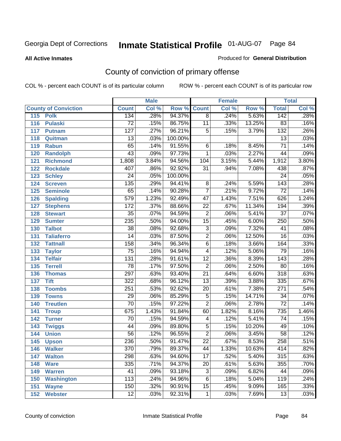#### **All Active Inmates**

#### Produced for **General Distribution**

# County of conviction of primary offense

|                             |                  | <b>Male</b> |         |                 | <b>Female</b> |        |                  | <b>Total</b>               |
|-----------------------------|------------------|-------------|---------|-----------------|---------------|--------|------------------|----------------------------|
| <b>County of Conviction</b> | <b>Count</b>     | Col %       | Row %   | <b>Count</b>    | Col %         | Row %  | <b>Total</b>     | $\overline{\text{Col }\%}$ |
| 115<br><b>Polk</b>          | 134              | .28%        | 94.37%  | $\overline{8}$  | .24%          | 5.63%  | 142              | .28%                       |
| 116<br><b>Pulaski</b>       | $\overline{72}$  | .15%        | 86.75%  | $\overline{11}$ | .33%          | 13.25% | 83               | .16%                       |
| 117<br><b>Putnam</b>        | $\overline{127}$ | .27%        | 96.21%  | $\overline{5}$  | .15%          | 3.79%  | $\overline{132}$ | .26%                       |
| 118<br>Quitman              | $\overline{13}$  | .03%        | 100.00% |                 |               |        | $\overline{13}$  | .03%                       |
| 119<br><b>Rabun</b>         | 65               | .14%        | 91.55%  | 6               | .18%          | 8.45%  | $\overline{71}$  | .14%                       |
| 120<br><b>Randolph</b>      | $\overline{43}$  | .09%        | 97.73%  | $\mathbf{1}$    | .03%          | 2.27%  | 44               | .09%                       |
| 121<br><b>Richmond</b>      | 1,808            | 3.84%       | 94.56%  | 104             | 3.15%         | 5.44%  | 1,912            | 3.80%                      |
| 122<br><b>Rockdale</b>      | 407              | .86%        | 92.92%  | $\overline{31}$ | .94%          | 7.08%  | 438              | .87%                       |
| 123<br><b>Schley</b>        | $\overline{24}$  | .05%        | 100.00% |                 |               |        | $\overline{24}$  | .05%                       |
| 124<br><b>Screven</b>       | 135              | .29%        | 94.41%  | $\overline{8}$  | .24%          | 5.59%  | $\overline{143}$ | .28%                       |
| 125<br><b>Seminole</b>      | 65               | .14%        | 90.28%  | $\overline{7}$  | .21%          | 9.72%  | $\overline{72}$  | .14%                       |
| <b>Spalding</b><br>126      | $\overline{579}$ | 1.23%       | 92.49%  | $\overline{47}$ | 1.43%         | 7.51%  | 626              | 1.24%                      |
| 127<br><b>Stephens</b>      | $\overline{172}$ | .37%        | 88.66%  | $\overline{22}$ | .67%          | 11.34% | 194              | .39%                       |
| 128<br><b>Stewart</b>       | $\overline{35}$  | .07%        | 94.59%  | $\overline{2}$  | .06%          | 5.41%  | $\overline{37}$  | .07%                       |
| 129<br><b>Sumter</b>        | 235              | .50%        | 94.00%  | $\overline{15}$ | .45%          | 6.00%  | $\overline{250}$ | .50%                       |
| <b>Talbot</b><br>130        | $\overline{38}$  | .08%        | 92.68%  | $\overline{3}$  | .09%          | 7.32%  | $\overline{41}$  | .08%                       |
| 131<br><b>Taliaferro</b>    | $\overline{14}$  | .03%        | 87.50%  | $\overline{2}$  | .06%          | 12.50% | $\overline{16}$  | .03%                       |
| 132<br><b>Tattnall</b>      | 158              | .34%        | 96.34%  | $\overline{6}$  | .18%          | 3.66%  | 164              | .33%                       |
| 133<br><b>Taylor</b>        | $\overline{75}$  | .16%        | 94.94%  | 4               | .12%          | 5.06%  | 79               | .16%                       |
| <b>Telfair</b><br>134       | $\overline{131}$ | .28%        | 91.61%  | $\overline{12}$ | .36%          | 8.39%  | 143              | .28%                       |
| 135<br><b>Terrell</b>       | $\overline{78}$  | .17%        | 97.50%  | $\overline{2}$  | .06%          | 2.50%  | $\overline{80}$  | .16%                       |
| 136<br><b>Thomas</b>        | 297              | .63%        | 93.40%  | $\overline{21}$ | .64%          | 6.60%  | $\overline{318}$ | .63%                       |
| 137<br><b>Tift</b>          | 322              | .68%        | 96.12%  | $\overline{13}$ | .39%          | 3.88%  | 335              | .67%                       |
| <b>Toombs</b><br>138        | $\overline{251}$ | .53%        | 92.62%  | $\overline{20}$ | .61%          | 7.38%  | $\overline{271}$ | .54%                       |
| 139<br><b>Towns</b>         | $\overline{29}$  | .06%        | 85.29%  | $\overline{5}$  | .15%          | 14.71% | $\overline{34}$  | .07%                       |
| 140<br><b>Treutlen</b>      | $\overline{70}$  | .15%        | 97.22%  | $\overline{2}$  | .06%          | 2.78%  | $\overline{72}$  | .14%                       |
| 141<br><b>Troup</b>         | 675              | 1.43%       | 91.84%  | 60              | 1.82%         | 8.16%  | 735              | 1.46%                      |
| 142<br><b>Turner</b>        | $\overline{70}$  | .15%        | 94.59%  | 4               | .12%          | 5.41%  | $\overline{74}$  | .15%                       |
| 143<br><b>Twiggs</b>        | 44               | .09%        | 89.80%  | $\overline{5}$  | .15%          | 10.20% | 49               | .10%                       |
| 144<br><b>Union</b>         | $\overline{56}$  | .12%        | 96.55%  | $\overline{2}$  | .06%          | 3.45%  | $\overline{58}$  | .12%                       |
| 145<br><b>Upson</b>         | 236              | .50%        | 91.47%  | $\overline{22}$ | .67%          | 8.53%  | 258              | .51%                       |
| 146<br><b>Walker</b>        | 370              | .79%        | 89.37%  | 44              | 1.33%         | 10.63% | 414              | .82%                       |
| <b>Walton</b><br>147        | 298              | .63%        | 94.60%  | $\overline{17}$ | .52%          | 5.40%  | 315              | .63%                       |
| <b>Ware</b><br>148          | 335              | .71%        | 94.37%  | $\overline{20}$ | .61%          | 5.63%  | 355              | .70%                       |
| <b>Warren</b><br>149        | 41               | .09%        | 93.18%  | $\overline{3}$  | .09%          | 6.82%  | 44               | .09%                       |
| <b>Washington</b><br>150    | $\overline{113}$ | .24%        | 94.96%  | $\overline{6}$  | .18%          | 5.04%  | 119              | .24%                       |
| 151<br><b>Wayne</b>         | 150              | .32%        | 90.91%  | $\overline{15}$ | .45%          | 9.09%  | 165              | .33%                       |
| 152<br><b>Webster</b>       | $\overline{12}$  | .03%        | 92.31%  | $\mathbf{1}$    | .03%          | 7.69%  | $\overline{13}$  | .03%                       |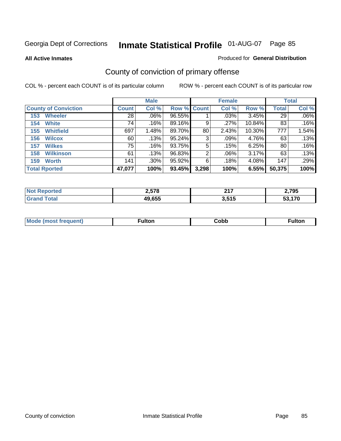**All Active Inmates**

### Produced for **General Distribution**

# County of conviction of primary offense

|                             |              | <b>Male</b> |             |                | <b>Female</b> |          |              | <b>Total</b> |
|-----------------------------|--------------|-------------|-------------|----------------|---------------|----------|--------------|--------------|
| <b>County of Conviction</b> | <b>Count</b> | Col %       | Row % Count |                | Col %         | Row %    | <b>Total</b> | Col %        |
| <b>Wheeler</b><br>153       | 28           | $.06\%$     | 96.55%      |                | .03%          | $3.45\%$ | 29           | $.06\%$      |
| <b>White</b><br>154         | 74           | .16%        | 89.16%      | 9              | .27%          | 10.84%   | 83           | .16%         |
| <b>Whitfield</b><br>155     | 697          | 1.48%       | 89.70%      | 80             | 2.43%         | 10.30%   | 777          | 1.54%        |
| 156<br><b>Wilcox</b>        | 60           | .13%        | 95.24%      | 3              | $.09\%$       | 4.76%    | 63           | .13%         |
| <b>Wilkes</b><br>157        | 75           | .16%        | 93.75%      | 5              | .15%          | 6.25%    | 80           | .16%         |
| <b>Wilkinson</b><br>158     | 61           | .13%        | 96.83%      | $\overline{2}$ | $.06\%$       | 3.17%    | 63           | .13%         |
| <b>Worth</b><br>159         | 141          | $.30\%$     | 95.92%      | 6              | .18%          | 4.08%    | 147          | .29%         |
| <b>Total Rported</b>        | 47,077       | 100%        | 93.45%      | 3,298          | 100%          | 6.55%    | 50,375       | 100%         |

| N<br>. | הדה ה<br>. .<br>2.JI | <b>047</b><br>.        | ,795          |
|--------|----------------------|------------------------|---------------|
|        | 49,655               | 2 54 5<br>.<br><b></b> | $\rightarrow$ |

| <b>Mo</b><br>uent) | ™ulton<br>____ | obb∶ |  |
|--------------------|----------------|------|--|
|                    |                |      |  |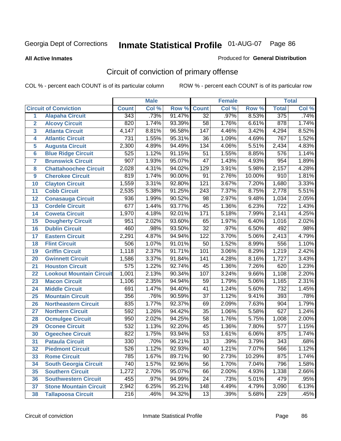**All Active Inmates**

#### Produced for **General Distribution**

# Circuit of conviction of primary offense

|                         |                                 |                  | <b>Male</b> |        |                  | <b>Female</b> |        |                  | <b>Total</b> |
|-------------------------|---------------------------------|------------------|-------------|--------|------------------|---------------|--------|------------------|--------------|
|                         | <b>Circuit of Conviction</b>    | <b>Count</b>     | Col %       | Row %  | <b>Count</b>     | Col %         | Row %  | <b>Total</b>     | Col %        |
| 1                       | <b>Alapaha Circuit</b>          | 343              | .73%        | 91.47% | $\overline{32}$  | .97%          | 8.53%  | 375              | .74%         |
| $\overline{2}$          | <b>Alcovy Circuit</b>           | 820              | 1.74%       | 93.39% | $\overline{58}$  | 1.76%         | 6.61%  | 878              | 1.74%        |
| $\overline{\mathbf{3}}$ | <b>Atlanta Circuit</b>          | 4,147            | 8.81%       | 96.58% | 147              | 4.46%         | 3.42%  | 4,294            | 8.52%        |
| 4                       | <b>Atlantic Circuit</b>         | $\overline{731}$ | 1.55%       | 95.31% | $\overline{36}$  | 1.09%         | 4.69%  | 767              | 1.52%        |
| 5                       | <b>Augusta Circuit</b>          | 2,300            | 4.89%       | 94.49% | 134              | 4.06%         | 5.51%  | 2,434            | 4.83%        |
| $6\phantom{a}$          | <b>Blue Ridge Circuit</b>       | 525              | 1.12%       | 91.15% | $\overline{51}$  | 1.55%         | 8.85%  | 576              | 1.14%        |
| $\overline{\mathbf{7}}$ | <b>Brunswick Circuit</b>        | $\overline{907}$ | 1.93%       | 95.07% | $\overline{47}$  | 1.43%         | 4.93%  | 954              | 1.89%        |
| 8                       | <b>Chattahoochee Circuit</b>    | 2,028            | 4.31%       | 94.02% | $\overline{129}$ | 3.91%         | 5.98%  | 2,157            | 4.28%        |
| 9                       | <b>Cherokee Circuit</b>         | 819              | 1.74%       | 90.00% | $\overline{91}$  | 2.76%         | 10.00% | $\overline{910}$ | 1.81%        |
| 10                      | <b>Clayton Circuit</b>          | 1,559            | 3.31%       | 92.80% | $\overline{121}$ | 3.67%         | 7.20%  | 1,680            | 3.33%        |
| 11                      | <b>Cobb Circuit</b>             | 2,535            | 5.38%       | 91.25% | $\overline{243}$ | 7.37%         | 8.75%  | 2,778            | 5.51%        |
| 12                      | <b>Conasauga Circuit</b>        | 936              | 1.99%       | 90.52% | $\overline{98}$  | 2.97%         | 9.48%  | 1,034            | 2.05%        |
| 13                      | <b>Cordele Circuit</b>          | 677              | 1.44%       | 93.77% | $\overline{45}$  | 1.36%         | 6.23%  | $\overline{722}$ | 1.43%        |
| 14                      | <b>Coweta Circuit</b>           | 1,970            | 4.18%       | 92.01% | 171              | 5.18%         | 7.99%  | 2,141            | 4.25%        |
| 15                      | <b>Dougherty Circuit</b>        | 951              | 2.02%       | 93.60% | 65               | 1.97%         | 6.40%  | 1,016            | 2.02%        |
| 16                      | <b>Dublin Circuit</b>           | 460              | .98%        | 93.50% | $\overline{32}$  | .97%          | 6.50%  | 492              | .98%         |
| 17                      | <b>Eastern Circuit</b>          | 2,291            | 4.87%       | 94.94% | $\overline{122}$ | 3.70%         | 5.06%  | 2,413            | 4.79%        |
| 18                      | <b>Flint Circuit</b>            | 506              | 1.07%       | 91.01% | $\overline{50}$  | 1.52%         | 8.99%  | 556              | 1.10%        |
| 19                      | <b>Griffin Circuit</b>          | 1,118            | 2.37%       | 91.71% | 101              | 3.06%         | 8.29%  | 1,219            | 2.42%        |
| 20                      | <b>Gwinnett Circuit</b>         | 1,586            | 3.37%       | 91.84% | 141              | 4.28%         | 8.16%  | 1,727            | 3.43%        |
| 21                      | <b>Houston Circuit</b>          | $\overline{575}$ | 1.22%       | 92.74% | $\overline{45}$  | 1.36%         | 7.26%  | 620              | 1.23%        |
| $\overline{22}$         | <b>Lookout Mountain Circuit</b> | 1,001            | 2.13%       | 90.34% | 107              | 3.24%         | 9.66%  | 1,108            | 2.20%        |
| 23                      | <b>Macon Circuit</b>            | 1,106            | 2.35%       | 94.94% | 59               | 1.79%         | 5.06%  | 1,165            | 2.31%        |
| 24                      | <b>Middle Circuit</b>           | 691              | 1.47%       | 94.40% | $\overline{41}$  | 1.24%         | 5.60%  | 732              | 1.45%        |
| 25                      | <b>Mountain Circuit</b>         | 356              | .76%        | 90.59% | $\overline{37}$  | 1.12%         | 9.41%  | 393              | .78%         |
| 26                      | <b>Northeastern Circuit</b>     | 835              | 1.77%       | 92.37% | 69               | 2.09%         | 7.63%  | 904              | 1.79%        |
| 27                      | <b>Northern Circuit</b>         | 592              | 1.26%       | 94.42% | $\overline{35}$  | 1.06%         | 5.58%  | 627              | 1.24%        |
| 28                      | <b>Ocmulgee Circuit</b>         | 950              | 2.02%       | 94.25% | $\overline{58}$  | 1.76%         | 5.75%  | 1,008            | 2.00%        |
| 29                      | <b>Oconee Circuit</b>           | 532              | 1.13%       | 92.20% | $\overline{45}$  | 1.36%         | 7.80%  | $\overline{577}$ | 1.15%        |
| 30                      | <b>Ogeechee Circuit</b>         | 822              | 1.75%       | 93.94% | $\overline{53}$  | 1.61%         | 6.06%  | 875              | 1.74%        |
| $\overline{31}$         | <b>Pataula Circuit</b>          | 330              | .70%        | 96.21% | $\overline{13}$  | .39%          | 3.79%  | $\overline{343}$ | .68%         |
| 32                      | <b>Piedmont Circuit</b>         | 526              | 1.12%       | 92.93% | 40               | 1.21%         | 7.07%  | 566              | 1.12%        |
| 33                      | <b>Rome Circuit</b>             | 785              | 1.67%       | 89.71% | 90               | 2.73%         | 10.29% | 875              | 1.74%        |
| 34                      | <b>South Georgia Circuit</b>    | 740              | 1.57%       | 92.96% | $\overline{56}$  | 1.70%         | 7.04%  | 796              | 1.58%        |
| 35                      | <b>Southern Circuit</b>         | 1,272            | 2.70%       | 95.07% | 66               | 2.00%         | 4.93%  | 1,338            | 2.66%        |
| 36                      | <b>Southwestern Circuit</b>     | 455              | .97%        | 94.99% | 24               | .73%          | 5.01%  | 479              | .95%         |
| 37                      | <b>Stone Mountain Circuit</b>   | 2,942            | 6.25%       | 95.21% | 148              | 4.49%         | 4.79%  | 3,090            | 6.13%        |
| 38                      | <b>Tallapoosa Circuit</b>       | $\overline{216}$ | .46%        | 94.32% | $\overline{13}$  | .39%          | 5.68%  | 229              | .45%         |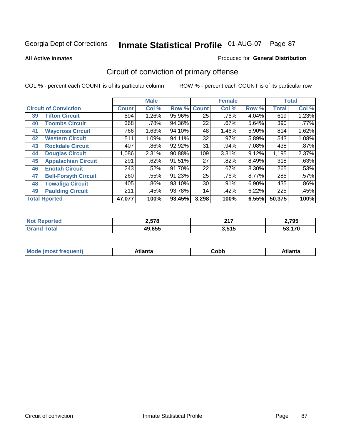**All Active Inmates**

### Produced for **General Distribution**

# Circuit of conviction of primary offense

|    |                              |              | <b>Male</b> |        |                 | <b>Female</b> |          |              | <b>Total</b> |
|----|------------------------------|--------------|-------------|--------|-----------------|---------------|----------|--------------|--------------|
|    | <b>Circuit of Conviction</b> | <b>Count</b> | Col %       | Row %  | <b>Count</b>    | Col %         | Row %    | <b>Total</b> | Col %        |
| 39 | <b>Tifton Circuit</b>        | 594          | 1.26%       | 95.96% | $\overline{25}$ | .76%          | 4.04%    | 619          | 1.23%        |
| 40 | <b>Toombs Circuit</b>        | 368          | .78%        | 94.36% | 22              | $.67\%$       | 5.64%    | 390          | $.77\%$      |
| 41 | <b>Waycross Circuit</b>      | 766          | 1.63%       | 94.10% | 48              | 1.46%         | 5.90%    | 814          | 1.62%        |
| 42 | <b>Western Circuit</b>       | 511          | 1.09%       | 94.11% | 32              | .97%          | 5.89%    | 543          | 1.08%        |
| 43 | <b>Rockdale Circuit</b>      | 407          | .86%        | 92.92% | 31              | .94%          | 7.08%    | 438          | .87%         |
| 44 | <b>Douglas Circuit</b>       | 1,086        | 2.31%       | 90.88% | 109             | 3.31%         | 9.12%    | 1,195        | 2.37%        |
| 45 | <b>Appalachian Circuit</b>   | 291          | .62%        | 91.51% | 27              | .82%          | 8.49%    | 318          | .63%         |
| 46 | <b>Enotah Circuit</b>        | 243          | .52%        | 91.70% | 22              | $.67\%$       | $8.30\%$ | 265          | .53%         |
| 47 | <b>Bell-Forsyth Circuit</b>  | 260          | .55%        | 91.23% | 25              | .76%          | 8.77%    | 285          | .57%         |
| 48 | <b>Towaliga Circuit</b>      | 405          | $.86\%$     | 93.10% | 30              | .91%          | 6.90%    | 435          | $.86\%$      |
| 49 | <b>Paulding Circuit</b>      | 211          | .45%        | 93.78% | 14              | .42%          | 6.22%    | 225          | .45%         |
|    | <b>Total Rported</b>         | 47,077       | 100%        | 93.45% | 3,298           | 100%          | 6.55%    | 50,375       | 100%         |

| тес | <b>0570</b><br>2.578 | 247<br>4 I I          | ) 705<br>1 JJ |
|-----|----------------------|-----------------------|---------------|
|     | 49,655               | 2 515<br><b>J.JIJ</b> | 170           |

| M, | $+1 - - + -$<br>annu -<br>uu | ∶obb<br>- - - - - | .<br>чна<br>- --------- |
|----|------------------------------|-------------------|-------------------------|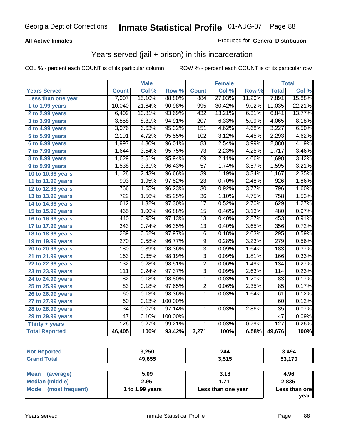### **All Active Inmates**

### Produced for **General Distribution**

## Years served (jail + prison) in this incarceration

|                              |                  | <b>Male</b> |         |                  | <b>Female</b> |        |                  | <b>Total</b> |
|------------------------------|------------------|-------------|---------|------------------|---------------|--------|------------------|--------------|
| <b>Years Served</b>          | <b>Count</b>     | Col %       | Row %   | <b>Count</b>     | Col %         | Row %  | <b>Total</b>     | Col %        |
| Less than one year           | 7,007            | 15.10%      | 88.80%  | 884              | 27.03%        | 11.20% | 7,891            | 15.88%       |
| 1 to 1.99 years              | 10,040           | 21.64%      | 90.98%  | 995              | 30.42%        | 9.02%  | 11,035           | 22.21%       |
| 2 to 2.99 years              | 6,409            | 13.81%      | 93.69%  | 432              | 13.21%        | 6.31%  | 6,841            | 13.77%       |
| 3 to 3.99 years              | 3,858            | 8.31%       | 94.91%  | $\overline{207}$ | 6.33%         | 5.09%  | 4,065            | 8.18%        |
| 4 to 4.99 years              | 3,076            | 6.63%       | 95.32%  | 151              | 4.62%         | 4.68%  | 3,227            | 6.50%        |
| $\overline{5}$ to 5.99 years | 2,191            | 4.72%       | 95.55%  | 102              | 3.12%         | 4.45%  | 2,293            | 4.62%        |
| 6 to 6.99 years              | 1,997            | 4.30%       | 96.01%  | $\overline{83}$  | 2.54%         | 3.99%  | 2,080            | 4.19%        |
| 7 to 7.99 years              | 1,644            | 3.54%       | 95.75%  | $\overline{73}$  | 2.23%         | 4.25%  | 1,717            | 3.46%        |
| 8 to 8.99 years              | 1,629            | 3.51%       | 95.94%  | 69               | 2.11%         | 4.06%  | 1,698            | 3.42%        |
| 9 to 9.99 years              | 1,538            | 3.31%       | 96.43%  | $\overline{57}$  | 1.74%         | 3.57%  | 1,595            | 3.21%        |
| 10 to 10.99 years            | 1,128            | 2.43%       | 96.66%  | 39               | 1.19%         | 3.34%  | 1,167            | 2.35%        |
| 11 to 11.99 years            | 903              | 1.95%       | 97.52%  | $\overline{23}$  | 0.70%         | 2.48%  | $\overline{926}$ | 1.86%        |
| 12 to 12.99 years            | 766              | 1.65%       | 96.23%  | $\overline{30}$  | 0.92%         | 3.77%  | 796              | 1.60%        |
| 13 to 13.99 years            | $\overline{722}$ | 1.56%       | 95.25%  | $\overline{36}$  | 1.10%         | 4.75%  | 758              | 1.53%        |
| 14 to 14.99 years            | 612              | 1.32%       | 97.30%  | $\overline{17}$  | 0.52%         | 2.70%  | 629              | 1.27%        |
| 15 to 15.99 years            | 465              | 1.00%       | 96.88%  | 15               | 0.46%         | 3.13%  | 480              | 0.97%        |
| 16 to 16.99 years            | 440              | 0.95%       | 97.13%  | 13               | 0.40%         | 2.87%  | 453              | 0.91%        |
| 17 to 17.99 years            | $\overline{343}$ | 0.74%       | 96.35%  | $\overline{13}$  | 0.40%         | 3.65%  | 356              | 0.72%        |
| 18 to 18.99 years            | 289              | 0.62%       | 97.97%  | $\overline{6}$   | 0.18%         | 2.03%  | 295              | 0.59%        |
| 19 to 19.99 years            | 270              | 0.58%       | 96.77%  | $\overline{9}$   | 0.28%         | 3.23%  | $\overline{279}$ | 0.56%        |
| 20 to 20.99 years            | 180              | 0.39%       | 98.36%  | $\overline{3}$   | 0.09%         | 1.64%  | 183              | 0.37%        |
| 21 to 21.99 years            | 163              | 0.35%       | 98.19%  | $\overline{3}$   | 0.09%         | 1.81%  | 166              | 0.33%        |
| 22 to 22.99 years            | 132              | 0.28%       | 98.51%  | $\overline{2}$   | 0.06%         | 1.49%  | 134              | 0.27%        |
| 23 to 23.99 years            | $\overline{111}$ | 0.24%       | 97.37%  | $\overline{3}$   | 0.09%         | 2.63%  | 114              | 0.23%        |
| 24 to 24.99 years            | 82               | 0.18%       | 98.80%  | 1                | 0.03%         | 1.20%  | 83               | 0.17%        |
| 25 to 25.99 years            | $\overline{83}$  | 0.18%       | 97.65%  | $\overline{2}$   | 0.06%         | 2.35%  | 85               | 0.17%        |
| 26 to 26.99 years            | 60               | 0.13%       | 98.36%  | $\overline{1}$   | 0.03%         | 1.64%  | 61               | 0.12%        |
| 27 to 27.99 years            | 60               | 0.13%       | 100.00% |                  |               |        | 60               | 0.12%        |
| 28 to 28.99 years            | $\overline{34}$  | 0.07%       | 97.14%  | $\mathbf{1}$     | 0.03%         | 2.86%  | 35               | 0.07%        |
| 29 to 29.99 years            | $\overline{47}$  | 0.10%       | 100.00% |                  |               |        | $\overline{47}$  | 0.09%        |
| Thirty + years               | 126              | 0.27%       | 99.21%  | 1                | 0.03%         | 0.79%  | 127              | 0.26%        |
| <b>Total Reported</b>        | 46,405           | 100%        | 93.42%  | 3,271            | 100%          | 6.58%  | 49,676           | 100%         |

| <b>Not Reported</b>      | 3,250           | 244                | 3,494         |
|--------------------------|-----------------|--------------------|---------------|
| <b>Grand Total</b>       | 49,655          | 3,515              | 53,170        |
|                          |                 |                    |               |
| <b>Mean</b><br>(average) | 5.09            | 3.18               | 4.96          |
| <b>Median (middle)</b>   | 2.95            | 1.71               | 2.835         |
| Mode (most frequent)     | 1 to 1.99 years | Less than one year | Less than one |
|                          |                 |                    | vear          |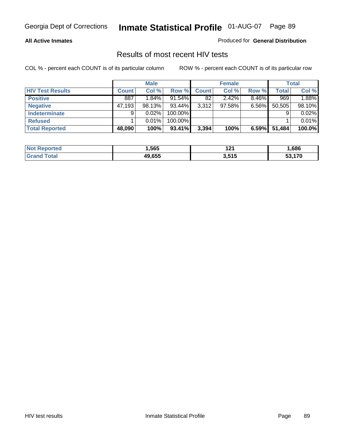### **All Active Inmates**

Produced for **General Distribution**

### Results of most recent HIV tests

|                         |              | <b>Male</b> |           |              | <b>Female</b> |          |              | <b>Total</b> |
|-------------------------|--------------|-------------|-----------|--------------|---------------|----------|--------------|--------------|
| <b>HIV Test Results</b> | <b>Count</b> | Col %       | Row %     | <b>Count</b> | Col %         | Row %    | <b>Total</b> | Col %        |
| <b>Positive</b>         | 887          | 1.84%       | $91.54\%$ | 82           | 2.42%         | $8.46\%$ | 969          | 1.88%        |
| <b>Negative</b>         | 47,193       | 98.13%      | 93.44%    | 3,312        | 97.58%        | $6.56\%$ | 50,505       | 98.10%       |
| Indeterminate           | 9            | 0.02%       | 100.00%   |              |               |          |              | 0.02%        |
| <b>Refused</b>          |              | 0.01%       | 100.00%   |              |               |          |              | 0.01%        |
| <b>Total Reported</b>   | 48,090       | 100%        | 93.41%    | 3,394        | 100%          | 6.59%    | 51,484       | 100.0%       |

| <b>Not</b><br><b>rted</b><br>xeno. | 1,565  | י ה<br>14 I | .686   |
|------------------------------------|--------|-------------|--------|
| <sup>-</sup> otal<br><b>Grand</b>  | 49.655 | 3,515       | 53.170 |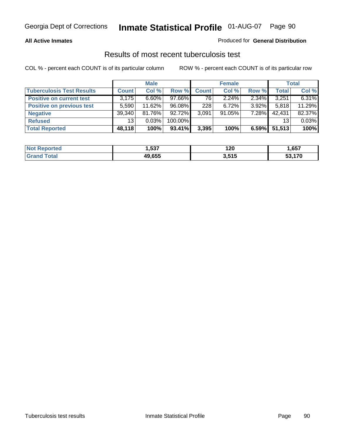### **All Active Inmates**

### Produced for **General Distribution**

### Results of most recent tuberculosis test

|                                  |              | <b>Male</b> |         |              | <b>Female</b> |          |              | Total  |
|----------------------------------|--------------|-------------|---------|--------------|---------------|----------|--------------|--------|
| <b>Tuberculosis Test Results</b> | <b>Count</b> | Col %       | Row %   | <b>Count</b> | Col %         | Row %    | <b>Total</b> | Col %  |
| <b>Positive on current test</b>  | 3,175        | $6.60\%$    | 97.66%  | 76           | $2.24\%$      | 2.34%    | 3,251        | 6.31%  |
| <b>Positive on previous test</b> | 5,590        | $11.62\%$   | 96.08%  | 228          | $6.72\%$      | $3.92\%$ | 5,818        | 11.29% |
| <b>Negative</b>                  | 39,340       | 81.76%      | 92.72%  | 3,091        | 91.05%        | 7.28%    | 42,431       | 82.37% |
| <b>Refused</b>                   | 13           | 0.03%       | 100.00% |              |               |          | 13           | 0.03%  |
| <b>Total Reported</b>            | 48,118       | 100%        | 93.41%  | 3,395        | 100%          | 6.59%    | 51,513       | 100%   |

| <b>Not</b><br><b>Reported</b> | .537   | 120<br>__     | ,657   |
|-------------------------------|--------|---------------|--------|
| Total<br><b>Grand</b>         | 49.655 | 3515<br>J.JIJ | 53.170 |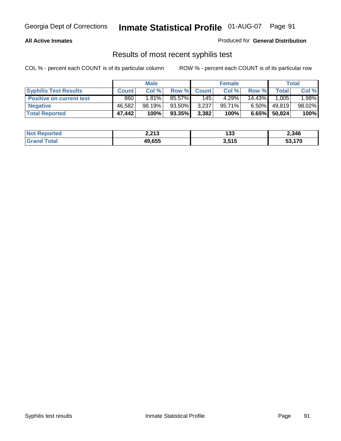### **All Active Inmates**

### Produced for **General Distribution**

### Results of most recent syphilis test

|                                 |              | <b>Male</b> |        |              | <b>Female</b> |           |              | <b>Total</b> |
|---------------------------------|--------------|-------------|--------|--------------|---------------|-----------|--------------|--------------|
| <b>Syphilis Test Results</b>    | <b>Count</b> | Col %       | Row %  | <b>Count</b> | Col %         | Row %     | <b>Total</b> | Col %        |
| <b>Positive on current test</b> | 860          | 1.81%       | 85.57% | 145          | 4.29%         | $14.43\%$ | 1.005        | 1.98%        |
| <b>Negative</b>                 | 46.582       | 98.19%      | 93.50% | 3,237        | 95.71%        | $6.50\%$  | 49,819       | 98.02%       |
| <b>Total Reported</b>           | 47,442       | 100%        | 93.35% | 3,382        | 100%          | 6.65%     | 50,824       | 100%         |

| <b>Not Reported</b> | 2,213  | 133   | 2,346  |
|---------------------|--------|-------|--------|
| <b>Grand Total</b>  | 49,655 | 3,515 | 53,170 |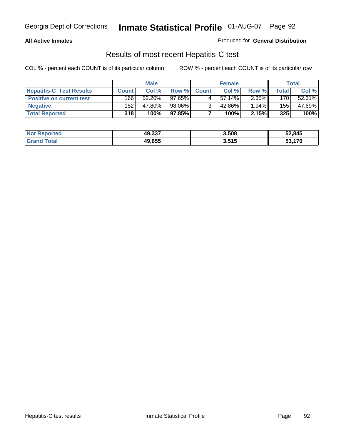### **All Active Inmates**

### Produced for **General Distribution**

### Results of most recent Hepatitis-C test

|                                 |              | <b>Male</b> |        |              | <b>Female</b> |          |       | Total  |
|---------------------------------|--------------|-------------|--------|--------------|---------------|----------|-------|--------|
| <b>Hepatitis-C Test Results</b> | <b>Count</b> | Col %       | Row %  | <b>Count</b> | Col %         | Row %    | Total | Col %  |
| <b>Positive on current test</b> | 166          | 52.20%      | 97.65% |              | $57.14\%$     | $2.35\%$ | 170   | 52.31% |
| <b>Negative</b>                 | 152          | 47.80%      | 98.06% |              | 42.86%        | 1.94%    | 155   | 47.69% |
| <b>Total Reported</b>           | 318          | 100%        | 97.85% |              | 100%          | 2.15%    | 325   | 100%   |

| <b>Not Reported</b> | 49,337 | 3,508 | 52,845 |
|---------------------|--------|-------|--------|
| <b>Grand Total</b>  | 49,655 | 3,515 | 53.170 |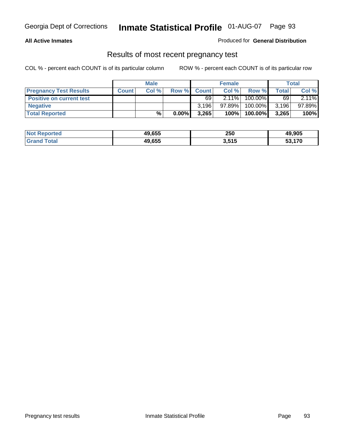### **All Active Inmates**

### Produced for **General Distribution**

### Results of most recent pregnancy test

|                                 | <b>Male</b>  |      | <b>Female</b> |              |          | Total   |              |        |
|---------------------------------|--------------|------|---------------|--------------|----------|---------|--------------|--------|
| <b>Pregnancy Test Results</b>   | <b>Count</b> | Col% | Row %         | <b>Count</b> | Col %    | Row %   | <b>Total</b> | Col %  |
| <b>Positive on current test</b> |              |      |               | 69           | $2.11\%$ | 100.00% | 69           | 2.11%  |
| <b>Negative</b>                 |              |      |               | 3.196        | 97.89%   | 100.00% | 3,196        | 97.89% |
| <b>Total Reported</b>           |              | $\%$ | $0.00\%$      | 3,265        | 100%     | 100.00% | 3,265        | 100%   |

| <b>Not Reported</b> | 49,655 | 250   | 49,905        |
|---------------------|--------|-------|---------------|
| <b>Grand Total</b>  | 49.655 | 3,515 | <b>53,170</b> |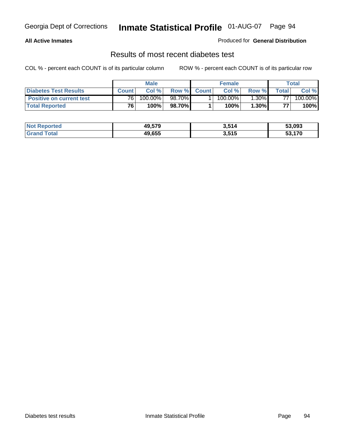### **All Active Inmates**

### Produced for **General Distribution**

### Results of most recent diabetes test

|                                 | <b>Male</b>  |         |                 | <b>Female</b> |            |          | Total |         |
|---------------------------------|--------------|---------|-----------------|---------------|------------|----------|-------|---------|
| <b>Diabetes Test Results</b>    | <b>Count</b> | Col %   | Row %           | <b>Count</b>  | Col %      | Row %I   | Total | Col %   |
| <b>Positive on current test</b> | 761          | 100.00% | 98.70% <b>I</b> |               | $100.00\%$ | $1.30\%$ | 77.   | 100.00% |
| <b>Total Reported</b>           | 76           | 100%    | 98.70%          |               | 100%⊤      | 1.30%    | 77    | 100%    |

| <b>Not Reported</b> | 49,579 | 3,514 | 53,093        |
|---------------------|--------|-------|---------------|
| <b>Grand Total</b>  | 49.655 | 3,515 | 53.170<br>3.3 |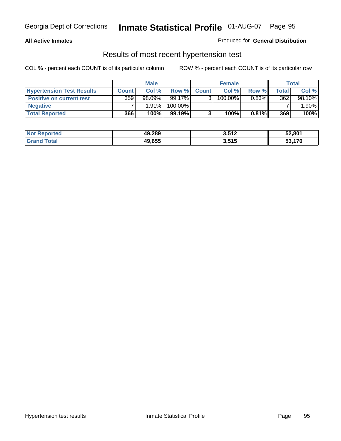### **All Active Inmates**

### Produced for **General Distribution**

### Results of most recent hypertension test

|                                  |              | <b>Male</b> |           |              | <b>Female</b> |          |       | Total   |
|----------------------------------|--------------|-------------|-----------|--------------|---------------|----------|-------|---------|
| <b>Hypertension Test Results</b> | <b>Count</b> | Col%        | Row %     | <b>Count</b> | Col%          | Row %    | Total | Col %   |
| <b>Positive on current test</b>  | 359          | $98.09\%$   | 99.17%    |              | $100.00\%$    | $0.83\%$ | 362   | 98.10%  |
| <b>Negative</b>                  |              | 1.91%       | 100.00%   |              |               |          |       | $.90\%$ |
| <b>Total Reported</b>            | 366          | 100%        | $99.19\%$ |              | 100%          | $0.81\%$ | 369   | 100%    |

| <b>Not Reported</b> | 49,289 | 3,512 | 52,801         |
|---------------------|--------|-------|----------------|
| <b>Grand Total</b>  | 49,655 | 3,515 | 53.170<br>53.T |